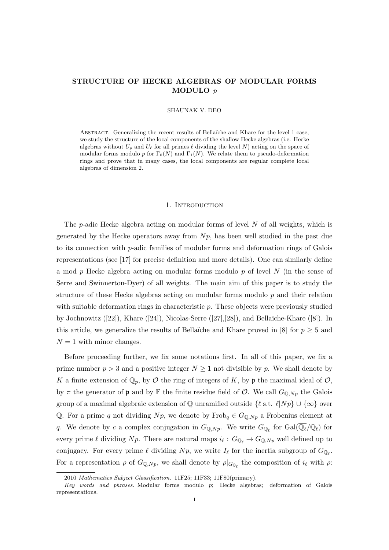# STRUCTURE OF HECKE ALGEBRAS OF MODULAR FORMS MODULO p

#### SHAUNAK V. DEO

ABSTRACT. Generalizing the recent results of Bellaïche and Khare for the level 1 case, we study the structure of the local components of the shallow Hecke algebras (i.e. Hecke algebras without  $U_p$  and  $U_\ell$  for all primes  $\ell$  dividing the level N) acting on the space of modular forms modulo p for  $\Gamma_0(N)$  and  $\Gamma_1(N)$ . We relate them to pseudo-deformation rings and prove that in many cases, the local components are regular complete local algebras of dimension 2.

#### 1. INTRODUCTION

The  $p$ -adic Hecke algebra acting on modular forms of level  $N$  of all weights, which is generated by the Hecke operators away from  $N_p$ , has been well studied in the past due to its connection with p-adic families of modular forms and deformation rings of Galois representations (see [17] for precise definition and more details). One can similarly define a mod p Hecke algebra acting on modular forms modulo p of level N (in the sense of Serre and Swinnerton-Dyer) of all weights. The main aim of this paper is to study the structure of these Hecke algebras acting on modular forms modulo  $p$  and their relation with suitable deformation rings in characteristic  $p$ . These objects were previously studied by Jochnowitz  $([22])$ , Khare  $([24])$ , Nicolas-Serre  $([27],[28])$ , and Bellaïche-Khare  $([8])$ . In this article, we generalize the results of Bellaïche and Khare proved in [8] for  $p \geq 5$  and  $N = 1$  with minor changes.

Before proceeding further, we fix some notations first. In all of this paper, we fix a prime number  $p > 3$  and a positive integer  $N \ge 1$  not divisible by p. We shall denote by K a finite extension of  $\mathbb{Q}_p$ , by  $\mathcal O$  the ring of integers of K, by p the maximal ideal of  $\mathcal O$ , by  $\pi$  the generator of  $\mathfrak p$  and by  $\mathbb F$  the finite residue field of  $\mathcal O$ . We call  $G_{\mathbb Q,Np}$  the Galois group of a maximal algebraic extension of Q unramified outside  $\{\ell \text{ s.t. } \ell | N p \} \cup \{\infty\}$  over Q. For a prime q not dividing  $N p$ , we denote by  $Frob_q \in G_{\mathbb{Q},N p}$  a Frobenius element at q. We denote by c a complex conjugation in  $G_{\mathbb{Q},Np}$ . We write  $G_{\mathbb{Q}_\ell}$  for  $Gal(\overline{\mathbb{Q}_\ell}/\mathbb{Q}_\ell)$  for every prime  $\ell$  dividing Np. There are natural maps  $i_{\ell}: G_{\mathbb{Q}_{\ell}} \to G_{\mathbb{Q},Np}$  well defined up to conjugacy. For every prime  $\ell$  dividing  $N p$ , we write  $I_\ell$  for the inertia subgroup of  $G_{\mathbb{Q}_\ell}$ . For a representation  $\rho$  of  $G_{\mathbb{Q},Np}$ , we shall denote by  $\rho|_{G_{\mathbb{Q}_\ell}}$  the composition of  $i_\ell$  with  $\rho$ :

<sup>2010</sup> Mathematics Subject Classification. 11F25; 11F33; 11F80(primary).

 $Key words and phrases. Modular forms modulo p; Hecke algebras; deformation of Galois$ representations.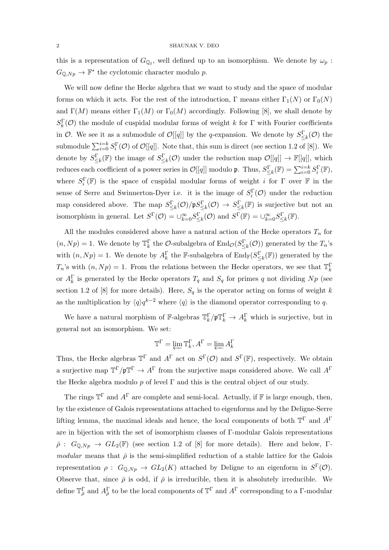this is a representation of  $G_{\mathbb{Q}_\ell}$ , well defined up to an isomorphism. We denote by  $\omega_p$ :  $G_{\mathbb{Q},Np} \to \mathbb{F}^*$  the cyclotomic character modulo p.

We will now define the Hecke algebra that we want to study and the space of modular forms on which it acts. For the rest of the introduction, Γ means either  $\Gamma_1(N)$  or  $\Gamma_0(N)$ and  $\Gamma(M)$  means either  $\Gamma_1(M)$  or  $\Gamma_0(M)$  accordingly. Following [8], we shall denote by  $S_k^{\Gamma}$ (*O*) the module of cuspidal modular forms of weight k for Γ with Fourier coefficients in  $\mathcal{O}$ . We see it as a submodule of  $\mathcal{O}[[q]]$  by the q-expansion. We denote by  $S_{\leq k}^{\Gamma}(\mathcal{O})$  the submodule  $\sum_{i=0}^{i=k} S_i^{\Gamma}(\mathcal{O})$  of  $\mathcal{O}[[q]]$ . Note that, this sum is direct (see section 1.2 of [8]). We denote by  $S_{\leq k}^{\Gamma}(\mathbb{F})$  the image of  $S_{\leq k}^{\Gamma}(\mathcal{O})$  under the reduction map  $\mathcal{O}[[q]] \to \mathbb{F}[[q]]$ , which reduces each coefficient of a power series in  $\mathcal{O}[[q]]$  modulo  $\mathfrak{p}$ . Thus,  $S_{\leq k}^{\Gamma}(\mathbb{F}) = \sum_{i=0}^{i=k} S_i^{\Gamma}(\mathbb{F}),$ where  $S_i^{\Gamma}(\mathbb{F})$  is the space of cuspidal modular forms of weight *i* for  $\Gamma$  over  $\mathbb F$  in the sense of Serre and Swinnerton-Dyer i.e. it is the image of  $S_i^{\Gamma}(\mathcal{O})$  under the reduction map considered above. The map  $S_{\leq k}^{\Gamma}(\mathcal{O})/\mathfrak{p}S_{\leq k}^{\Gamma}(\mathcal{O}) \to S_{\leq k}^{\Gamma}(\mathbb{F})$  is surjective but not an isomorphism in general. Let  $S^{\Gamma}(\mathcal{O}) = \cup_{k=0}^{\infty} S_{\leq k}^{\Gamma}(\mathcal{O})$  and  $S^{\Gamma}(\mathbb{F}) = \cup_{k=0}^{\infty} S_{\leq k}^{\Gamma}(\mathbb{F})$ .

All the modules considered above have a natural action of the Hecke operators  $T_n$  for  $(n, Np) = 1$ . We denote by  $\mathbb{T}_{k}^{\Gamma}$  the *O*-subalgebra of  $\text{End}_{\mathcal{O}}(S_{\leq k}^{\Gamma}(\mathcal{O}))$  generated by the  $T_n$ 's with  $(n, Np) = 1$ . We denote by  $A_k^{\Gamma}$  the F-subalgebra of  $\text{End}_{\mathbb{F}}(S_{\leq k}^{\Gamma}(\mathbb{F}))$  generated by the  $T_n$ 's with  $(n, Np) = 1$ . From the relations between the Hecke operators, we see that  $\mathbb{T}_k^{\Gamma}$ or  $A_k^{\Gamma}$  is generated by the Hecke operators  $T_q$  and  $S_q$  for primes q not dividing  $Np$  (see section 1.2 of [8] for more details). Here,  $S_q$  is the operator acting on forms of weight k as the multiplication by  $\langle q \rangle q^{k-2}$  where  $\langle q \rangle$  is the diamond operator corresponding to q.

We have a natural morphism of  $\mathbb{F}\text{-algebras }\mathbb{T}_k^{\Gamma}/\mathfrak{p}\mathbb{T}_k^{\Gamma} \to A_k^{\Gamma}$  which is surjective, but in general not an isomorphism. We set:

$$
\mathbb{T}^{\Gamma} = \varprojlim \mathbb{T}_{k}^{\Gamma}, A^{\Gamma} = \varprojlim A_{k}^{\Gamma}
$$

Thus, the Hecke algebras  $\mathbb{T}^{\Gamma}$  and  $A^{\Gamma}$  act on  $S^{\Gamma}(\mathcal{O})$  and  $S^{\Gamma}(\mathbb{F})$ , respectively. We obtain a surjective map  $\mathbb{T}^{\Gamma}/\mathfrak{p}\mathbb{T}^{\Gamma} \to A^{\Gamma}$  from the surjective maps considered above. We call  $A^{\Gamma}$ the Hecke algebra modulo  $p$  of level  $\Gamma$  and this is the central object of our study.

The rings  $\mathbb{T}^{\Gamma}$  and  $A^{\Gamma}$  are complete and semi-local. Actually, if  $\mathbb{F}$  is large enough, then, by the existence of Galois representations attached to eigenforms and by the Deligne-Serre lifting lemma, the maximal ideals and hence, the local components of both  $\mathbb{T}^{\Gamma}$  and  $A^{\Gamma}$ are in bijection with the set of isomorphism classes of Γ-modular Galois representations  $\bar{\rho}$  :  $G_{\mathbb{O},Np} \to GL_2(\mathbb{F})$  (see section 1.2 of [8] for more details). Here and below, Γmodular means that  $\bar{\rho}$  is the semi-simplified reduction of a stable lattice for the Galois representation  $\rho: G_{\mathbb{Q},Np} \to GL_2(K)$  attached by Deligne to an eigenform in  $S^{\Gamma}(\mathcal{O})$ . Observe that, since  $\bar{\rho}$  is odd, if  $\bar{\rho}$  is irreducible, then it is absolutely irreducible. We define  $\mathbb{T}_{\bar{\rho}}^{\Gamma}$  and  $A_{\bar{\rho}}^{\Gamma}$  to be the local components of  $\mathbb{T}^{\Gamma}$  and  $A^{\Gamma}$  corresponding to a  $\Gamma$ -modular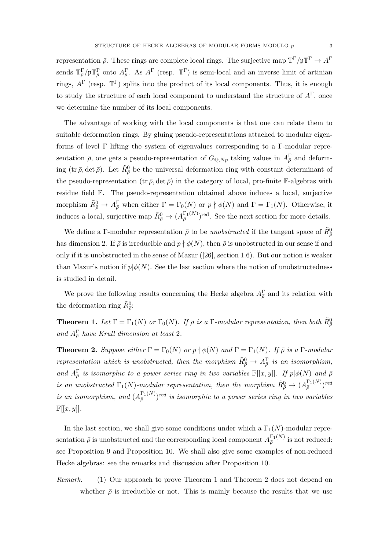representation  $\bar{\rho}$ . These rings are complete local rings. The surjective map  $\mathbb{T}^{\Gamma}/\mathfrak{p}\mathbb{T}^{\Gamma}\to A^{\Gamma}$ sends  $\mathbb{T}_{\bar{\rho}}^{\Gamma}/\mathfrak{p}\mathbb{T}_{\bar{\rho}}^{\Gamma}$  onto  $A_{\bar{\rho}}^{\Gamma}$ . As  $A^{\Gamma}$  (resp.  $\mathbb{T}^{\Gamma}$ ) is semi-local and an inverse limit of artinian rings,  $A^{\Gamma}$  (resp.  $\mathbb{T}^{\Gamma}$ ) splits into the product of its local components. Thus, it is enough to study the structure of each local component to understand the structure of  $A^{\Gamma}$ , once we determine the number of its local components.

The advantage of working with the local components is that one can relate them to suitable deformation rings. By gluing pseudo-representations attached to modular eigenforms of level Γ lifting the system of eigenvalues corresponding to a Γ-modular representation  $\bar{\rho}$ , one gets a pseudo-representation of  $G_{\mathbb{Q},Np}$  taking values in  $A_{\bar{\rho}}^{\Gamma}$  and deforming (tr  $\bar{\rho}$ , det  $\bar{\rho}$ ). Let  $\tilde{R}^0_{\bar{\rho}}$  be the universal deformation ring with constant determinant of the pseudo-representation  $(\text{tr } \bar{\rho}, \det \bar{\rho})$  in the category of local, pro-finite F-algebras with residue field F. The pseudo-representation obtained above induces a local, surjective morphism  $\tilde{R}^0_{\bar{\rho}} \to A^{\Gamma}_{\bar{\rho}}$  when either  $\Gamma = \Gamma_0(N)$  or  $p \nmid \phi(N)$  and  $\Gamma = \Gamma_1(N)$ . Otherwise, it induces a local, surjective map  $\tilde{R}^0_{\bar{\rho}} \to (A_{\bar{\rho}}^{\Gamma_1(N)})^{\text{red}}$ . See the next section for more details.

We define a Γ-modular representation  $\bar{\rho}$  to be *unobstructed* if the tangent space of  $\tilde{R}^0_{\bar{\rho}}$ has dimension 2. If  $\bar{\rho}$  is irreducible and  $p \nmid \phi(N)$ , then  $\bar{\rho}$  is unobstructed in our sense if and only if it is unobstructed in the sense of Mazur ([26], section 1.6). But our notion is weaker than Mazur's notion if  $p\phi(N)$ . See the last section where the notion of unobstructedness is studied in detail.

We prove the following results concerning the Hecke algebra  $A_{\bar{\rho}}^{\Gamma}$  and its relation with the deformation ring  $\tilde{R}_{\bar{\rho}}^0$ :

**Theorem 1.** Let  $\Gamma = \Gamma_1(N)$  or  $\Gamma_0(N)$ . If  $\bar{\rho}$  is a  $\Gamma$ -modular representation, then both  $\tilde{R}^0_{\bar{\rho}}$ and  $A_{\bar{\rho}}^{\Gamma}$  have Krull dimension at least 2.

**Theorem 2.** Suppose either  $\Gamma = \Gamma_0(N)$  or  $p \nmid \phi(N)$  and  $\Gamma = \Gamma_1(N)$ . If  $\overline{\rho}$  is a  $\Gamma$ -modular representation which is unobstructed, then the morphism  $\tilde{R}^0_{\bar{\rho}} \to A^{\Gamma}_{\bar{\rho}}$  is an isomorphism, and  $A_{\overline{\rho}}^{\Gamma}$  is isomorphic to a power series ring in two variables  $\mathbb{F}[[x,y]]$ . If  $p|\phi(N)$  and  $\overline{\rho}$ is an unobstructed  $\Gamma_1(N)$ -modular representation, then the morphism  $\tilde{R}^0_{\bar{\rho}} \to (A_{\bar{\rho}}^{\Gamma_1(N)})^{red}$ is an isomorphism, and  $(A_{\bar{\rho}}^{\Gamma_1(N)})^{red}$  is isomorphic to a power series ring in two variables  $\mathbb{F}[[x,y]].$ 

In the last section, we shall give some conditions under which a  $\Gamma_1(N)$ -modular representation  $\bar{\rho}$  is unobstructed and the corresponding local component  $A_{\bar{\rho}}^{\Gamma_1(N)}$  is not reduced: see Proposition 9 and Proposition 10. We shall also give some examples of non-reduced Hecke algebras: see the remarks and discussion after Proposition 10.

Remark. (1) Our approach to prove Theorem 1 and Theorem 2 does not depend on whether  $\bar{\rho}$  is irreducible or not. This is mainly because the results that we use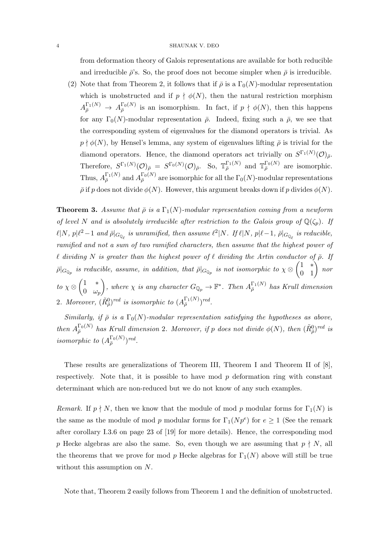from deformation theory of Galois representations are available for both reducible and irreducible  $\bar{\rho}$ 's. So, the proof does not become simpler when  $\bar{\rho}$  is irreducible.

(2) Note that from Theorem 2, it follows that if  $\bar{\rho}$  is a  $\Gamma_0(N)$ -modular representation which is unobstructed and if  $p \nmid \phi(N)$ , then the natural restriction morphism  $A_{\bar{\rho}}^{\Gamma_1(N)} \to A_{\bar{\rho}}^{\Gamma_0(N)}$  is an isomorphism. In fact, if  $p \nmid \phi(N)$ , then this happens for any  $\Gamma_0(N)$ -modular representation  $\bar{\rho}$ . Indeed, fixing such a  $\bar{\rho}$ , we see that the corresponding system of eigenvalues for the diamond operators is trivial. As  $p \nmid \phi(N)$ , by Hensel's lemma, any system of eigenvalues lifting  $\bar{\rho}$  is trivial for the diamond operators. Hence, the diamond operators act trivially on  $S^{\Gamma_1(N)}(\mathcal{O})_{\bar{\rho}}$ . Therefore,  $S^{\Gamma_1(N)}(\mathcal{O})_{\bar{\rho}} = S^{\Gamma_0(N)}(\mathcal{O})_{\bar{\rho}}$ . So,  $\mathbb{T}_{\bar{\rho}}^{\Gamma_1(N)}$  and  $\mathbb{T}_{\bar{\rho}}^{\Gamma_0(N)}$  are isomorphic. Thus,  $A_{\bar{\rho}}^{\Gamma_1(N)}$  and  $A_{\bar{\rho}}^{\Gamma_0(N)}$  are isomorphic for all the  $\Gamma_0(N)$ -modular representations  $\bar{\rho}$  if p does not divide  $\phi(N)$ . However, this argument breaks down if p divides  $\phi(N)$ .

**Theorem 3.** Assume that  $\bar{\rho}$  is a  $\Gamma_1(N)$ -modular representation coming from a newform of level N and is absolutely irreducible after restriction to the Galois group of  $\mathbb{Q}(\zeta_p)$ . If  $\ell | N, \, p | \ell^2 - 1 \,$  and  $\bar{\rho}|_{G_{\mathbb{Q}_{\ell}}}$  is unramified, then assume  $\ell^2 | N.$  If  $\ell | N, \, p | \ell - 1, \, \bar{\rho}|_{G_{\mathbb{Q}_{\ell}}}$  is reducible, ramified and not a sum of two ramified characters, then assume that the highest power of  $\ell$  dividing N is greater than the highest power of  $\ell$  dividing the Artin conductor of  $\bar{\rho}$ . If  $\bar{\rho}|_{G_{\mathbb{Q}_p}}$  is reducible, assume, in addition, that  $\bar{\rho}|_{G_{\mathbb{Q}_p}}$  is not isomorphic to  $\chi\otimes\begin{pmatrix} 1 & * \ 0 & 1 \end{pmatrix}$  nor to  $\chi \otimes \begin{pmatrix} 1 & * \\ 0 & \cdots \end{pmatrix}$ 0  $\omega_p$ ), where  $\chi$  is any character  $G_{\mathbb{Q}_p} \to \mathbb{F}^*$ . Then  $A_{\bar{\rho}}^{\Gamma_1(N)}$  has Krull dimension 2. Moreover,  $(\tilde{R}_{\overline{\rho}}^0)^{red}$  is isomorphic to  $(A_{\overline{\rho}}^{\Gamma_1(N)})^{red}$ .

Similarly, if  $\bar{\rho}$  is a  $\Gamma_0(N)$ -modular representation satisfying the hypotheses as above, then  $A_{\bar{\rho}}^{\Gamma_0(N)}$  has Krull dimension 2. Moreover, if p does not divide  $\phi(N)$ , then  $(\tilde{R}_{\bar{\rho}}^0)^{red}$  is isomorphic to  $(A_{\bar{\rho}}^{\Gamma_0(N)})^{red}$ .

These results are generalizations of Theorem III, Theorem I and Theorem II of [8], respectively. Note that, it is possible to have mod  $p$  deformation ring with constant determinant which are non-reduced but we do not know of any such examples.

Remark. If  $p \nmid N$ , then we know that the module of mod p modular forms for  $\Gamma_1(N)$  is the same as the module of mod p modular forms for  $\Gamma_1(Np^e)$  for  $e \geq 1$  (See the remark after corollary I.3.6 on page 23 of [19] for more details). Hence, the corresponding mod p Hecke algebras are also the same. So, even though we are assuming that  $p \nmid N$ , all the theorems that we prove for mod p Hecke algebras for  $\Gamma_1(N)$  above will still be true without this assumption on N.

Note that, Theorem 2 easily follows from Theorem 1 and the definition of unobstructed.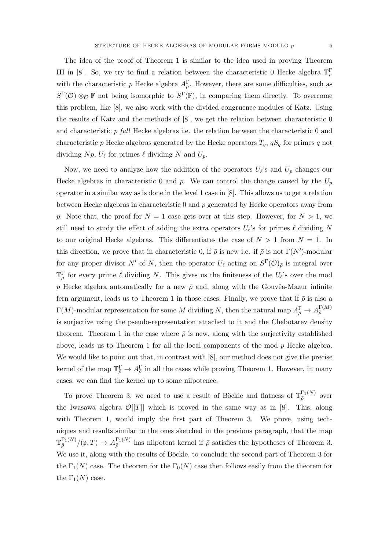The idea of the proof of Theorem 1 is similar to the idea used in proving Theorem III in [8]. So, we try to find a relation between the characteristic 0 Hecke algebra  $\mathbb{T}_{\bar{\rho}}^{\Gamma}$ with the characteristic p Hecke algebra  $A_{\bar{\rho}}^{\Gamma}$ . However, there are some difficulties, such as  $S^{\Gamma}(\mathcal{O})\otimes_{\mathcal{O}}\mathbb{F}$  not being isomorphic to  $S^{\Gamma}(\mathbb{F})$ , in comparing them directly. To overcome this problem, like [8], we also work with the divided congruence modules of Katz. Using the results of Katz and the methods of [8], we get the relation between characteristic 0 and characteristic p full Hecke algebras i.e. the relation between the characteristic 0 and characteristic p Hecke algebras generated by the Hecke operators  $T_q$ ,  $qS_q$  for primes q not dividing  $Np$ ,  $U_{\ell}$  for primes  $\ell$  dividing N and  $U_p$ .

Now, we need to analyze how the addition of the operators  $U_{\ell}$ 's and  $U_p$  changes our Hecke algebras in characteristic 0 and p. We can control the change caused by the  $U_p$ operator in a similar way as is done in the level 1 case in [8]. This allows us to get a relation between Hecke algebras in characteristic 0 and p generated by Hecke operators away from p. Note that, the proof for  $N = 1$  case gets over at this step. However, for  $N > 1$ , we still need to study the effect of adding the extra operators  $U_{\ell}$ 's for primes  $\ell$  dividing N to our original Hecke algebras. This differentiates the case of  $N > 1$  from  $N = 1$ . In this direction, we prove that in characteristic 0, if  $\bar{\rho}$  is new i.e. if  $\bar{\rho}$  is not  $\Gamma(N')$ -modular for any proper divisor N' of N, then the operator  $U_{\ell}$  acting on  $S^{\Gamma}(\mathcal{O})_{\bar{\rho}}$  is integral over  $\mathbb{T}_{\bar{\rho}}^{\Gamma}$  for every prime  $\ell$  dividing N. This gives us the finiteness of the  $U_{\ell}$ 's over the mod p Hecke algebra automatically for a new  $\bar{\rho}$  and, along with the Gouvêa-Mazur infinite fern argument, leads us to Theorem 1 in those cases. Finally, we prove that if  $\bar{\rho}$  is also a  $\Gamma(M)$ -modular representation for some M dividing N, then the natural map  $A_{\bar{\rho}}^{\Gamma} \to A_{\bar{\rho}}^{\Gamma(M)}$  $\bar{\rho}$ is surjective using the pseudo-representation attached to it and the Chebotarev density theorem. Theorem 1 in the case where  $\bar{\rho}$  is new, along with the surjectivity established above, leads us to Theorem 1 for all the local components of the mod p Hecke algebra. We would like to point out that, in contrast with [8], our method does not give the precise kernel of the map  $\mathbb{T}_{\bar{\rho}}^{\Gamma} \to A_{\bar{\rho}}^{\Gamma}$  in all the cases while proving Theorem 1. However, in many cases, we can find the kernel up to some nilpotence.

To prove Theorem 3, we need to use a result of Böckle and flatness of  $\mathbb{T}_{\bar{\rho}}^{\Gamma_1(N)}$  over the Iwasawa algebra  $\mathcal{O}[[T]]$  which is proved in the same way as in [8]. This, along with Theorem 1, would imply the first part of Theorem 3. We prove, using techniques and results similar to the ones sketched in the previous paragraph, that the map  $\mathbb{T}_{\bar{\rho}}^{\Gamma_1(N)}/(\mathfrak{p},T) \to A_{\bar{\rho}}^{\Gamma_1(N)}$  has nilpotent kernel if  $\bar{\rho}$  satisfies the hypotheses of Theorem 3. We use it, along with the results of Böckle, to conclude the second part of Theorem 3 for the  $\Gamma_1(N)$  case. The theorem for the  $\Gamma_0(N)$  case then follows easily from the theorem for the  $\Gamma_1(N)$  case.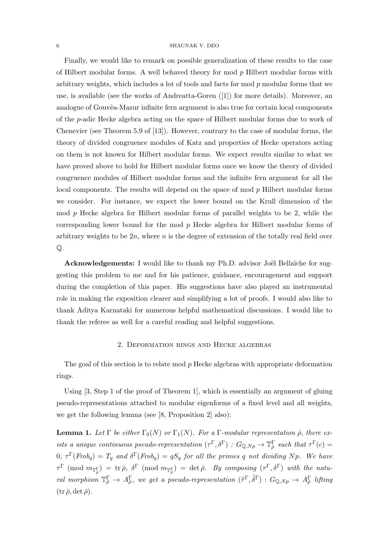Finally, we would like to remark on possible generalization of these results to the case of Hilbert modular forms. A well behaved theory for mod  $p$  Hilbert modular forms with arbitrary weights, which includes a lot of tools and facts for mod  $p$  modular forms that we use, is available (see the works of Andreatta-Goren ([1]) for more details). Moreover, an analogue of Gouvêa-Mazur infinite fern argument is also true for certain local components of the p-adic Hecke algebra acting on the space of Hilbert modular forms due to work of Chenevier (see Theorem 5.9 of [13]). However, contrary to the case of modular forms, the theory of divided congruence modules of Katz and properties of Hecke operators acting on them is not known for Hilbert modular forms. We expect results similar to what we have proved above to hold for Hilbert modular forms once we know the theory of divided congruence modules of Hilbert modular forms and the infinite fern argument for all the local components. The results will depend on the space of mod p Hilbert modular forms we consider. For instance, we expect the lower bound on the Krull dimension of the mod p Hecke algebra for Hilbert modular forms of parallel weights to be 2, while the corresponding lower bound for the mod p Hecke algebra for Hilbert modular forms of arbitrary weights to be  $2n$ , where n is the degree of extension of the totally real field over  $\mathbb{O}$ .

Acknowledgements: I would like to thank my Ph.D. advisor Joël Bellaïche for suggesting this problem to me and for his patience, guidance, encouragement and support during the completion of this paper. His suggestions have also played an instrumental role in making the exposition clearer and simplifying a lot of proofs. I would also like to thank Aditya Karnataki for numerous helpful mathematical discussions. I would like to thank the referee as well for a careful reading and helpful suggestions.

### 2. Deformation rings and Hecke algebras

The goal of this section is to relate mod p Hecke algebras with appropriate deformation rings.

Using  $[3, \text{Step 1 of the proof of Theorem 1}]$ , which is essentially an argument of gluing pseudo-representations attached to modular eigenforms of a fixed level and all weights, we get the following lemma (see [8, Proposition 2] also):

**Lemma 1.** Let  $\Gamma$  be either  $\Gamma_0(N)$  or  $\Gamma_1(N)$ . For a  $\Gamma$ -modular representation  $\bar{\rho}$ , there exists a unique continuous pseudo-representation  $(\tau^{\Gamma}, \delta^{\Gamma}) : G_{\mathbb{Q}, N_p} \to \mathbb{T}^{\Gamma}_{\bar{\rho}}$  such that  $\tau^{\Gamma}(c) =$  $0, \tau^{\Gamma}(Frob_q) = T_q$  and  $\delta^{\Gamma}(Frob_q) = qS_q$  for all the primes q not dividing Np. We have τ <sup>Γ</sup> (mod m<sup>T</sup> Γ ρ¯ ) = tr ¯ρ, δ <sup>Γ</sup> (mod m<sup>T</sup> Γ ρ¯ ) = det ¯ρ. By composing (τ <sup>Γ</sup>, δΓ) with the natural morphism  $\mathbb{T}_{\bar{\rho}}^{\Gamma} \to A_{\bar{\rho}}^{\Gamma}$ , we get a pseudo-representation  $(\tilde{\tau}^{\Gamma}, \tilde{\delta}^{\Gamma}) : G_{\mathbb{Q},Np} \to A_{\bar{\rho}}^{\Gamma}$  lifting  $(\text{tr } \overline{\rho}, \det \overline{\rho}).$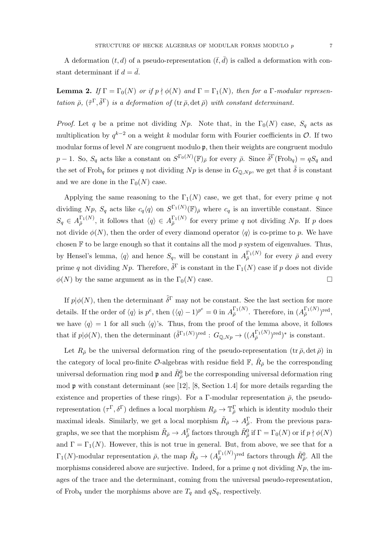A deformation  $(t, d)$  of a pseudo-representation  $(\bar{t}, \bar{d})$  is called a deformation with constant determinant if  $d = \overline{d}$ .

**Lemma 2.** If  $\Gamma = \Gamma_0(N)$  or if  $p \nmid \phi(N)$  and  $\Gamma = \Gamma_1(N)$ , then for a  $\Gamma$ -modular representation  $\bar{\rho}$ ,  $(\tilde{\tau}^{\Gamma}, \tilde{\delta}^{\Gamma})$  is a deformation of  $(\text{tr } \bar{\rho}, \det \bar{\rho})$  with constant determinant.

*Proof.* Let q be a prime not dividing Np. Note that, in the  $\Gamma_0(N)$  case,  $S_q$  acts as multiplication by  $q^{k-2}$  on a weight k modular form with Fourier coefficients in  $\mathcal{O}$ . If two modular forms of level N are congruent modulo  $\mathfrak{p}$ , then their weights are congruent modulo  $p-1$ . So,  $S_q$  acts like a constant on  $S^{\Gamma_0(N)}(\mathbb{F})_{\bar{\rho}}$  for every  $\bar{\rho}$ . Since  $\tilde{\delta}^{\Gamma}(\text{Frob}_q) = qS_q$  and the set of Frob<sub>q</sub> for primes q not dividing  $Np$  is dense in  $G_{\mathbb{Q},Np}$ , we get that  $\tilde{\delta}$  is constant and we are done in the  $\Gamma_0(N)$  case.

Applying the same reasoning to the  $\Gamma_1(N)$  case, we get that, for every prime q not dividing  $Np$ ,  $S_q$  acts like  $c_q \langle q \rangle$  on  $S^{\Gamma_1(N)}(\mathbb{F})_{\bar{\rho}}$  where  $c_q$  is an invertible constant. Since  $S_q \in A_{\bar{\rho}}^{\Gamma_1(N)}$ , it follows that  $\langle q \rangle \in A_{\bar{\rho}}^{\Gamma_1(N)}$  for every prime q not dividing Np. If p does not divide  $\phi(N)$ , then the order of every diamond operator  $\langle q \rangle$  is co-prime to p. We have chosen  $\mathbb F$  to be large enough so that it contains all the mod p system of eigenvalues. Thus, by Hensel's lemma,  $\langle q \rangle$  and hence  $S_q$ , will be constant in  $A_{\bar{\rho}}^{\Gamma_1(N)}$  for every  $\bar{\rho}$  and every prime q not dividing N<sub>p</sub>. Therefore,  $\tilde{\delta}^{\Gamma}$  is constant in the  $\Gamma_1(N)$  case if p does not divide  $\phi(N)$  by the same argument as in the  $\Gamma_0(N)$  case.

If  $p | \phi(N)$ , then the determinant  $\tilde{\delta}^{\Gamma}$  may not be constant. See the last section for more details. If the order of  $\langle q \rangle$  is  $p^e$ , then  $(\langle q \rangle - 1)^{p^e} = 0$  in  $A_{\bar{\rho}}^{\Gamma_1(N)}$ . Therefore, in  $(A_{\bar{\rho}}^{\Gamma_1(N)})^{\text{red}}$ , we have  $\langle q \rangle = 1$  for all such  $\langle q \rangle$ 's. Thus, from the proof of the lemma above, it follows that if  $p | \phi(N)$ , then the determinant  $(\tilde{\delta}^{\Gamma_1(N)})^{\text{red}}$  :  $G_{\mathbb{Q},Np} \to ((A_{\overline{\rho}}^{\Gamma_1(N)})^{\text{red}})^*$  is constant.

Let  $R_{\bar{\rho}}$  be the universal deformation ring of the pseudo-representation (tr  $\bar{\rho}$ , det  $\bar{\rho}$ ) in the category of local pro-finite  $\mathcal{O}$ -algebras with residue field  $\mathbb{F}$ ,  $\tilde{R}_{\bar{\rho}}$  be the corresponding universal deformation ring mod  $\mathfrak{p}$  and  $\tilde{R}^0_{\bar{\rho}}$  be the corresponding universal deformation ring mod p with constant determinant (see [12], [8, Section 1.4] for more details regarding the existence and properties of these rings). For a Γ-modular representation  $\bar{\rho}$ , the pseudorepresentation  $(\tau^{\Gamma}, \delta^{\Gamma})$  defines a local morphism  $R_{\bar{\rho}} \to \mathbb{T}^{\Gamma}_{\bar{\rho}}$  which is identity modulo their maximal ideals. Similarly, we get a local morphism  $\tilde{R}_{\bar{\rho}} \to A_{\bar{\rho}}^{\Gamma}$ . From the previous paragraphs, we see that the morphism  $\tilde{R}_{\bar{\rho}} \to A_{\bar{\rho}}^{\Gamma}$  factors through  $\tilde{R}_{\bar{\rho}}^0$  if  $\Gamma = \Gamma_0(N)$  or if  $p \nmid \phi(N)$ and  $\Gamma = \Gamma_1(N)$ . However, this is not true in general. But, from above, we see that for a  $\Gamma_1(N)$ -modular representation  $\bar{\rho}$ , the map  $\tilde{R}_{\bar{\rho}} \to (A_{\bar{\rho}}^{\Gamma_1(N)})^{\text{red}}$  factors through  $\tilde{R}_{\bar{\rho}}^0$ . All the morphisms considered above are surjective. Indeed, for a prime q not dividing  $N_p$ , the images of the trace and the determinant, coming from the universal pseudo-representation, of Frob<sub>q</sub> under the morphisms above are  $T_q$  and  $qS_q$ , respectively.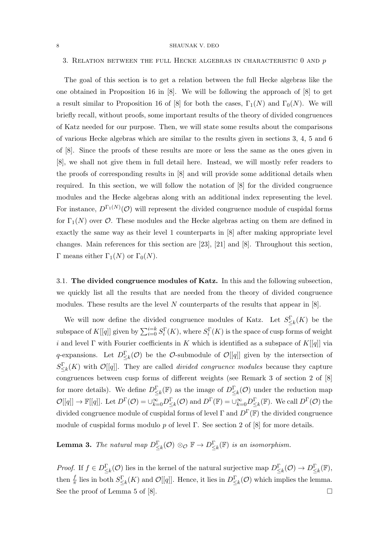# 3. RELATION BETWEEN THE FULL HECKE ALGEBRAS IN CHARACTERISTIC  $0$  and  $p$

The goal of this section is to get a relation between the full Hecke algebras like the one obtained in Proposition 16 in [8]. We will be following the approach of [8] to get a result similar to Proposition 16 of [8] for both the cases,  $\Gamma_1(N)$  and  $\Gamma_0(N)$ . We will briefly recall, without proofs, some important results of the theory of divided congruences of Katz needed for our purpose. Then, we will state some results about the comparisons of various Hecke algebras which are similar to the results given in sections 3, 4, 5 and 6 of [8]. Since the proofs of these results are more or less the same as the ones given in [8], we shall not give them in full detail here. Instead, we will mostly refer readers to the proofs of corresponding results in [8] and will provide some additional details when required. In this section, we will follow the notation of [8] for the divided congruence modules and the Hecke algebras along with an additional index representing the level. For instance,  $D^{\Gamma_1(N)}(\mathcal{O})$  will represent the divided congruence module of cuspidal forms for  $\Gamma_1(N)$  over  $\mathcal O$ . These modules and the Hecke algebras acting on them are defined in exactly the same way as their level 1 counterparts in [8] after making appropriate level changes. Main references for this section are [23], [21] and [8]. Throughout this section, Γ means either  $\Gamma_1(N)$  or  $\Gamma_0(N)$ .

3.1. The divided congruence modules of Katz. In this and the following subsection, we quickly list all the results that are needed from the theory of divided congruence modules. These results are the level  $N$  counterparts of the results that appear in [8].

We will now define the divided congruence modules of Katz. Let  $S_{\leq k}^{\Gamma}(K)$  be the subspace of  $K[[q]]$  given by  $\sum_{i=0}^{i=k} S_i^{\Gamma}(K)$ , where  $S_i^{\Gamma}(K)$  is the space of cusp forms of weight i and level  $\Gamma$  with Fourier coefficients in K which is identified as a subspace of  $K[[q]]$  via q-expansions. Let  $D_{\leq k}^{\Gamma}(\mathcal{O})$  be the  $\mathcal{O}$ -submodule of  $\mathcal{O}[[q]]$  given by the intersection of  $S_{\leq k}^{\Gamma}(K)$  with  $\mathcal{O}[[q]]$ . They are called *divided congruence modules* because they capture congruences between cusp forms of different weights (see Remark 3 of section 2 of [8] for more details). We define  $D_{\leq k}^{\Gamma}(\mathbb{F})$  as the image of  $D_{\leq k}^{\Gamma}(\mathcal{O})$  under the reduction map  $\mathcal{O}[[q]] \to \mathbb{F}[[q]]$ . Let  $D^{\Gamma}(\mathcal{O}) = \cup_{k=0}^{\infty} D^{\Gamma}_{\leq k}(\mathcal{O})$  and  $D^{\Gamma}(\mathbb{F}) = \cup_{k=0}^{\infty} D^{\Gamma}_{\leq k}(\mathbb{F})$ . We call  $D^{\Gamma}(\mathcal{O})$  the divided congruence module of cuspidal forms of level  $\Gamma$  and  $D^{\Gamma}(\mathbb{F})$  the divided congruence module of cuspidal forms modulo p of level  $\Gamma$ . See section 2 of [8] for more details.

**Lemma 3.** The natural map  $D_{\leq k}^{\Gamma}(\mathcal{O}) \otimes_{\mathcal{O}} \mathbb{F} \to D_{\leq k}^{\Gamma}(\mathbb{F})$  is an isomorphism.

*Proof.* If  $f \in D_{\leq k}^{\Gamma}(\mathcal{O})$  lies in the kernel of the natural surjective map  $D_{\leq k}^{\Gamma}(\mathcal{O}) \to D_{\leq k}^{\Gamma}(\mathbb{F}),$ then  $\frac{f}{\pi}$  lies in both  $S^{\Gamma}_{\leq k}(K)$  and  $\mathcal{O}[[q]]$ . Hence, it lies in  $D^{\Gamma}_{\leq k}(\mathcal{O})$  which implies the lemma. See the proof of Lemma 5 of [8].  $\Box$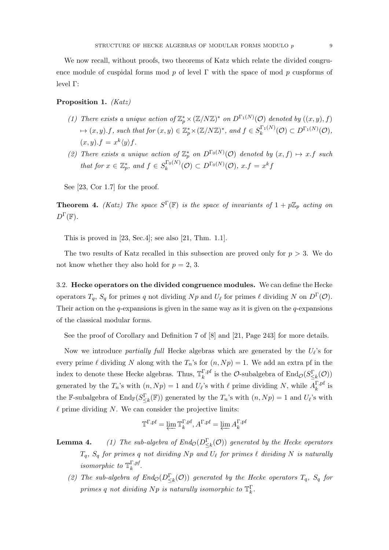We now recall, without proofs, two theorems of Katz which relate the divided congruence module of cuspidal forms mod p of level  $\Gamma$  with the space of mod p cuspforms of level Γ:

# Proposition 1. (Katz)

- (1) There exists a unique action of  $\mathbb{Z}_p^* \times (\mathbb{Z}/N\mathbb{Z})^*$  on  $D^{\Gamma_1(N)}(\mathcal{O})$  denoted by  $((x, y), f)$  $\mapsto (x, y) \cdot f$ , such that for  $(x, y) \in \mathbb{Z}_p^* \times (\mathbb{Z}/N\mathbb{Z})^*$ , and  $f \in S_k^{\Gamma_1(N)}$  $h_k^{(\Gamma_1(N)}(\mathcal{O}) \subset D^{\Gamma_1(N)}(\mathcal{O}),$  $(x, y).f = x^k \langle y \rangle f.$
- (2) There exists a unique action of  $\mathbb{Z}_p^*$  on  $D^{\Gamma_0(N)}(\mathcal{O})$  denoted by  $(x, f) \mapsto x.f$  such that for  $x \in \mathbb{Z}_p^*$ , and  $f \in S_k^{\Gamma_0(N)}$  $\mathcal{L}_k^{(\Gamma_0(N)}(\mathcal{O}) \subset D^{\Gamma_0(N)}(\mathcal{O}), \ x.f = x^k f$

See [23, Cor 1.7] for the proof.

**Theorem 4.** (Katz) The space  $S^{\Gamma}(\mathbb{F})$  is the space of invariants of  $1 + p\mathbb{Z}_p$  acting on  $D^{\Gamma}(\mathbb{F}).$ 

This is proved in [23, Sec.4]; see also [21, Thm. 1.1].

The two results of Katz recalled in this subsection are proved only for  $p > 3$ . We do not know whether they also hold for  $p = 2, 3$ .

3.2. Hecke operators on the divided congruence modules. We can define the Hecke operators  $T_q$ ,  $S_q$  for primes q not dividing  $Np$  and  $U_\ell$  for primes  $\ell$  dividing N on  $D^{\Gamma}(\mathcal{O})$ . Their action on the q-expansions is given in the same way as it is given on the q-expansions of the classical modular forms.

See the proof of Corollary and Definition 7 of [8] and [21, Page 243] for more details.

Now we introduce *partially full* Hecke algebras which are generated by the  $U_{\ell}$ 's for every prime  $\ell$  dividing N along with the  $T_n$ 's for  $(n, N_p) = 1$ . We add an extra pf in the index to denote these Hecke algebras. Thus,  $\mathbb{T}_k^{\Gamma, \text{pf}}$ <sup>Γ,pf</sup> is the *O*-subalgebra of  $\text{End}_{\mathcal{O}}(S_{\leq k}^{\Gamma}(\mathcal{O}))$ generated by the  $T_n$ 's with  $(n, Np) = 1$  and  $U_{\ell}$ 's with  $\ell$  prime dividing N, while  $A_k^{\Gamma,pl}$  $\frac{1}{k}$ , <sup>pr</sup> is the F-subalgebra of  $\text{End}_{\mathbb{F}}(S_{\leq k}^{\Gamma}(\mathbb{F}))$  generated by the  $T_n$ 's with  $(n, Np) = 1$  and  $U_{\ell}$ 's with  $\ell$  prime dividing N. We can consider the projective limits:

$$
\mathbb{T}^{\Gamma,\rm pf} = \varprojlim \mathbb{T}^{\Gamma,\rm pf}_k, A^{\Gamma,\rm pf} = \varprojlim A^{\Gamma,\rm pf}_k
$$

**Lemma 4.** (1) The sub-algebra of  $End_{\mathcal{O}}(D_{\leq k}^{\Gamma}(\mathcal{O}))$  generated by the Hecke operators  $T_q,~S_q$  for primes  $q$  not dividing  $Np$  and  $U_\ell$  for primes  $\ell$  dividing  $N$  is naturally *isomorphic to*  $\mathbb{T}^{\Gamma,pf}_k$  $\frac{1}{k}$ ,  $\frac{p}{q}$ .

(2) The sub-algebra of  $End_{\mathcal{O}}(D_{\leq k}^{\Gamma}(\mathcal{O}))$  generated by the Hecke operators  $T_q$ ,  $S_q$  for primes q not dividing  $Np$  is naturally isomorphic to  $\mathbb{T}_{k}^{\Gamma}$ .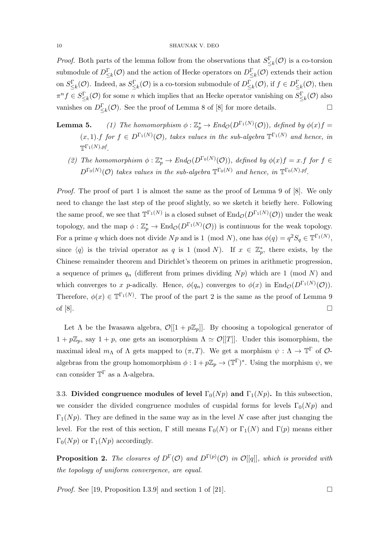*Proof.* Both parts of the lemma follow from the observations that  $S_{\leq k}^{\Gamma}(\mathcal{O})$  is a co-torsion submodule of  $D_{\leq k}^{\Gamma}(\mathcal{O})$  and the action of Hecke operators on  $D_{\leq k}^{\Gamma}(\mathcal{O})$  extends their action on  $S_{\leq k}^{\Gamma}(\mathcal{O})$ . Indeed, as  $S_{\leq k}^{\Gamma}(\mathcal{O})$  is a co-torsion submodule of  $D_{\leq k}^{\Gamma}(\mathcal{O})$ , if  $f \in D_{\leq k}^{\Gamma}(\mathcal{O})$ , then  $\pi^n f \in S^{\Gamma}_{\leq k}(\mathcal{O})$  for some *n* which implies that an Hecke operator vanishing on  $S^{\Gamma}_{\leq k}(\mathcal{O})$  also vanishes on  $D_{\leq k}^{\Gamma}(\mathcal{O})$ . See the proof of Lemma 8 of [8] for more details.

- **Lemma 5.** (1) The homomorphism  $\phi : \mathbb{Z}_p^* \to \text{End}_{\mathcal{O}}(D^{\Gamma_1(N)}(\mathcal{O}))$ , defined by  $\phi(x)f =$  $(x,1)$ . f for  $f \in D^{\Gamma_1(N)}(\mathcal{O})$ , takes values in the sub-algebra  $\mathbb{T}^{\Gamma_1(N)}$  and hence, in  $\mathbb{T}^{\Gamma_1(N), pf}$ .
	- (2) The homomorphism  $\phi : \mathbb{Z}_p^* \to End_{\mathcal{O}}(D^{\Gamma_0(N)}(\mathcal{O}))$ , defined by  $\phi(x)f = x.f$  for  $f \in$  $D^{\Gamma_0(N)}(\mathcal{O})$  takes values in the sub-algebra  $\mathbb{T}^{\Gamma_0(N)}$  and hence, in  $\mathbb{T}^{\Gamma_0(N),pf}$ .

Proof. The proof of part 1 is almost the same as the proof of Lemma 9 of [8]. We only need to change the last step of the proof slightly, so we sketch it briefly here. Following the same proof, we see that  $\mathbb{T}^{\Gamma_1(N)}$  is a closed subset of  $\text{End}_{\mathcal{O}}(D^{\Gamma_1(N)}(\mathcal{O}))$  under the weak topology, and the map  $\phi: \mathbb{Z}_p^* \to \text{End}_{\mathcal{O}}(D^{\Gamma_1(N)}(\mathcal{O}))$  is continuous for the weak topology. For a prime q which does not divide  $Np$  and is 1 (mod N), one has  $\phi(q) = q^2 S_q \in \mathbb{T}^{\Gamma_1(N)}$ , since  $\langle q \rangle$  is the trivial operator as q is 1 (mod N). If  $x \in \mathbb{Z}_p^*$ , there exists, by the Chinese remainder theorem and Dirichlet's theorem on primes in arithmetic progression, a sequence of primes  $q_n$  (different from primes dividing  $N_p$ ) which are 1 (mod N) and which converges to x p-adically. Hence,  $\phi(q_n)$  converges to  $\phi(x)$  in  $\text{End}_{\mathcal{O}}(D^{\Gamma_1(N)}(\mathcal{O}))$ . Therefore,  $\phi(x) \in \mathbb{T}^{\Gamma_1(N)}$ . The proof of the part 2 is the same as the proof of Lemma 9 of  $[8]$ .

Let  $\Lambda$  be the Iwasawa algebra,  $\mathcal{O}[[1 + p\mathbb{Z}_p]]$ . By choosing a topological generator of  $1 + p\mathbb{Z}_p$ , say  $1 + p$ , one gets an isomorphism  $\Lambda \simeq \mathcal{O}[[T]]$ . Under this isomorphism, the maximal ideal  $m_{\Lambda}$  of  $\Lambda$  gets mapped to  $(\pi, T)$ . We get a morphism  $\psi : \Lambda \to \mathbb{T}^{\Gamma}$  of  $\mathcal{O}$ algebras from the group homomorphism  $\phi: 1 + p\mathbb{Z}_p \to (\mathbb{T}^{\Gamma})^*$ . Using the morphism  $\psi$ , we can consider  $\mathbb{T}^{\Gamma}$  as a A-algebra.

3.3. Divided congruence modules of level  $\Gamma_0(Np)$  and  $\Gamma_1(Np)$ . In this subsection, we consider the divided congruence modules of cuspidal forms for levels  $\Gamma_0(Np)$  and  $\Gamma_1(Np)$ . They are defined in the same way as in the level N case after just changing the level. For the rest of this section, Γ still means  $\Gamma_0(N)$  or  $\Gamma_1(N)$  and  $\Gamma(p)$  means either  $\Gamma_0(Np)$  or  $\Gamma_1(Np)$  accordingly.

**Proposition 2.** The closures of  $D^{\Gamma}(\mathcal{O})$  and  $D^{\Gamma(p)}(\mathcal{O})$  in  $\mathcal{O}[[q]]$ , which is provided with the topology of uniform convergence, are equal.

*Proof.* See [19, Proposition I.3.9] and section 1 of [21].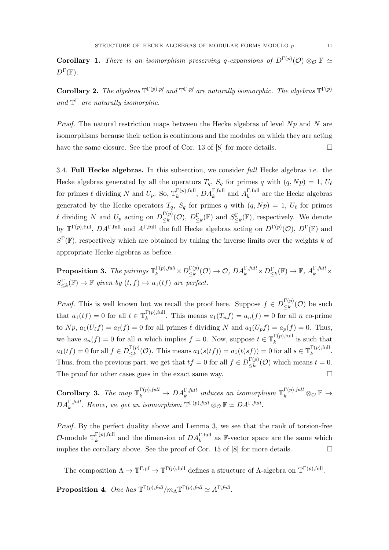**Corollary 1.** There is an isomorphism preserving q-expansions of  $D^{\Gamma(p)}(\mathcal{O}) \otimes_{\mathcal{O}} \mathbb{F} \simeq$  $D^{\Gamma}(\mathbb{F}).$ 

**Corollary 2.** The algebras  $\mathbb{T}^{\Gamma(p),pf}$  and  $\mathbb{T}^{\Gamma,pf}$  are naturally isomorphic. The algebras  $\mathbb{T}^{\Gamma(p)}$ and  $\mathbb{T}^{\Gamma}$  are naturally isomorphic.

*Proof.* The natural restriction maps between the Hecke algebras of level  $Np$  and N are isomorphisms because their action is continuous and the modules on which they are acting have the same closure. See the proof of Cor. 13 of [8] for more details.  $\square$ 

3.4. Full Hecke algebras. In this subsection, we consider full Hecke algebras i.e. the Hecke algebras generated by all the operators  $T_q$ ,  $S_q$  for primes q with  $(q, Np) = 1$ ,  $U_\ell$ for primes  $\ell$  dividing N and  $U_p$ . So,  $\mathbb{T}_k^{\Gamma(p),\text{full}}$  $_{k}^{\Gamma(p),\text{full}},\,DA_{k}^{\Gamma,\text{full}}$  and  $A_{k}^{\Gamma,\text{full}}$  $\frac{1}{k}$ <sup>1</sup>,<sup>tun</sup> are the Hecke algebras generated by the Hecke operators  $T_q$ ,  $S_q$  for primes q with  $(q, Np) = 1, U_\ell$  for primes  $\ell$  dividing N and  $U_p$  acting on  $D_{\leq k}^{\Gamma(p)}$  $\frac{\Gamma(p)}{\leq k}(\mathcal{O}), D_{\leq k}^{\Gamma}(\mathbb{F})$  and  $S_{\leq k}^{\Gamma}(\mathbb{F}),$  respectively. We denote by  $\mathbb{T}^{\Gamma(p),\text{full}}$ ,  $DA^{\Gamma,\text{full}}$  and  $A^{\Gamma,\text{full}}$  the full Hecke algebras acting on  $D^{\Gamma(p)}(\mathcal{O}), D^{\Gamma}(\mathbb{F})$  and  $S^{\Gamma}(\mathbb{F})$ , respectively which are obtained by taking the inverse limits over the weights k of appropriate Hecke algebras as before.

**Proposition 3.** The pairings  $\mathbb{T}_k^{\Gamma(p),full} \times D_{\leq k}^{\Gamma(p)}$  $\frac{\Gamma(p)}{\leq k}(\mathcal{O}) \to \mathcal{O},\, DA^{\Gamma,full}_k \times D^{\Gamma}_{\leq k}(\mathbb{F}) \to \mathbb{F},\, A^{\Gamma,full}_k \times$  $S_{\leq k}^{\Gamma}(\mathbb{F}) \to \mathbb{F}$  given by  $(t, f) \mapsto a_1(tf)$  are perfect.

*Proof.* This is well known but we recall the proof here. Suppose  $f \in D_{\leq k}^{\Gamma(p)}$  $\sum_{k=1}^{N} (1-\mathcal{O})$  be such that  $a_1(tf) = 0$  for all  $t \in \mathbb{T}_k^{\Gamma(p), \text{full}}$  $a_k^{T(p),\text{run}}$ . This means  $a_1(T_nf) = a_n(f) = 0$  for all n co-prime to  $N p$ ,  $a_1(U_\ell f) = a_\ell(f) = 0$  for all primes  $\ell$  dividing N and  $a_1(U_p f) = a_p(f) = 0$ . Thus, we have  $a_n(f) = 0$  for all n which implies  $f = 0$ . Now, suppose  $t \in \mathbb{T}_k^{\Gamma(p),\text{full}}$  $\int_k^{L(p),\text{tun}}$  is such that  $a_1(tf) = 0$  for all  $f \in D_{\leq k}^{\Gamma(p)}$  $\frac{\Gamma(p)}{\leq k}(\mathcal{O})$ . This means  $a_1(s(tf)) = a_1(t(sf)) = 0$  for all  $s \in \mathbb{T}_k^{\Gamma(p),\text{full}}$  $\frac{d}{k}$  (*p*), iuii. Thus, from the previous part, we get that  $tf = 0$  for all  $f \in D_{\leq k}^{\Gamma(p)}$  $\bigcup_{k=1}^{L(p)}(\mathcal{O})$  which means  $t=0$ . The proof for other cases goes in the exact same way.  $\Box$ 

Corollary 3. The map  $\mathbb{T}_k^{\Gamma(p),full} \to DA_k^{\Gamma,full}$  induces an isomorphism  $\mathbb{T}_k^{\Gamma(p),full} \otimes_{\mathcal{O}} \mathbb{F} \to$  $DA_k^{\Gamma,full}$ . Hence, we get an isomorphism  $\mathbb{T}^{\Gamma(p),full} \otimes_{\mathcal{O}} \mathbb{F} \simeq DA^{\Gamma,full}$ .

Proof. By the perfect duality above and Lemma 3, we see that the rank of torsion-free *O*-module  $\mathbb{T}_k^{\Gamma(p),\text{full}}$  $k_k^{\Gamma(p),\text{full}}$  and the dimension of  $DA_k^{\Gamma,\text{full}}$  as F-vector space are the same which implies the corollary above. See the proof of Cor. 15 of [8] for more details.  $\square$ 

The composition  $\Lambda \to \mathbb{T}^{\Gamma, \mathrm{pf}} \to \mathbb{T}^{\Gamma(p), \mathrm{full}}$  defines a structure of  $\Lambda$ -algebra on  $\mathbb{T}^{\Gamma(p), \mathrm{full}}$ .

Proposition 4. One has  $\mathbb{T}^{\Gamma(p),full}/m_\Lambda \mathbb{T}^{\Gamma(p),full} \simeq A^{\Gamma,full}.$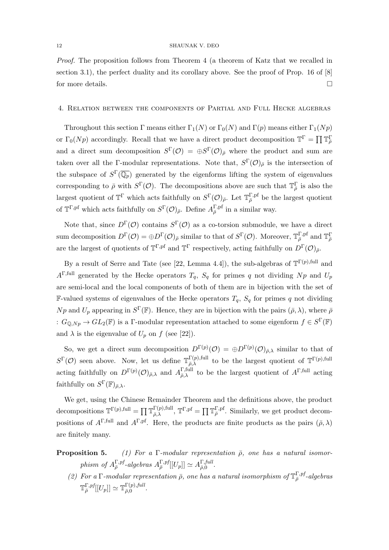Proof. The proposition follows from Theorem 4 (a theorem of Katz that we recalled in section 3.1), the perfect duality and its corollary above. See the proof of Prop. 16 of [8] for more details.  $\Box$ 

#### 4. Relation between the components of Partial and Full Hecke algebras

Throughout this section Γ means either  $\Gamma_1(N)$  or  $\Gamma_0(N)$  and  $\Gamma(p)$  means either  $\Gamma_1(Np)$ or  $\Gamma_0(Np)$  accordingly. Recall that we have a direct product decomposition  $\mathbb{T}^{\Gamma} = \prod \mathbb{T}_{\bar{\rho}}^{\Gamma}$ and a direct sum decomposition  $S^{\Gamma}(\mathcal{O}) = \bigoplus S^{\Gamma}(\mathcal{O})_{\bar{\rho}}$  where the product and sum are taken over all the Γ-modular representations. Note that,  $S^{\Gamma}(\mathcal{O})_{\bar{\rho}}$  is the intersection of the subspace of  $S^{\Gamma}(\overline{\mathbb{Q}_p})$  generated by the eigenforms lifting the system of eigenvalues corresponding to  $\bar{\rho}$  with  $S^{\Gamma}(\mathcal{O})$ . The decompositions above are such that  $\mathbb{T}_{\bar{\rho}}^{\Gamma}$  is also the largest quotient of  $\mathbb{T}^{\Gamma}$  which acts faithfully on  $S^{\Gamma}(\mathcal{O})_{\bar{\rho}}$ . Let  $\mathbb{T}_{\bar{\rho}}^{\Gamma,pf}$  be the largest quotient of  $\mathbb{T}^{\Gamma,pf}$  which acts faithfully on  $S^{\Gamma}(\mathcal{O})_{\bar{\rho}}$ . Define  $A_{\bar{\rho}}^{\Gamma,pf}$  in a similar way.

Note that, since  $D^{\Gamma}(\mathcal{O})$  contains  $S^{\Gamma}(\mathcal{O})$  as a co-torsion submodule, we have a direct sum decomposition  $D^{\Gamma}(\mathcal{O}) = \bigoplus D^{\Gamma}(\mathcal{O})_{\bar{\rho}}$  similar to that of  $S^{\Gamma}(\mathcal{O})$ . Moreover,  $\mathbb{T}_{\bar{\rho}}^{\Gamma, \text{pf}}$  and  $\mathbb{T}_{\bar{\rho}}^{\Gamma}$ are the largest of quotients of  $T^{\Gamma,pf}$  and  $T^{\Gamma}$  respectively, acting faithfully on  $D^{\Gamma}(\mathcal{O})_{\bar{\rho}}$ .

By a result of Serre and Tate (see [22, Lemma 4.4]), the sub-algebras of  $\mathbb{T}^{\Gamma(p),\text{full}}$  and  $A^{\Gamma, \text{full}}$  generated by the Hecke operators  $T_q$ ,  $S_q$  for primes q not dividing  $Np$  and  $U_p$ are semi-local and the local components of both of them are in bijection with the set of **F-valued systems of eigenvalues of the Hecke operators**  $T_q$ **,**  $S_q$  **for primes q not dividing** Np and  $U_p$  appearing in  $S^{\Gamma}(\mathbb{F})$ . Hence, they are in bijection with the pairs  $(\bar{\rho}, \lambda)$ , where  $\bar{\rho}$ :  $G_{\mathbb{Q},Np} \to GL_2(\mathbb{F})$  is a  $\Gamma$ -modular representation attached to some eigenform  $f \in S^{\Gamma}(\mathbb{F})$ and  $\lambda$  is the eigenvalue of  $U_p$  on f (see [22]).

So, we get a direct sum decomposition  $D^{\Gamma(p)}(\mathcal{O}) = \bigoplus D^{\Gamma(p)}(\mathcal{O})_{\bar{\rho},\lambda}$  similar to that of  $S^{\Gamma}(\mathcal{O})$  seen above. Now, let us define  $\mathbb{T}_{\overline{\partial}_{\lambda}}^{\Gamma(p),\text{full}}$  $\Gamma(p)$ ,full to be the largest quotient of  $\mathbb{T}^{\Gamma(p)}$ ,full acting faithfully on  $D^{\Gamma(p)}(\mathcal{O})_{\bar{\rho},\lambda}$  and  $A_{\bar{\rho},\lambda}^{\Gamma,\text{full}}$  $\overline{P}_{\overline{p},\lambda}^{\Gamma,\text{full}}$  to be the largest quotient of  $A^{\Gamma,\text{full}}$  acting faithfully on  $S^{\Gamma}(\mathbb{F})_{\bar{\rho},\lambda}$ .

We get, using the Chinese Remainder Theorem and the definitions above, the product decompositions  $\mathbb{T}^{\Gamma(p),\text{full}} = \prod \mathbb{T}_{\bar{\rho}}^{\Gamma(p),\text{full}}$  $\Gamma(p),$ full,  $\mathbb{T}^{\Gamma,pf} = \prod \mathbb{T}_{\bar{\rho}}^{\Gamma,pf}$ . Similarly, we get product decompositions of  $A^{\Gamma,\text{full}}$  and  $A^{\Gamma,pf}$ . Here, the products are finite products as the pairs  $(\bar{\rho}, \lambda)$ are finitely many.

- **Proposition 5.** (1) For a Γ-modular representation  $\bar{\rho}$ , one has a natural isomorphism of  $A_{\overline{\rho}}^{\Gamma,pf}$ -algebras  $A_{\overline{\rho}}^{\Gamma,pf}[[U_p]] \simeq A_{\overline{\rho},0}^{\Gamma,full}$  $\frac{1}{\bar{\rho},0}$ .
	- (2) For a  $\Gamma$ -modular representation  $\bar{\rho}$ , one has a natural isomorphism of  $\mathbb{T}_{\bar{\rho}}^{\Gamma,pf}$ -algebras  $\mathbb{T}^{\Gamma,pf}_{\bar{\rho}}[[U_p]]\simeq \mathbb{T}^{\Gamma(p),full}_{\bar{\rho},0}$  $\frac{1}{\bar{\rho},0}$ .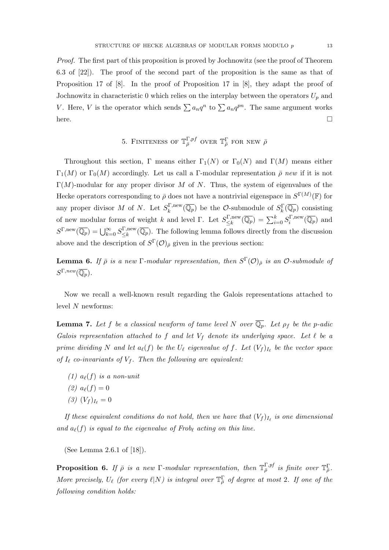Proof. The first part of this proposition is proved by Jochnowitz (see the proof of Theorem 6.3 of [22]). The proof of the second part of the proposition is the same as that of Proposition 17 of [8]. In the proof of Proposition 17 in [8], they adapt the proof of Jochnowitz in characteristic 0 which relies on the interplay between the operators  $U_p$  and V. Here, V is the operator which sends  $\sum a_n q^n$  to  $\sum a_n q^{pn}$ . The same argument works here.

5. FINITENESS OF 
$$
\mathbb{T}_{\bar{\rho}}^{\Gamma,pf}
$$
 over  $\mathbb{T}_{\bar{\rho}}^{\Gamma}$  for new  $\bar{\rho}$ 

Throughout this section, Γ means either  $\Gamma_1(N)$  or  $\Gamma_0(N)$  and  $\Gamma(M)$  means either Γ<sub>1</sub>(M) or Γ<sub>0</sub>(M) accordingly. Let us call a Γ-modular representation  $\bar{\rho}$  new if it is not  $\Gamma(M)$ -modular for any proper divisor M of N. Thus, the system of eigenvalues of the Hecke operators corresponding to  $\bar{\rho}$  does not have a nontrivial eigenspace in  $S^{\Gamma(M)}(\mathbb{F})$  for any proper divisor M of N. Let  $S_k^{\Gamma,\text{new}}$  $\binom{\Gamma,\text{new}}{k}(\overline{\mathbb{Q}_p})$  be the *O*-submodule of  $S_k^{\Gamma}(\overline{\mathbb{Q}_p})$  consisting of new modular forms of weight k and level Γ. Let  $S_{\leq k}^{\Gamma,\text{new}}$  $\frac{\sum_{i=0}^{N}\sum_{i=0}^{\infty}S_{i}^{\Gamma,\text{new}}}{\leq k}$  $\binom{n}{i}^{\text{C,new}}(\overline{\mathbb{Q}_p})$  and  $S^{\Gamma,\text{new}}(\overline{\mathbb{Q}_p}) = \bigcup_{k=0}^{\infty} S^{\Gamma,\text{new}}_{\leq k}$  $\frac{\sum_{k=1}^{\infty} \sum_{k=1}^{\infty} \mathbb{Z}_{p}}{\leq k}$  The following lemma follows directly from the discussion above and the description of  $S^{\Gamma}(\mathcal{O})_{\bar{\rho}}$  given in the previous section:

**Lemma 6.** If  $\bar{\rho}$  is a new  $\Gamma$ -modular representation, then  $S^{\Gamma}(\mathcal{O})_{\bar{\rho}}$  is an  $\mathcal{O}$ -submodule of  $S^{\Gamma,new}(\overline{\mathbb{Q}_p}).$ 

Now we recall a well-known result regarding the Galois representations attached to level N newforms:

**Lemma 7.** Let f be a classical newform of tame level N over  $\overline{\mathbb{Q}_p}$ . Let  $\rho_f$  be the p-adic Galois representation attached to f and let  $V_f$  denote its underlying space. Let  $\ell$  be a prime dividing N and let  $a_{\ell}(f)$  be the  $U_{\ell}$  eigenvalue of f. Let  $(V_f)_{I_{\ell}}$  be the vector space of  $I_\ell$  co-invariants of  $V_f$ . Then the following are equivalent:

- (1)  $a_{\ell}(f)$  is a non-unit (2)  $a_{\ell}(f) = 0$
- $(3) (V_f)_{I_\ell} = 0$

If these equivalent conditions do not hold, then we have that  $(V_f)_{I_\ell}$  is one dimensional and  $a_{\ell}(f)$  is equal to the eigenvalue of Frob<sub>l</sub> acting on this line.

(See Lemma 2.6.1 of [18]).

**Proposition 6.** If  $\bar{\rho}$  is a new  $\Gamma$ -modular representation, then  $\mathbb{T}^{\Gamma,pf}_{\bar{\rho}}$  is finite over  $\mathbb{T}^{\Gamma}_{\bar{\rho}}$ . More precisely,  $U_{\ell}$  (for every  $\ell|N$ ) is integral over  $\mathbb{T}_{\bar{\rho}}^{\Gamma}$  of degree at most 2. If one of the following condition holds: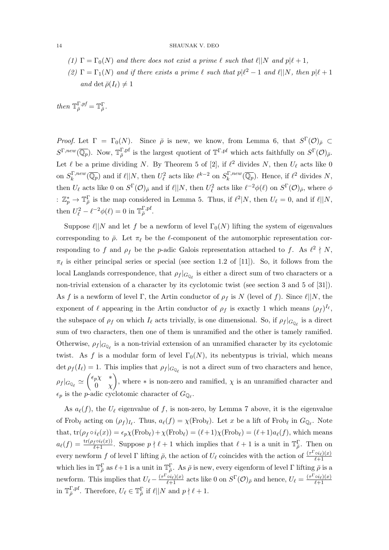- (1)  $\Gamma = \Gamma_0(N)$  and there does not exist a prime  $\ell$  such that  $\ell || N$  and  $p | \ell + 1$ ,
- (2)  $\Gamma = \Gamma_1(N)$  and if there exists a prime  $\ell$  such that  $p|\ell^2 1$  and  $\ell||N$ , then  $p|\ell + 1$ and det  $\bar{\rho}(I_\ell) \neq 1$

then  $\mathbb{T}_{\bar{\rho}}^{\Gamma,pf}=\mathbb{T}_{\bar{\rho}}^{\Gamma}.$ 

*Proof.* Let  $\Gamma = \Gamma_0(N)$ . Since  $\bar{\rho}$  is new, we know, from Lemma 6, that  $S^{\Gamma}(\mathcal{O})_{\bar{\rho}} \subset$  $S^{\Gamma,new}(\overline{\mathbb{Q}_p})$ . Now,  $\mathbb{T}_{\overline{\rho}}^{\Gamma,pf}$  is the largest quotient of  $\mathbb{T}^{\Gamma,pf}$  which acts faithfully on  $S^{\Gamma}(\mathcal{O})_{\overline{\rho}}$ . Let  $\ell$  be a prime dividing N. By Theorem 5 of [2], if  $\ell^2$  divides N, then  $U_{\ell}$  acts like 0 on  $S_k^{\Gamma,new}$  $\int_k^{\Gamma,new}(\overline{\mathbb{Q}_p})$  and if  $\ell||N$ , then  $U_\ell^2$  acts like  $\ell^{k-2}$  on  $S_k^{\Gamma,new}$  $\int_k^{\Gamma, new} (\overline{\mathbb{Q}_p})$ . Hence, if  $\ell^2$  divides N, then  $U_{\ell}$  acts like 0 on  $S^{\Gamma}(\mathcal{O})_{\bar{\rho}}$  and if  $\ell||N$ , then  $U_{\ell}^2$  acts like  $\ell^{-2}\phi(\ell)$  on  $S^{\Gamma}(\mathcal{O})_{\bar{\rho}}$ , where  $\phi$ :  $\mathbb{Z}_p^* \to \mathbb{T}_{\bar{\rho}}^{\Gamma}$  is the map considered in Lemma 5. Thus, if  $\ell^2|N$ , then  $U_{\ell} = 0$ , and if  $\ell||N$ , then  $U_{\ell}^2 - {\ell}^{-2}\phi({\ell}) = 0$  in  ${\mathbb T}_{\bar{\rho}}^{\Gamma, {\rm pf}}$ .

Suppose  $\ell||N$  and let f be a newform of level  $\Gamma_0(N)$  lifting the system of eigenvalues corresponding to  $\bar{\rho}$ . Let  $\pi_{\ell}$  be the  $\ell$ -component of the automorphic representation corresponding to f and  $\rho_f$  be the p-adic Galois representation attached to f. As  $\ell^2 \nmid N$ ,  $\pi_{\ell}$  is either principal series or special (see section 1.2 of [11]). So, it follows from the local Langlands correspondence, that  $\rho_f |_{G_{\mathbb{Q}_\ell}}$  is either a direct sum of two characters or a non-trivial extension of a character by its cyclotomic twist (see section 3 and 5 of [31]). As f is a newform of level Γ, the Artin conductor of  $\rho_f$  is N (level of f). Since  $\ell||N$ , the exponent of  $\ell$  appearing in the Artin conductor of  $\rho_f$  is exactly 1 which means  $(\rho_f)^{I_\ell}$ , the subspace of  $\rho_f$  on which  $I_\ell$  acts trivially, is one dimensional. So, if  $\rho_f |_{G_{\mathbb{Q}_\ell}}$  is a direct sum of two characters, then one of them is unramified and the other is tamely ramified. Otherwise,  $\rho_f |_{G_{\mathbb{Q}_\ell}}$  is a non-trivial extension of an unramified character by its cyclotomic twist. As f is a modular form of level  $\Gamma_0(N)$ , its nebentypus is trivial, which means det  $\rho_f(I_\ell) = 1$ . This implies that  $\rho_f |_{G_{\mathbb{Q}_\ell}}$  is not a direct sum of two characters and hence,  $\rho_f|_{G_{\mathbb{Q}_{\ell}}}\simeq \begin{pmatrix} \epsilon_p \chi & *\ 0 & \chi \end{pmatrix}$  $0 \quad \chi$ ), where  $*$  is non-zero and ramified,  $\chi$  is an unramified character and  $\epsilon_p$  is the *p*-adic cyclotomic character of  $G_{\mathbb{Q}_{\ell}}$ .

As  $a_{\ell}(f)$ , the  $U_{\ell}$  eigenvalue of f, is non-zero, by Lemma 7 above, it is the eigenvalue of Frob<sub>l</sub> acting on  $(\rho_f)_{I_\ell}$ . Thus,  $a_\ell(f) = \chi(\text{Frob}_\ell)$ . Let x be a lift of Frob<sub>l</sub> in  $G_{\mathbb{Q}_\ell}$ . Note that,  $tr(\rho_f \circ i_\ell(x)) = \epsilon_p \chi(Frob_\ell) + \chi(Frob_\ell) = (\ell + 1)\chi(Frob_\ell) = (\ell + 1)a_\ell(f)$ , which means  $a_{\ell}(f) = \frac{\text{tr}(\rho_f \circ i_{\ell}(x))}{\ell+1}$ . Suppose  $p \nmid \ell+1$  which implies that  $\ell+1$  is a unit in  $\mathbb{T}_{\bar{\rho}}^{\Gamma}$ . Then on every newform f of level Γ lifting  $\bar{\rho}$ , the action of  $U_{\ell}$  coincides with the action of  $\frac{(\tau \Gamma_{o i_{\ell}})(x)}{\ell+1}$  $\ell+1$ which lies in  $\mathbb{T}_{\bar{\rho}}^{\Gamma}$  as  $\ell+1$  is a unit in  $\mathbb{T}_{\bar{\rho}}^{\Gamma}$ . As  $\bar{\rho}$  is new, every eigenform of level  $\Gamma$  lifting  $\bar{\rho}$  is a newform. This implies that  $U_\ell - \frac{(\tau^{\Gamma} \circ i_{\ell})(x)}{\ell+1}$  acts like 0 on  $S^{\Gamma}(\mathcal{O})_{\bar{\rho}}$  and hence,  $U_\ell = \frac{(\tau^{\Gamma} \circ i_{\ell})(x)}{\ell+1}$  $\ell+1$ in  $\mathbb{T}_{\bar{\rho}}^{\Gamma,pf}$ . Therefore,  $U_{\ell} \in \mathbb{T}_{\bar{\rho}}^{\Gamma}$  if  $\ell \mid N$  and  $p \nmid \ell + 1$ .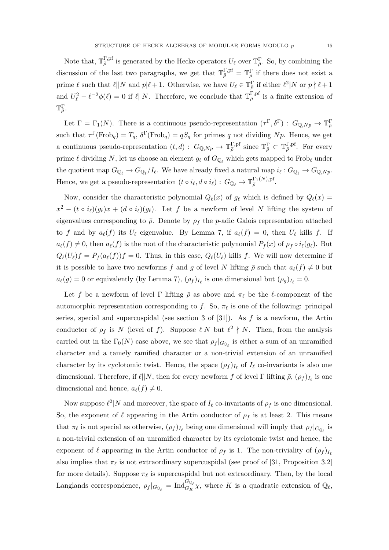Note that,  $\mathbb{T}_{\bar{\rho}}^{\Gamma,pf}$  is generated by the Hecke operators  $U_{\ell}$  over  $\mathbb{T}_{\bar{\rho}}^{\Gamma}$ . So, by combining the discussion of the last two paragraphs, we get that  $\mathbb{T}_{\bar{\rho}}^{\Gamma,pf} = \mathbb{T}_{\bar{\rho}}^{\Gamma}$  if there does not exist a prime  $\ell$  such that  $\ell || N$  and  $p | \ell + 1$ . Otherwise, we have  $U_{\ell} \in \mathbb{T}_{\bar{\rho}}^{\Gamma}$  if either  $\ell^2 | N$  or  $p \nmid \ell + 1$ and  $U_{\ell}^2 - {\ell}^{-2}\phi(\ell) = 0$  if  $\ell||N$ . Therefore, we conclude that  $\mathbb{T}_{\bar{\rho}}^{\Gamma, \text{pf}}$  is a finite extension of  $\mathbb{T}_{\bar{\rho}}^{\Gamma}.$ 

Let  $\Gamma = \Gamma_1(N)$ . There is a continuous pseudo-representation  $(\tau^{\Gamma}, \delta^{\Gamma}) : G_{\mathbb{Q},Np} \to \mathbb{T}_{\bar{\rho}}^{\Gamma}$ such that  $\tau^{\Gamma}(\text{Frob}_{q}) = T_{q}, \delta^{\Gamma}(\text{Frob}_{q}) = qS_{q}$  for primes q not dividing Np. Hence, we get a continuous pseudo-representation  $(t, d) : G_{\mathbb{Q}, Np} \to \mathbb{T}_{\bar{\rho}}^{\Gamma, \text{pf}}$  since  $\mathbb{T}_{\bar{\rho}}^{\Gamma} \subset \mathbb{T}_{\bar{\rho}}^{\Gamma, \text{pf}}$ . For every prime  $\ell$  dividing N, let us choose an element  $g_\ell$  of  $G_{\mathbb{Q}_\ell}$  which gets mapped to Frob<sub> $\ell$ </sub> under the quotient map  $G_{\mathbb{Q}_\ell} \to G_{\mathbb{Q}_\ell}/I_\ell$ . We have already fixed a natural map  $i_\ell : G_{\mathbb{Q}_\ell} \to G_{\mathbb{Q},Np}$ . Hence, we get a pseudo-representation  $(t \circ i_{\ell}, d \circ i_{\ell}) : G_{\mathbb{Q}_{\ell}} \to \mathbb{T}_{\bar{\rho}}^{\Gamma_1(N), \text{pf}}$ .

Now, consider the characteristic polynomial  $Q_{\ell}(x)$  of  $g_{\ell}$  which is defined by  $Q_{\ell}(x) =$  $x^2 - (t \circ i_\ell)(g_\ell)x + (d \circ i_\ell)(g_\ell)$ . Let f be a newform of level N lifting the system of eigenvalues corresponding to  $\bar{\rho}$ . Denote by  $\rho_f$  the p-adic Galois representation attached to f and by  $a_{\ell}(f)$  its  $U_{\ell}$  eigenvalue. By Lemma 7, if  $a_{\ell}(f) = 0$ , then  $U_{\ell}$  kills f. If  $a_{\ell}(f) \neq 0$ , then  $a_{\ell}(f)$  is the root of the characteristic polynomial  $P_f(x)$  of  $\rho_f \circ i_{\ell}(g_{\ell})$ . But  $Q_{\ell}(U_{\ell})f = P_{f}(a_{\ell}(f))f = 0.$  Thus, in this case,  $Q_{\ell}(U_{\ell})$  kills f. We will now determine if it is possible to have two newforms f and g of level N lifting  $\bar{\rho}$  such that  $a_{\ell}(f) \neq 0$  but  $a_{\ell}(g) = 0$  or equivalently (by Lemma 7),  $(\rho_f)_{I_{\ell}}$  is one dimensional but  $(\rho_g)_{I_{\ell}} = 0$ .

Let f be a newform of level Γ lifting  $\bar{\rho}$  as above and  $\pi_{\ell}$  be the  $\ell$ -component of the automorphic representation corresponding to f. So,  $\pi_{\ell}$  is one of the following: principal series, special and supercuspidal (see section 3 of  $[31]$ ). As f is a newform, the Artin conductor of  $\rho_f$  is N (level of f). Suppose  $\ell | N$  but  $\ell^2 \nmid N$ . Then, from the analysis carried out in the  $\Gamma_0(N)$  case above, we see that  $\rho_f |_{G_{\mathbb{Q}_\ell}}$  is either a sum of an unramified character and a tamely ramified character or a non-trivial extension of an unramified character by its cyclotomic twist. Hence, the space  $(\rho_f)_{I_\ell}$  of  $I_\ell$  co-invariants is also one dimensional. Therefore, if  $\ell||N$ , then for every newform f of level Γ lifting  $\bar{\rho}$ ,  $(\rho_f)_{I_\ell}$  is one dimensional and hence,  $a_{\ell}(f) \neq 0$ .

Now suppose  $\ell^2 | N$  and moreover, the space of  $I_\ell$  co-invariants of  $\rho_f$  is one dimensional. So, the exponent of  $\ell$  appearing in the Artin conductor of  $\rho_f$  is at least 2. This means that  $\pi_\ell$  is not special as otherwise,  $(\rho_f)_{I_\ell}$  being one dimensional will imply that  $\rho_f |_{G_{\mathbb{Q}_\ell}}$  is a non-trivial extension of an unramified character by its cyclotomic twist and hence, the exponent of  $\ell$  appearing in the Artin conductor of  $\rho_f$  is 1. The non-triviality of  $(\rho_f)_{I_\ell}$ also implies that  $\pi_{\ell}$  is not extraordinary supercuspidal (see proof of [31, Proposition 3.2] for more details). Suppose  $\pi_{\ell}$  is supercuspidal but not extraordinary. Then, by the local Langlands correspondence,  $\rho_f|_{G_{\mathbb{Q}_\ell}} = \text{Ind}_{G_K}^{G_{\mathbb{Q}_\ell}} \chi$ , where K is a quadratic extension of  $\mathbb{Q}_\ell$ ,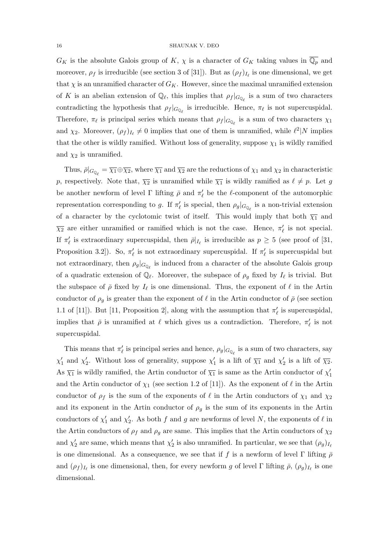$G_K$  is the absolute Galois group of K,  $\chi$  is a character of  $G_K$  taking values in  $\overline{\mathbb{Q}_p}$  and moreover,  $\rho_f$  is irreducible (see section 3 of [31]). But as  $(\rho_f)_{I_\ell}$  is one dimensional, we get that  $\chi$  is an unramified character of  $G_K$ . However, since the maximal unramified extension of K is an abelian extension of  $\mathbb{Q}_\ell$ , this implies that  $\rho_f |_{G_{\mathbb{Q}_\ell}}$  is a sum of two characters contradicting the hypothesis that  $\rho_f |_{G_{\mathbb{Q}_\ell}}$  is irreducible. Hence,  $\pi_\ell$  is not supercuspidal. Therefore,  $\pi_{\ell}$  is principal series which means that  $\rho_f |_{G_{\mathbb{Q}_{\ell}}}$  is a sum of two characters  $\chi_1$ and  $\chi_2$ . Moreover,  $(\rho_f)_{I_\ell} \neq 0$  implies that one of them is unramified, while  $\ell^2 | N$  implies that the other is wildly ramified. Without loss of generality, suppose  $\chi_1$  is wildly ramified and  $\chi_2$  is unramified.

Thus,  $\bar{\rho}|_{G_{\mathbb{Q}_\ell}} = \overline{\chi_1} \oplus \overline{\chi_2}$ , where  $\overline{\chi_1}$  and  $\overline{\chi_2}$  are the reductions of  $\chi_1$  and  $\chi_2$  in characteristic p, respectively. Note that,  $\overline{\chi_2}$  is unramified while  $\overline{\chi_1}$  is wildly ramified as  $\ell \neq p$ . Let g be another newform of level  $\Gamma$  lifting  $\bar{\rho}$  and  $\pi'_{\ell}$  be the  $\ell$ -component of the automorphic representation corresponding to g. If  $\pi'_\ell$  is special, then  $\rho_g|_{G_{\mathbb{Q}_\ell}}$  is a non-trivial extension of a character by the cyclotomic twist of itself. This would imply that both  $\overline{\chi_1}$  and  $\overline{\chi_2}$  are either unramified or ramified which is not the case. Hence,  $\pi'_\ell$  is not special. If  $\pi'_{\ell}$  is extraordinary supercuspidal, then  $\bar{\rho}|_{I_{\ell}}$  is irreducible as  $p \geq 5$  (see proof of [31, Proposition 3.2]). So,  $\pi'_{\ell}$  is not extraordinary supercuspidal. If  $\pi'_{\ell}$  is supercuspidal but not extraordinary, then  $\rho_g|_{G_{\mathbb{Q}_\ell}}$  is induced from a character of the absolute Galois group of a quadratic extension of  $\mathbb{Q}_\ell$ . Moreover, the subspace of  $\rho_g$  fixed by  $I_\ell$  is trivial. But the subspace of  $\bar{\rho}$  fixed by  $I_{\ell}$  is one dimensional. Thus, the exponent of  $\ell$  in the Artin conductor of  $\rho_g$  is greater than the exponent of  $\ell$  in the Artin conductor of  $\bar{\rho}$  (see section 1.1 of [11]). But [11, Proposition 2], along with the assumption that  $\pi'_{\ell}$  is supercuspidal, implies that  $\bar{\rho}$  is unramified at  $\ell$  which gives us a contradiction. Therefore,  $\pi'_{\ell}$  is not supercuspidal.

This means that  $\pi'_\ell$  is principal series and hence,  $\rho_g|_{G_{\mathbb{Q}_\ell}}$  is a sum of two characters, say  $\chi'_1$  and  $\chi'_2$ . Without loss of generality, suppose  $\chi'_1$  is a lift of  $\overline{\chi_1}$  and  $\chi'_2$  is a lift of  $\overline{\chi_2}$ . As  $\overline{\chi_1}$  is wildly ramified, the Artin conductor of  $\overline{\chi_1}$  is same as the Artin conductor of  $\chi'_1$ and the Artin conductor of  $\chi_1$  (see section 1.2 of [11]). As the exponent of  $\ell$  in the Artin conductor of  $\rho_f$  is the sum of the exponents of  $\ell$  in the Artin conductors of  $\chi_1$  and  $\chi_2$ and its exponent in the Artin conductor of  $\rho_g$  is the sum of its exponents in the Artin conductors of  $\chi'_1$  and  $\chi'_2$ . As both f and g are newforms of level N, the exponents of  $\ell$  in the Artin conductors of  $\rho_f$  and  $\rho_g$  are same. This implies that the Artin conductors of  $\chi_2$ and  $\chi'_2$  are same, which means that  $\chi'_2$  is also unramified. In particular, we see that  $(\rho_g)_{I_\ell}$ is one dimensional. As a consequence, we see that if f is a newform of level Γ lifting  $\bar{\rho}$ and  $(\rho_f)_{I_\ell}$  is one dimensional, then, for every newform g of level  $\Gamma$  lifting  $\bar{\rho}, (\rho_g)_{I_\ell}$  is one dimensional.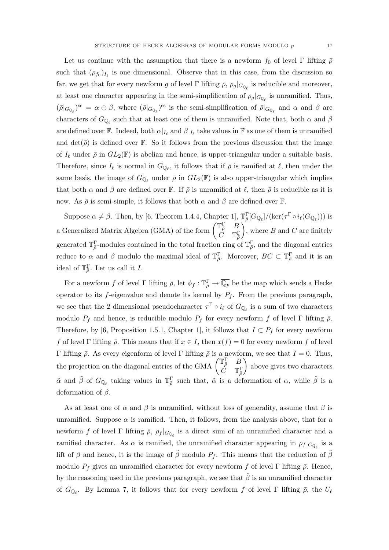Let us continue with the assumption that there is a newform  $f_0$  of level Γ lifting  $\bar{\rho}$ such that  $(\rho_{f_0})_{I_\ell}$  is one dimensional. Observe that in this case, from the discussion so far, we get that for every newform g of level  $\Gamma$  lifting  $\bar{\rho}$ ,  $\rho_g|_{G_{\mathbb{Q}_\ell}}$  is reducible and moreover, at least one character appearing in the semi-simplification of  $\rho_g|_{G_{\mathbb{Q}_\ell}}$  is unramified. Thus,  $(\bar{\rho}|_{G_{\mathbb{Q}_\ell}})^{ss} = \alpha \oplus \beta$ , where  $(\bar{\rho}|_{G_{\mathbb{Q}_\ell}})^{ss}$  is the semi-simplification of  $\bar{\rho}|_{G_{\mathbb{Q}_\ell}}$  and  $\alpha$  and  $\beta$  are characters of  $G_{\mathbb{Q}_{\ell}}$  such that at least one of them is unramified. Note that, both  $\alpha$  and  $\beta$ are defined over  $\mathbb F$ . Indeed, both  $\alpha|_{I_\ell}$  and  $\beta|_{I_\ell}$  take values in  $\mathbb F$  as one of them is unramified and  $\det(\bar{\rho})$  is defined over F. So it follows from the previous discussion that the image of  $I_\ell$  under  $\bar{\rho}$  in  $GL_2(\mathbb{F})$  is abelian and hence, is upper-triangular under a suitable basis. Therefore, since  $I_\ell$  is normal in  $G_{\mathbb{Q}_\ell}$ , it follows that if  $\bar{\rho}$  is ramified at  $\ell$ , then under the same basis, the image of  $G_{\mathbb{Q}_{\ell}}$  under  $\bar{\rho}$  in  $GL_2(\mathbb{F})$  is also upper-triangular which implies that both  $\alpha$  and  $\beta$  are defined over F. If  $\bar{\rho}$  is unramified at  $\ell$ , then  $\bar{\rho}$  is reducible as it is new. As  $\bar{\rho}$  is semi-simple, it follows that both  $\alpha$  and  $\beta$  are defined over F.

Suppose  $\alpha \neq \beta$ . Then, by [6, Theorem 1.4.4, Chapter 1],  $\mathbb{T}_{\bar{\rho}}^{\Gamma}[G_{\mathbb{Q}_{\ell}}]/(\ker(\tau^{\Gamma} \circ i_{\ell}(G_{\mathbb{Q}_{\ell}})))$  is a Generalized Matrix Algebra (GMA) of the form  $\begin{pmatrix} \mathbb{T}_P^{\Gamma} & B \\ C & \mathbb{T}^{\Gamma} \end{pmatrix}$  $\dot C$  T $_{\bar\rho}^{\Gamma}$ ), where  $B$  and  $C$  are finitely generated  $\mathbb{T}_{\bar{\rho}}^{\Gamma}$ -modules contained in the total fraction ring of  $\mathbb{T}_{\bar{\rho}}^{\Gamma}$ , and the diagonal entries reduce to  $\alpha$  and  $\beta$  modulo the maximal ideal of  $\mathbb{T}_{\bar{\rho}}^{\Gamma}$ . Moreover,  $BC \subset \mathbb{T}_{\bar{\rho}}^{\Gamma}$  and it is an ideal of  $\mathbb{T}_{\bar{\rho}}^{\Gamma}$ . Let us call it I.

For a newform f of level  $\Gamma$  lifting  $\bar{\rho}$ , let  $\phi_f : \mathbb{T}_{\bar{\rho}}^{\Gamma} \to \overline{\mathbb{Q}_p}$  be the map which sends a Hecke operator to its f-eigenvalue and denote its kernel by  $P_f$ . From the previous paragraph, we see that the 2 dimensional pseudocharacter  $\tau^{\Gamma} \circ i_{\ell}$  of  $G_{\mathbb{Q}_{\ell}}$  is a sum of two characters modulo  $P_f$  and hence, is reducible modulo  $P_f$  for every newform f of level Γ lifting  $\bar{\rho}$ . Therefore, by [6, Proposition 1.5.1, Chapter 1], it follows that  $I \subset P_f$  for every newform f of level Γ lifting  $\bar{\rho}$ . This means that if  $x \in I$ , then  $x(f) = 0$  for every newform f of level Γ lifting  $\bar{\rho}$ . As every eigenform of level Γ lifting  $\bar{\rho}$  is a newform, we see that  $I = 0$ . Thus, the projection on the diagonal entries of the GMA  $\begin{pmatrix} \mathbb{T}_P^{\Gamma} & B \\ C & \mathbb{T}^{\Gamma} \end{pmatrix}$  $\dot{C}$  T $_{\bar{\rho}}^{\Gamma}$  above gives two characters  $\tilde{\alpha}$  and  $\tilde{\beta}$  of  $G_{\mathbb{Q}_{\ell}}$  taking values in  $\mathbb{T}_{\bar{\rho}}^{\Gamma}$  such that,  $\tilde{\alpha}$  is a deformation of  $\alpha$ , while  $\tilde{\beta}$  is a deformation of  $\beta$ .

As at least one of  $\alpha$  and  $\beta$  is unramified, without loss of generality, assume that  $\beta$  is unramified. Suppose  $\alpha$  is ramified. Then, it follows, from the analysis above, that for a newform f of level  $\Gamma$  lifting  $\bar{\rho}$ ,  $\rho_f |_{G_{\mathbb{Q}_\ell}}$  is a direct sum of an unramified character and a ramified character. As  $\alpha$  is ramified, the unramified character appearing in  $\rho_f |_{G_{\mathbb{Q}_\ell}}$  is a lift of  $\beta$  and hence, it is the image of  $\tilde{\beta}$  modulo  $P_f$ . This means that the reduction of  $\tilde{\beta}$ modulo  $P_f$  gives an unramified character for every newform f of level Γ lifting  $\bar{\rho}$ . Hence, by the reasoning used in the previous paragraph, we see that  $\tilde{\beta}$  is an unramified character of  $G_{\mathbb{Q}_\ell}$ . By Lemma 7, it follows that for every newform f of level  $\Gamma$  lifting  $\bar{\rho}$ , the  $U_\ell$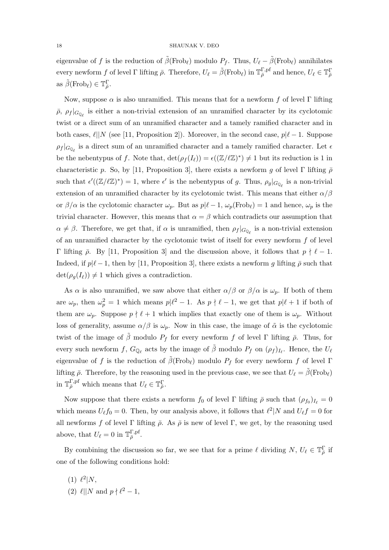eigenvalue of f is the reduction of  $\tilde{\beta}$ (Frob<sub>l</sub>) modulo P<sub>f</sub>. Thus,  $U_{\ell} - \tilde{\beta}$ (Frob<sub>l</sub>) annihilates every newform f of level  $\Gamma$  lifting  $\bar{\rho}$ . Therefore,  $U_{\ell} = \tilde{\beta}(\text{Frob}_{\ell})$  in  $\mathbb{T}_{\bar{\rho}}^{\Gamma, \text{pf}}$  and hence,  $U_{\ell} \in \mathbb{T}_{\bar{\rho}}^{\Gamma}$ as  $\tilde{\beta}(\text{Frob}_{\ell}) \in \mathbb{T}_{\bar{\rho}}^{\Gamma}.$ 

Now, suppose  $\alpha$  is also unramified. This means that for a newform f of level Γ lifting  $\bar{\rho}$ ,  $\rho_f |_{G_{\mathbb{Q}_\ell}}$  is either a non-trivial extension of an unramified character by its cyclotomic twist or a direct sum of an unramified character and a tamely ramified character and in both cases,  $\ell||N$  (see [11, Proposition 2]). Moreover, in the second case,  $p|\ell - 1$ . Suppose  $\rho_f |_{G_{\mathbb{Q}_\ell}}$  is a direct sum of an unramified character and a tamely ramified character. Let  $\epsilon$ be the nebentypus of f. Note that,  $\det(\rho_f(I_\ell)) = \epsilon((\mathbb{Z}/\ell\mathbb{Z})^*) \neq 1$  but its reduction is 1 in characteristic p. So, by [11, Proposition 3], there exists a newform g of level Γ lifting  $\bar{\rho}$ such that  $\epsilon'((\mathbb{Z}/\ell\mathbb{Z})^*)=1$ , where  $\epsilon'$  is the nebentypus of g. Thus,  $\rho_g|_{G_{\mathbb{Q}_\ell}}$  is a non-trivial extension of an unramified character by its cyclotomic twist. This means that either  $\alpha/\beta$ or  $\beta/\alpha$  is the cyclotomic character  $\omega_p$ . But as  $p|\ell - 1$ ,  $\omega_p(Frob_\ell) = 1$  and hence,  $\omega_p$  is the trivial character. However, this means that  $\alpha = \beta$  which contradicts our assumption that  $\alpha \neq \beta$ . Therefore, we get that, if  $\alpha$  is unramified, then  $\rho_f |_{G_{\mathbb{Q}_\ell}}$  is a non-trivial extension of an unramified character by the cyclotomic twist of itself for every newform  $f$  of level Γ lifting  $\bar{\rho}$ . By [11, Proposition 3] and the discussion above, it follows that  $p \nmid \ell − 1$ . Indeed, if  $p|\ell - 1$ , then by [11, Proposition 3], there exists a newform g lifting  $\bar{\rho}$  such that  $\det(\rho_q(I_\ell)) \neq 1$  which gives a contradiction.

As  $\alpha$  is also unramified, we saw above that either  $\alpha/\beta$  or  $\beta/\alpha$  is  $\omega_p$ . If both of them are  $\omega_p$ , then  $\omega_p^2 = 1$  which means  $p|\ell^2 - 1$ . As  $p \nmid \ell - 1$ , we get that  $p|\ell + 1$  if both of them are  $\omega_p$ . Suppose  $p \nmid \ell + 1$  which implies that exactly one of them is  $\omega_p$ . Without loss of generality, assume  $\alpha/\beta$  is  $\omega_p$ . Now in this case, the image of  $\tilde{\alpha}$  is the cyclotomic twist of the image of  $\beta$  modulo  $P_f$  for every newform f of level Γ lifting  $\bar{\rho}$ . Thus, for every such newform f,  $G_{\mathbb{Q}_\ell}$  acts by the image of  $\tilde{\beta}$  modulo  $P_f$  on  $(\rho_f)_{I_\ell}$ . Hence, the  $U_\ell$ eigenvalue of f is the reduction of  $\beta$ (Frob<sub>l</sub>) modulo  $P_f$  for every newform f of level Γ lifting  $\bar{\rho}$ . Therefore, by the reasoning used in the previous case, we see that  $U_{\ell} = \bar{\beta}(\text{Frob}_{\ell})$ in  $\mathbb{T}_{\bar{\rho}}^{\Gamma,pf}$  which means that  $U_{\ell} \in \mathbb{T}_{\bar{\rho}}^{\Gamma}.$ 

Now suppose that there exists a newform  $f_0$  of level  $\Gamma$  lifting  $\bar{\rho}$  such that  $(\rho_{f_0})_{I_\ell} = 0$ which means  $U_{\ell} f_0 = 0$ . Then, by our analysis above, it follows that  $\ell^2 | N$  and  $U_{\ell} f = 0$  for all newforms f of level Γ lifting  $\bar{\rho}$ . As  $\bar{\rho}$  is new of level Γ, we get, by the reasoning used above, that  $U_{\ell} = 0$  in  $\mathbb{T}_{\bar{\rho}}^{\Gamma, \mathrm{pf}}$ .

By combining the discussion so far, we see that for a prime  $\ell$  dividing  $N, U_{\ell} \in \mathbb{T}_{\bar{\rho}}^{\Gamma}$  if one of the following conditions hold:

(1)  $\ell^2 | N,$ (2)  $\ell$ ||N and  $p \nmid \ell^2 - 1$ ,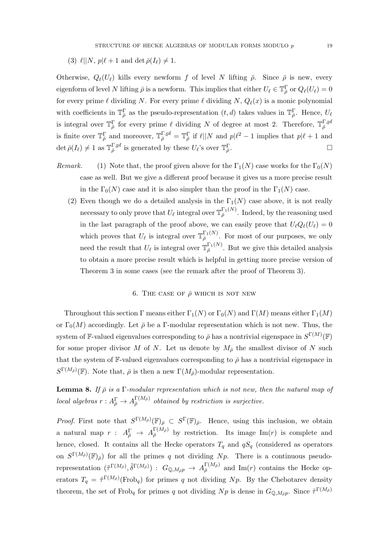(3)  $\ell |N, p|\ell + 1$  and det  $\bar{\rho}(I_\ell) \neq 1$ .

Otherwise,  $Q_{\ell}(U_{\ell})$  kills every newform f of level N lifting  $\bar{\rho}$ . Since  $\bar{\rho}$  is new, every eigenform of level N lifting  $\bar{\rho}$  is a newform. This implies that either  $U_\ell \in \mathbb{T}_{\bar{\rho}}^{\Gamma}$  or  $Q_{\ell}(U_\ell) = 0$ for every prime  $\ell$  dividing N. For every prime  $\ell$  dividing N,  $Q_{\ell}(x)$  is a monic polynomial with coefficients in  $\mathbb{T}_{\bar{\rho}}^{\Gamma}$  as the pseudo-representation  $(t, d)$  takes values in  $\mathbb{T}_{\bar{\rho}}^{\Gamma}$ . Hence,  $U_{\ell}$ is integral over  $\mathbb{T}_{\bar{\rho}}^{\Gamma}$  for every prime  $\ell$  dividing N of degree at most 2. Therefore,  $\mathbb{T}_{\bar{\rho}}^{\Gamma,pf}$ is finite over  $\mathbb{T}_{\bar{\rho}}^{\Gamma}$  and moreover,  $\mathbb{T}_{\bar{\rho}}^{\Gamma,pf} = \mathbb{T}_{\bar{\rho}}^{\Gamma}$  if  $\ell||N$  and  $p|\ell^2 - 1$  implies that  $p|\ell + 1$  and  $\det \bar{\rho}(I_\ell) \neq 1$  as  $\mathbb{T}_{\bar{\rho}}^{\Gamma,\text{pf}}$  is generated by these  $U_\ell$ 's over  $\mathbb{T}_{\bar{\rho}}^{\Gamma}$ .

- Remark. (1) Note that, the proof given above for the  $\Gamma_1(N)$  case works for the  $\Gamma_0(N)$ case as well. But we give a different proof because it gives us a more precise result in the  $\Gamma_0(N)$  case and it is also simpler than the proof in the  $\Gamma_1(N)$  case.
	- (2) Even though we do a detailed analysis in the  $\Gamma_1(N)$  case above, it is not really necessary to only prove that  $U_\ell$  integral over  $\mathbb{T}_{\bar{\rho}}^{\Gamma_1(N)}$ . Indeed, by the reasoning used in the last paragraph of the proof above, we can easily prove that  $U_\ell Q_\ell(U_\ell) = 0$ which proves that  $U_{\ell}$  is integral over  $\mathbb{T}_{\bar{\rho}}^{\Gamma_1(N)}$ . For most of our purposes, we only need the result that  $U_{\ell}$  is integral over  $\mathbb{T}_{\bar{\rho}}^{\Gamma_1(N)}$ . But we give this detailed analysis to obtain a more precise result which is helpful in getting more precise version of Theorem 3 in some cases (see the remark after the proof of Theorem 3).

## 6. THE CASE OF  $\bar{\rho}$  which is not new

Throughout this section Γ means either  $\Gamma_1(N)$  or  $\Gamma_0(N)$  and  $\Gamma(M)$  means either  $\Gamma_1(M)$ or  $\Gamma_0(M)$  accordingly. Let  $\bar{\rho}$  be a Γ-modular representation which is not new. Thus, the system of F-valued eigenvalues corresponding to  $\bar{\rho}$  has a nontrivial eigenspace in  $S^{\Gamma(M)}(\mathbb{F})$ for some proper divisor M of N. Let us denote by  $M_{\bar{\rho}}$  the smallest divisor of N such that the system of F-valued eigenvalues corresponding to  $\bar{\rho}$  has a nontrivial eigenspace in  $S^{\Gamma(M_{\bar{\rho}})}(\mathbb{F})$ . Note that,  $\bar{\rho}$  is then a new  $\Gamma(M_{\bar{\rho}})$ -modular representation.

**Lemma 8.** If  $\bar{\rho}$  is a Γ-modular representation which is not new, then the natural map of local algebras  $r: A^{\Gamma}_{\bar{\rho}} \to A^{\Gamma(M_{\bar{\rho}})}_{\bar{\rho}}$  obtained by restriction is surjective.

*Proof.* First note that  $S^{\Gamma(M_{\bar{\rho}})}(\mathbb{F})_{\bar{\rho}} \subset S^{\Gamma}(\mathbb{F})_{\bar{\rho}}$ . Hence, using this inclusion, we obtain a natural map  $r: A_{\bar{\rho}}^{\Gamma} \to A_{\bar{\rho}}^{\Gamma(M_{\bar{\rho}})}$  by restriction. Its image Im(*r*) is complete and hence, closed. It contains all the Hecke operators  $T_q$  and  $qS_q$  (considered as operators on  $S^{\Gamma(M_{\bar{\rho}})}(\mathbb{F})_{\bar{\rho}}$  for all the primes q not dividing Np. There is a continuous pseudorepresentation  $(\tilde{\tau}^{\Gamma(M_{\bar{\rho}})}, \tilde{\delta}^{\Gamma(M_{\bar{\rho}})})$  :  $G_{\mathbb{Q},M_{\bar{\rho}P}} \to A_{\bar{\rho}}^{\Gamma(M_{\bar{\rho}})}$  and  $\text{Im}(r)$  contains the Hecke operators  $T_q = \tilde{\tau}^{\Gamma(M_{\bar{\rho}})}(\text{Frob}_q)$  for primes q not dividing Np. By the Chebotarev density theorem, the set of Frob<sub>q</sub> for primes q not dividing  $Np$  is dense in  $G_{\mathbb{Q},M_{\bar{p}}p}$ . Since  $\tilde{\tau}^{\Gamma(M_{\bar{p}})}$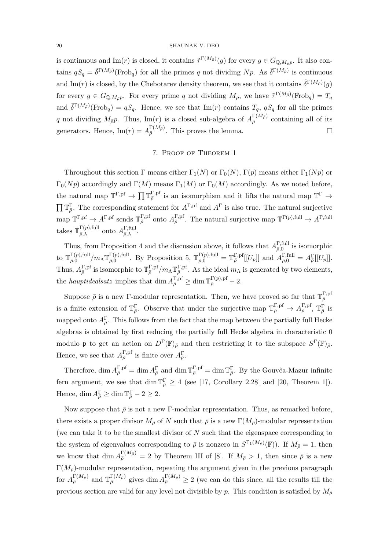is continuous and Im(*r*) is closed, it contains  $\tilde{\tau}^{\Gamma(M_{\bar{\rho}})}(g)$  for every  $g \in G_{\mathbb{Q},M_{\bar{\rho}}p}$ . It also contains  $qS_q = \tilde{\delta}^{\Gamma(M_{\bar{\rho}})}(\text{Frob}_q)$  for all the primes q not dividing Np. As  $\tilde{\delta}^{\Gamma(M_{\bar{\rho}})}$  is continuous and Im(r) is closed, by the Chebotarev density theorem, we see that it contains  $\tilde{\delta}^{\Gamma(M_{\bar{\rho}})}(g)$ for every  $g \in G_{\mathbb{Q},M_{\bar{p}}p}$ . For every prime q not dividing  $M_{\bar{p}}$ , we have  $\tilde{\tau}^{\Gamma(M_{\bar{p}})}(\text{Frob}_q) = T_q$ and  $\tilde{\delta}^{\Gamma(M_{\bar{\rho}})}(\text{Frob}_q) = qS_q$ . Hence, we see that Im(*r*) contains  $T_q$ ,  $qS_q$  for all the primes q not dividing  $M_{\bar{\rho}}p$ . Thus, Im(r) is a closed sub-algebra of  $A_{\bar{\rho}}^{\Gamma(M_{\bar{\rho}})}$  containing all of its generators. Hence,  $\text{Im}(r) = A_{\bar{\rho}}^{\Gamma(M_{\bar{\rho}})}$ . This proves the lemma.

# 7. Proof of Theorem 1

Throughout this section Γ means either  $\Gamma_1(N)$  or  $\Gamma_0(N)$ ,  $\Gamma(p)$  means either  $\Gamma_1(Np)$  or  $\Gamma_0(Np)$  accordingly and  $\Gamma(M)$  means  $\Gamma_1(M)$  or  $\Gamma_0(M)$  accordingly. As we noted before, the natural map  $\mathbb{T}^{\Gamma,pf} \to \prod \mathbb{T}_{\bar{\rho}}^{\Gamma,pf}$  is an isomorphism and it lifts the natural map  $\mathbb{T}^{\Gamma} \to$  $\Pi \mathbb{T}_{\bar{\rho}}^{\Gamma}$ . The corresponding statement for  $A^{\Gamma,pf}$  and  $A^{\Gamma}$  is also true. The natural surjective  $\text{map } \mathbb{T}^{\Gamma, \text{pf}} \to A^{\Gamma, \text{pf}} \text{ sends } \mathbb{T}_{\bar{\rho}}^{\Gamma, \text{pf}} \text{ onto } A_{\bar{\rho}}^{\Gamma, \text{pf}}.$  The natural surjective map  $\mathbb{T}^{\Gamma(p), \text{full}} \to A^{\Gamma, \text{full}}$ takes  $\mathbb{T}_{\bar{\rho}}^{\Gamma(p),\text{full}}$  $\Gamma(p),$ full onto  $A_{\bar{\rho},\lambda}^{\Gamma,\mathrm{full}}$  $\frac{1}{\bar{\rho},\lambda}$ .

Thus, from Proposition 4 and the discussion above, it follows that  $A_{\bar{a}0}^{\Gamma,\text{full}}$  $\frac{1}{\bar{\rho},0}$  is isomorphic to  $\mathbb{T}_{\bar{a},0}^{\Gamma(p),\text{full}}$  $\frac{\Gamma(p), \mathrm{full}}{\bar{\rho}, 0} / m_{\Lambda} \mathbb{T}^{\Gamma(p), \mathrm{full}}_{\bar{\rho}, 0}$  $\Gamma(p),$ full. By Proposition 5,  $\mathbb{T}_{\bar{\rho},0}^{\Gamma(p),\text{full}} = \mathbb{T}_{\bar{\rho}}^{\Gamma,pf}[[U_p]]$  and  $A_{\bar{\rho},0}^{\Gamma,\text{full}} = A_{\bar{\rho}}^{\Gamma}[[U_p]]$ . Thus,  $A_{\bar{\rho}}^{\Gamma,pf}$  is isomorphic to  $\mathbb{T}_{\bar{\rho}}^{\Gamma,pf}/m_{\Lambda}\mathbb{T}_{\bar{\rho}}^{\Gamma,pf}$ . As the ideal  $m_{\Lambda}$  is generated by two elements, the *hauptidealsatz* implies that  $\dim A_{\bar{\rho}}^{\Gamma,pf} \geq \dim \mathbb{T}_{\bar{\rho}}^{\Gamma(p),pf} - 2$ .

Suppose  $\bar{\rho}$  is a new Γ-modular representation. Then, we have proved so far that  $\mathbb{T}_{\bar{\rho}}^{\Gamma,pf}$ is a finite extension of  $\mathbb{T}_{\bar{\rho}}^{\Gamma}$ . Observe that under the surjective map  $\mathbb{T}_{\bar{\rho}}^{\Gamma,pf} \to A_{\bar{\rho}}^{\Gamma,pf}, \mathbb{T}_{\bar{\rho}}^{\Gamma}$  is mapped onto  $A_{\bar{\rho}}^{\Gamma}$ . This follows from the fact that the map between the partially full Hecke algebras is obtained by first reducing the partially full Hecke algebra in characteristic 0 modulo **p** to get an action on  $D^{\Gamma}(\mathbb{F})_{\bar{\rho}}$  and then restricting it to the subspace  $S^{\Gamma}(\mathbb{F})_{\bar{\rho}}$ . Hence, we see that  $A_{\bar{\rho}}^{\Gamma,pf}$  is finite over  $A_{\bar{\rho}}^{\Gamma}$ .

Therefore,  $\dim A_{\overline{\rho}}^{\Gamma,\text{pf}} = \dim A_{\overline{\rho}}^{\Gamma}$  and  $\dim \mathbb{T}_{\overline{\rho}}^{\Gamma,\text{pf}} = \dim \mathbb{T}_{\overline{\rho}}^{\Gamma}$ . By the Gouvêa-Mazur infinite fern argument, we see that dim  $\mathbb{T}_{\bar{\rho}}^{\Gamma} \geq 4$  (see [17, Corollary 2.28] and [20, Theorem 1]). Hence,  $\dim A_{\overline{\rho}}^{\Gamma} \ge \dim \mathbb{T}_{\overline{\rho}}^{\Gamma} - 2 \ge 2$ .

Now suppose that  $\bar{\rho}$  is not a new Γ-modular representation. Thus, as remarked before, there exists a proper divisor  $M_{\bar{\rho}}$  of N such that  $\bar{\rho}$  is a new  $\Gamma(M_{\bar{\rho}})$ -modular representation (we can take it to be the smallest divisor of  $N$  such that the eigenspace corresponding to the system of eigenvalues corresponding to  $\bar{\rho}$  is nonzero in  $S^{\Gamma_1(M_{\bar{\rho}})}(\mathbb{F})$ ). If  $M_{\bar{\rho}}=1$ , then we know that  $\dim A_{\bar{\rho}}^{\Gamma(M_{\bar{\rho}})}=2$  by Theorem III of [8]. If  $M_{\bar{\rho}} > 1$ , then since  $\bar{\rho}$  is a new  $\Gamma(M_{\bar{\rho}})$ -modular representation, repeating the argument given in the previous paragraph for  $A_{\bar{\rho}}^{\Gamma(M_{\bar{\rho}})}$  and  $\mathbb{T}_{\bar{\rho}}^{\Gamma(M_{\bar{\rho}})}$  gives dim  $A_{\bar{\rho}}^{\Gamma(M_{\bar{\rho}})} \geq 2$  (we can do this since, all the results till the previous section are valid for any level not divisible by p. This condition is satisfied by  $M_{\bar{\rho}}$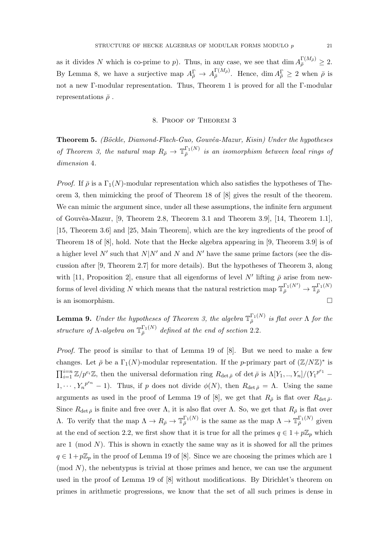as it divides N which is co-prime to p). Thus, in any case, we see that  $\dim A_{\overline{\rho}}^{\Gamma(M_{\overline{\rho}})} \geq 2$ . By Lemma 8, we have a surjective map  $A_{\bar{\rho}}^{\Gamma} \to A_{\bar{\rho}}^{\Gamma(M_{\bar{\rho}})}$ . Hence,  $\dim A_{\bar{\rho}}^{\Gamma} \geq 2$  when  $\bar{\rho}$  is not a new Γ-modular representation. Thus, Theorem 1 is proved for all the Γ-modular representations  $\bar{\rho}$ .

# 8. Proof of Theorem 3

Theorem 5. (Böckle, Diamond-Flach-Guo, Gouvêa-Mazur, Kisin) Under the hypotheses of Theorem 3, the natural map  $R_{\bar{\rho}} \to \mathbb{T}_{\bar{\rho}}^{\Gamma_1(N)}$  is an isomorphism between local rings of dimension 4.

*Proof.* If  $\bar{\rho}$  is a  $\Gamma_1(N)$ -modular representation which also satisfies the hypotheses of Theorem 3, then mimicking the proof of Theorem 18 of [8] gives the result of the theorem. We can mimic the argument since, under all these assumptions, the infinite fern argument of Gouvêa-Mazur,  $[9,$  Theorem 2.8, Theorem 3.1 and Theorem 3.9,  $[14,$  Theorem 1.1], [15, Theorem 3.6] and [25, Main Theorem], which are the key ingredients of the proof of Theorem 18 of [8], hold. Note that the Hecke algebra appearing in [9, Theorem 3.9] is of a higher level N' such that  $N|N'$  and N' and N' have the same prime factors (see the discussion after [9, Theorem 2.7] for more details). But the hypotheses of Theorem 3, along with [11, Proposition 2], ensure that all eigenforms of level N' lifting  $\bar{\rho}$  arise from newforms of level dividing N which means that the natural restriction map  $\mathbb{T}_{\bar{\rho}}^{\Gamma_1(N')} \to \mathbb{T}_{\bar{\rho}}^{\Gamma_1(N)}$ is an isomorphism.

**Lemma 9.** Under the hypotheses of Theorem 3, the algebra  $\mathbb{T}_{\bar{\rho}}^{\Gamma_1(N)}$  is flat over  $\Lambda$  for the structure of  $\Lambda$ -algebra on  $\mathbb{T}_{\bar{\rho}}^{\Gamma_1(N)}$  defined at the end of section 2.2.

*Proof.* The proof is similar to that of Lemma 19 of  $[8]$ . But we need to make a few changes. Let  $\bar{\rho}$  be a  $\Gamma_1(N)$ -modular representation. If the p-primary part of  $(\mathbb{Z}/N\mathbb{Z})^*$  is  $\prod_{i=1}^{i=n} \mathbb{Z}/p^{e_i}\mathbb{Z}$ , then the universal deformation ring  $R_{\det \bar{\rho}}$  of det  $\bar{\rho}$  is  $\Lambda[Y_1, ..., Y_n]/(Y_1^{p^{e_1}} 1, \dots, Y_n^{p^{e_n}} - 1$ ). Thus, if p does not divide  $\phi(N)$ , then  $R_{\det \bar{\rho}} = \Lambda$ . Using the same arguments as used in the proof of Lemma 19 of [8], we get that  $R_{\bar{\rho}}$  is flat over  $R_{\det \bar{\rho}}$ . Since  $R_{\det \bar{\rho}}$  is finite and free over  $\Lambda$ , it is also flat over  $\Lambda$ . So, we get that  $R_{\bar{\rho}}$  is flat over A. To verify that the map  $Λ → R_{\bar{\rho}} → \mathbb{T}_{\bar{\rho}}^{\Gamma_1(N)}$  is the same as the map  $Λ → \mathbb{T}_{\bar{\rho}}^{\Gamma_1(N)}$  given at the end of section 2.2, we first show that it is true for all the primes  $q \in 1 + p\mathbb{Z}_p$  which are 1 (mod  $N$ ). This is shown in exactly the same way as it is showed for all the primes  $q \in 1 + p\mathbb{Z}_p$  in the proof of Lemma 19 of [8]. Since we are choosing the primes which are 1  $\pmod{N}$ , the nebentypus is trivial at those primes and hence, we can use the argument used in the proof of Lemma 19 of [8] without modifications. By Dirichlet's theorem on primes in arithmetic progressions, we know that the set of all such primes is dense in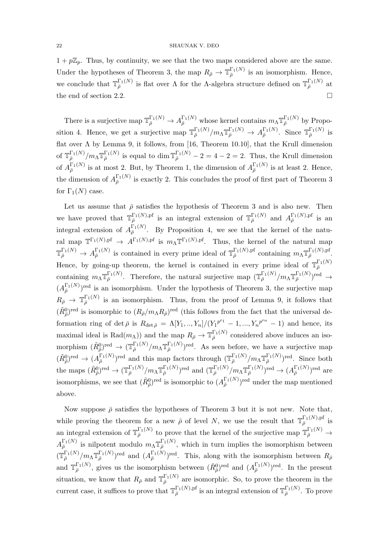$1 + p\mathbb{Z}_p$ . Thus, by continuity, we see that the two maps considered above are the same. Under the hypotheses of Theorem 3, the map  $R_{\bar{\rho}} \to \mathbb{T}_{\bar{\rho}}^{\Gamma_1(N)}$  is an isomorphism. Hence, we conclude that  $\mathbb{T}_{\bar{\rho}}^{\Gamma_1(N)}$  is flat over  $\Lambda$  for the  $\Lambda$ -algebra structure defined on  $\mathbb{T}_{\bar{\rho}}^{\Gamma_1(N)}$  at the end of section 2.2.

There is a surjective map  $\mathbb{T}_{\bar{\rho}}^{\Gamma_1(N)} \to A_{\bar{\rho}}^{\Gamma_1(N)}$  whose kernel contains  $m_{\Lambda} \mathbb{T}_{\bar{\rho}}^{\Gamma_1(N)}$  by Proposition 4. Hence, we get a surjective map  $\mathbb{T}_{\bar{\rho}}^{\Gamma_1(N)}/m_{\Lambda} \mathbb{T}_{\bar{\rho}}^{\Gamma_1(N)} \to A_{\bar{\rho}}^{\Gamma_1(N)}$ . Since  $\mathbb{T}_{\bar{\rho}}^{\Gamma_1(N)}$  is flat over  $\Lambda$  by Lemma 9, it follows, from [16, Theorem 10.10], that the Krull dimension of  $\mathbb{T}_{\bar{\rho}}^{\Gamma_1(N)}/m_\Lambda \mathbb{T}_{\bar{\rho}}^{\Gamma_1(N)}$  is equal to dim  $\mathbb{T}_{\bar{\rho}}^{\Gamma_1(N)}-2=4-2=2$ . Thus, the Krull dimension of  $A_{\bar{\rho}}^{\Gamma_1(N)}$  is at most 2. But, by Theorem 1, the dimension of  $A_{\bar{\rho}}^{\Gamma_1(N)}$  is at least 2. Hence, the dimension of  $A_{\bar{\rho}}^{\Gamma_1(N)}$  is exactly 2. This concludes the proof of first part of Theorem 3 for  $\Gamma_1(N)$  case.

Let us assume that  $\bar{\rho}$  satisfies the hypothesis of Theorem 3 and is also new. Then we have proved that  $\mathbb{T}_{\bar{\rho}}^{\Gamma_1(N),\mathrm{pf}}$  is an integral extension of  $\mathbb{T}_{\bar{\rho}}^{\Gamma_1(N)}$  and  $A_{\bar{\rho}}^{\Gamma_1(N),\mathrm{pf}}$  is an integral extension of  $A_{\bar{\rho}}^{\Gamma_1(N)}$ . By Proposition 4, we see that the kernel of the natural map  $\mathbb{T}^{\Gamma_1(N),\mathrm{pf}} \to A^{\Gamma_1(N),\mathrm{pf}}$  is  $m_\Lambda \mathbb{T}^{\Gamma_1(N),\mathrm{pf}}$ . Thus, the kernel of the natural map  $\mathbb{T}_{\bar{\rho}}^{\Gamma_1(N)} \to A_{\bar{\rho}}^{\Gamma_1(N)}$  is contained in every prime ideal of  $\mathbb{T}_{\bar{\rho}}^{\Gamma_1(N),p^{\text{f}}}$  containing  $m_{\Lambda} \mathbb{T}_{\bar{\rho}}^{\Gamma_1(N),p^{\text{f}}}$ . Hence, by going-up theorem, the kernel is contained in every prime ideal of  $\mathbb{T}_{\bar{\rho}}^{\Gamma_1(N)}$ containing  $m_{\Lambda} \mathbb{T}_{\bar{\rho}}^{\Gamma_1(N)}$ . Therefore, the natural surjective map  $(\mathbb{T}_{\bar{\rho}}^{\Gamma_1(N)}/m_{\Lambda} \mathbb{T}_{\bar{\rho}}^{\Gamma_1(N)})^{\text{red}} \rightarrow$  $(A_{\bar{\rho}}^{\Gamma_1(N)})^{\text{red}}$  is an isomorphism. Under the hypothesis of Theorem 3, the surjective map  $R_{\bar{\rho}} \to \mathbb{T}_{\bar{\rho}}^{\Gamma_1(N)}$  is an isomorphism. Thus, from the proof of Lemma 9, it follows that  $(\tilde{R}^0_{\bar{\rho}})^{\text{red}}$  is isomorphic to  $(R_{\bar{\rho}}/m_{\Lambda}R_{\bar{\rho}})^{\text{red}}$  (this follows from the fact that the universal deformation ring of det  $\bar{\rho}$  is  $R_{\det \bar{\rho}} = \Lambda[Y_1, ..., Y_n]/(Y_1^{p^{e_1}} - 1, ..., Y_n^{p^{e_n}} - 1)$  and hence, its maximal ideal is Rad $(m_\Lambda)$ ) and the map  $R_{\bar{\rho}} \to \mathbb{T}_{\bar{\rho}}^{\Gamma_1(N)}$  considered above induces an isomorphism  $(\tilde{R}_{\bar{\rho}}^0)^{\text{red}} \to (\mathbb{T}_{\bar{\rho}}^{\Gamma_1(N)}/m_\Lambda \mathbb{T}_{\bar{\rho}}^{\Gamma_1(N)})^{\text{red}}$ . As seen before, we have a surjective map  $(\tilde{R}^0_{\bar{\rho}})^{\text{red}} \to (A_{\bar{\rho}}^{\Gamma_1(N)})^{\text{red}}$  and this map factors through  $(\mathbb{T}_{\bar{\rho}}^{\Gamma_1(N)}/m_\Lambda \mathbb{T}_{\bar{\rho}}^{\Gamma_1(N)})^{\text{red}}$ . Since both the maps  $(\tilde{R}_{\bar{\rho}}^0)^{\text{red}} \to (\mathbb{T}_{\bar{\rho}}^{\Gamma_1(N)}/m_{\Lambda} \mathbb{T}_{\bar{\rho}}^{\Gamma_1(N)})^{\text{red}}$  and  $(\mathbb{T}_{\bar{\rho}}^{\Gamma_1(N)}/m_{\Lambda} \mathbb{T}_{\bar{\rho}}^{\Gamma_1(N)})^{\text{red}} \to (A_{\bar{\rho}}^{\Gamma_1(N)})^{\text{red}}$  are isomorphisms, we see that  $(\tilde{R}_{\bar{\rho}}^0)^{\text{red}}$  is isomorphic to  $(A_{\bar{\rho}}^{\Gamma_1(N)})^{\text{red}}$  under the map mentioned above.

Now suppose  $\bar{\rho}$  satisfies the hypotheses of Theorem 3 but it is not new. Note that, while proving the theorem for a new  $\bar{\rho}$  of level N, we use the result that  $\mathbb{T}_{\bar{\rho}}^{\Gamma_1(N),p^f}$  is an integral extension of  $\mathbb{T}_{\bar{\rho}}^{\Gamma_1(N)}$  to prove that the kernel of the surjective map  $\mathbb{T}_{\bar{\rho}}^{\Gamma_1(N)} \to$  $A_{\bar{\rho}}^{\Gamma_1(N)}$  is nilpotent modulo  $m_{\Lambda} \mathbb{T}_{\bar{\rho}}^{\Gamma_1(N)}$ , which in turn implies the isomorphism between  $(\mathbb{T}_{\bar{\rho}}^{\Gamma_1(N)}/m_\Lambda \mathbb{T}_{\bar{\rho}}^{\Gamma_1(N)})^{\text{red}}$  and  $(A_{\bar{\rho}}^{\Gamma_1(N)})^{\text{red}}$ . This, along with the isomorphism between  $R_{\bar{\rho}}$ and  $\mathbb{T}_{\bar{\rho}}^{\Gamma_1(N)}$ , gives us the isomorphism between  $(\tilde{R}_{\bar{\rho}}^0)$ <sup>red</sup> and  $(A_{\bar{\rho}}^{\Gamma_1(N)})^{\text{red}}$ . In the present situation, we know that  $R_{\bar{\rho}}$  and  $\mathbb{T}_{\bar{\rho}}^{\Gamma_1(N)}$  are isomorphic. So, to prove the theorem in the current case, it suffices to prove that  $\mathbb{T}_{\bar{\rho}}^{\Gamma_1(N),p}$  is an integral extension of  $\mathbb{T}_{\bar{\rho}}^{\Gamma_1(N)}$ . To prove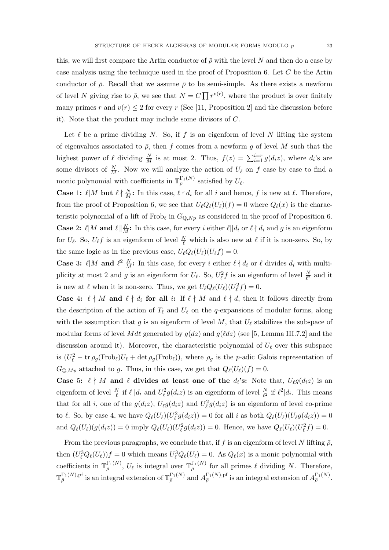this, we will first compare the Artin conductor of  $\bar{\rho}$  with the level N and then do a case by case analysis using the technique used in the proof of Proposition 6. Let C be the Artin conductor of  $\bar{\rho}$ . Recall that we assume  $\bar{\rho}$  to be semi-simple. As there exists a newform of level N giving rise to  $\bar{\rho}$ , we see that  $N = C \prod r^{v(r)}$ , where the product is over finitely many primes r and  $v(r) \leq 2$  for every r (See [11, Proposition 2] and the discussion before it). Note that the product may include some divisors of C.

Let  $\ell$  be a prime dividing N. So, if f is an eigenform of level N lifting the system of eigenvalues associated to  $\bar{\rho}$ , then f comes from a newform g of level M such that the highest power of  $\ell$  dividing  $\frac{N}{M}$  is at most 2. Thus,  $f(z) = \sum_{i=1}^{i=r} g(d_i z)$ , where  $d_i$ 's are some divisors of  $\frac{N}{M}$ . Now we will analyze the action of  $U_{\ell}$  on f case by case to find a monic polynomial with coefficients in  $\mathbb{T}_{\bar{\rho}}^{\Gamma_1(N)}$  satisfied by  $U_{\ell}$ .

**Case 1:**  $\ell | M$  but  $\ell \nmid \frac{N}{M}$ : In this case,  $\ell \nmid d_i$  for all i and hence, f is new at  $\ell$ . Therefore, from the proof of Proposition 6, we see that  $U_{\ell}Q_{\ell}(U_{\ell})(f) = 0$  where  $Q_{\ell}(x)$  is the characteristic polynomial of a lift of Frob<sub>l</sub> in  $G_{\mathbb{Q},Np}$  as considered in the proof of Proposition 6. **Case 2:**  $\ell | M$  and  $\ell | \frac{N}{M}$ : In this case, for every i either  $\ell | d_i$  or  $\ell \nmid d_i$  and g is an eigenform for  $U_{\ell}$ . So,  $U_{\ell}f$  is an eigenform of level  $\frac{N}{\ell}$  which is also new at  $\ell$  if it is non-zero. So, by the same logic as in the previous case,  $U_\ell Q_\ell(U_\ell)(U_\ell f) = 0$ .

**Case** 3:  $\ell | M$  and  $\ell^2 | \frac{N}{M}$ : In this case, for every i either  $\ell \nmid d_i$  or  $\ell$  divides  $d_i$  with multiplicity at most 2 and g is an eigenform for  $U_{\ell}$ . So,  $U_{\ell}^2 f$  is an eigenform of level  $\frac{N}{\ell^2}$  and it is new at  $\ell$  when it is non-zero. Thus, we get  $U_{\ell}Q_{\ell}(U_{\ell})(U_{\ell}^2 f) = 0$ .

**Case 4:**  $\ell \nmid M$  and  $\ell \nmid d_i$  for all i: If  $\ell \nmid M$  and  $\ell \nmid d$ , then it follows directly from the description of the action of  $T_\ell$  and  $U_\ell$  on the q-expansions of modular forms, along with the assumption that g is an eigenform of level M, that  $U_{\ell}$  stabilizes the subspace of modular forms of level Mdl generated by  $g(dz)$  and  $g(ddz)$  (see [5, Lemma III.7.2] and the discussion around it). Moreover, the characteristic polynomial of  $U_{\ell}$  over this subspace is  $(U_\ell^2 - \text{tr}\,\rho_g(\text{Frob}_\ell)U_\ell + \det\rho_g(\text{Frob}_\ell))$ , where  $\rho_g$  is the p-adic Galois representation of  $G_{\mathbb{Q},Mp}$  attached to g. Thus, in this case, we get that  $Q_{\ell}(U_{\ell})(f) = 0$ .

Case 5:  $\ell \nmid M$  and  $\ell$  divides at least one of the  $d_i$ 's: Note that,  $U_{\ell}g(d_iz)$  is an eigenform of level  $\frac{N}{\ell}$  if  $\ell||d_i$  and  $U_\ell^2 g(d_i z)$  is an eigenform of level  $\frac{N}{\ell^2}$  if  $\ell^2|d_i$ . This means that for all *i*, one of the  $g(d_i z)$ ,  $U_\ell g(d_i z)$  and  $U_\ell^2 g(d_i z)$  is an eigenform of level co-prime to  $\ell$ . So, by case 4, we have  $Q_{\ell}(U_{\ell})(U_{\ell}^2 g(d_i z)) = 0$  for all i as both  $Q_{\ell}(U_{\ell})(U_{\ell}g(d_i z)) = 0$ and  $Q_{\ell}(U_{\ell})(g(d_i z)) = 0$  imply  $Q_{\ell}(U_{\ell})(U_{\ell}^2 g(d_i z)) = 0$ . Hence, we have  $Q_{\ell}(U_{\ell})(U_{\ell}^2 f) = 0$ .

From the previous paragraphs, we conclude that, if f is an eigenform of level N lifting  $\bar{\rho}$ , then  $(U_\ell^3 Q_\ell(U_\ell))f = 0$  which means  $U_\ell^3 Q_\ell(U_\ell) = 0$ . As  $Q_\ell(x)$  is a monic polynomial with coefficients in  $\mathbb{T}_{\bar{\rho}}^{\Gamma_1(N)}$ ,  $U_{\ell}$  is integral over  $\mathbb{T}_{\bar{\rho}}^{\Gamma_1(N)}$  for all primes  $\ell$  dividing N. Therefore,  $\mathbb{T}_{\bar{\rho}}^{\Gamma_1(N),\text{pf}}$  is an integral extension of  $\mathbb{T}_{\bar{\rho}}^{\Gamma_1(N)}$  and  $A_{\bar{\rho}}^{\Gamma_1(N),\text{pf}}$  is an integral extension of  $A_{\bar{\rho}}^{\Gamma_1(N)}$ .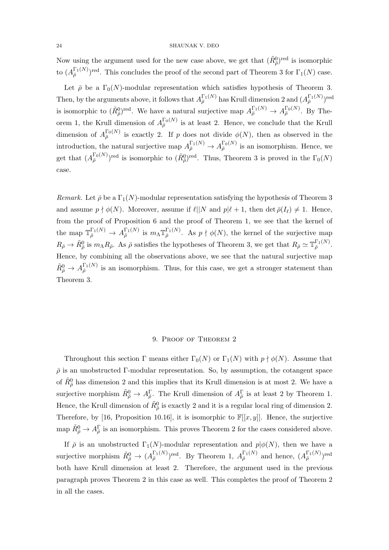Now using the argument used for the new case above, we get that  $(\tilde{R}^0_{\bar{\rho}})^{\text{red}}$  is isomorphic to  $(A_{\bar{\rho}}^{\Gamma_1(N)})^{\text{red}}$ . This concludes the proof of the second part of Theorem 3 for  $\Gamma_1(N)$  case.

Let  $\bar{\rho}$  be a  $\Gamma_0(N)$ -modular representation which satisfies hypothesis of Theorem 3. Then, by the arguments above, it follows that  $A_{\bar{\rho}}^{\Gamma_1(N)}$  has Krull dimension 2 and  $(A_{\bar{\rho}}^{\Gamma_1(N)})^{\text{red}}$ is isomorphic to  $(\tilde{R}_{\bar{\rho}}^0)^{\text{red}}$ . We have a natural surjective map  $A_{\bar{\rho}}^{\Gamma_1(N)} \to A_{\bar{\rho}}^{\Gamma_0(N)}$ . By Theorem 1, the Krull dimension of  $A_{\bar{\rho}}^{\Gamma_0(N)}$  is at least 2. Hence, we conclude that the Krull dimension of  $A_{\bar{\rho}}^{\Gamma_0(N)}$  is exactly 2. If p does not divide  $\phi(N)$ , then as observed in the introduction, the natural surjective map  $A_{\bar{\rho}}^{\Gamma_1(N)} \to A_{\bar{\rho}}^{\Gamma_0(N)}$  is an isomorphism. Hence, we get that  $(A_{\bar{\rho}}^{\Gamma_0(N)})^{\text{red}}$  is isomorphic to  $(\tilde{R}_{\bar{\rho}}^0)^{\text{red}}$ . Thus, Theorem 3 is proved in the  $\Gamma_0(N)$ case.

Remark. Let  $\bar{\rho}$  be a  $\Gamma_1(N)$ -modular representation satisfying the hypothesis of Theorem 3 and assume  $p \nmid \phi(N)$ . Moreover, assume if  $\ell || N$  and  $p | \ell + 1$ , then det  $\bar{\rho}(I_\ell) \neq 1$ . Hence, from the proof of Proposition 6 and the proof of Theorem 1, we see that the kernel of the map  $\mathbb{T}_{\bar{\rho}}^{\Gamma_1(N)} \to A_{\bar{\rho}}^{\Gamma_1(N)}$  is  $m_{\Lambda} \mathbb{T}_{\bar{\rho}}^{\Gamma_1(N)}$ . As  $p \nmid \phi(N)$ , the kernel of the surjective map  $R_{\bar{\rho}} \to \tilde{R}_{\bar{\rho}}^0$  is  $m_{\Lambda} R_{\bar{\rho}}$ . As  $\bar{\rho}$  satisfies the hypotheses of Theorem 3, we get that  $R_{\bar{\rho}} \simeq \mathbb{T}_{\bar{\rho}}^{\Gamma_1(N)}$ . Hence, by combining all the observations above, we see that the natural surjective map  $\tilde{R}^0_{\bar{\rho}} \to A_{\bar{\rho}}^{\Gamma_1(N)}$  is an isomorphism. Thus, for this case, we get a stronger statement than Theorem 3.

# 9. Proof of Theorem 2

Throughout this section Γ means either  $\Gamma_0(N)$  or  $\Gamma_1(N)$  with  $p \nmid \phi(N)$ . Assume that  $\bar{\rho}$  is an unobstructed Γ-modular representation. So, by assumption, the cotangent space of  $\tilde{R}^0_{\overline{\rho}}$  has dimension 2 and this implies that its Krull dimension is at most 2. We have a surjective morphism  $\tilde{R}^0_{\bar{\rho}} \to A_{\bar{\rho}}^{\Gamma}$ . The Krull dimension of  $A_{\bar{\rho}}^{\Gamma}$  is at least 2 by Theorem 1. Hence, the Krull dimension of  $\tilde{R}^0_{\bar{\rho}}$  is exactly 2 and it is a regular local ring of dimension 2. Therefore, by [16, Proposition 10.16], it is isomorphic to  $\mathbb{F}[[x,y]]$ . Hence, the surjective map  $\tilde{R}^0_{\bar{\rho}} \to A_{\bar{\rho}}^{\Gamma}$  is an isomorphism. This proves Theorem 2 for the cases considered above.

If  $\bar{\rho}$  is an unobstructed  $\Gamma_1(N)$ -modular representation and  $p|\phi(N)$ , then we have a surjective morphism  $\tilde{R}^0_{\bar{\rho}} \to (A_{\bar{\rho}}^{\Gamma_1(N)})^{\text{red}}$ . By Theorem 1,  $A_{\bar{\rho}}^{\Gamma_1(N)}$  and hence,  $(A_{\bar{\rho}}^{\Gamma_1(N)})^{\text{red}}$ both have Krull dimension at least 2. Therefore, the argument used in the previous paragraph proves Theorem 2 in this case as well. This completes the proof of Theorem 2 in all the cases.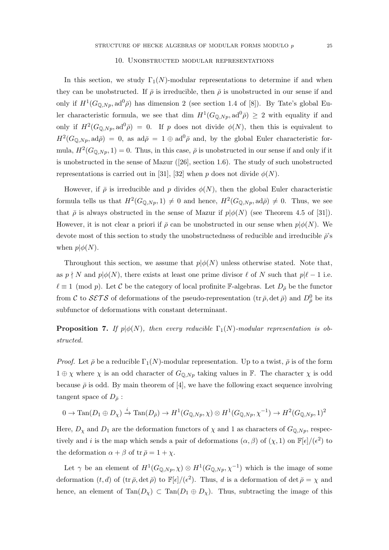# 10. Unobstructed modular representations

In this section, we study  $\Gamma_1(N)$ -modular representations to determine if and when they can be unobstructed. If  $\bar{\rho}$  is irreducible, then  $\bar{\rho}$  is unobstructed in our sense if and only if  $H^1(G_{\mathbb{Q},N_p},\mathrm{ad}^0\bar{\rho})$  has dimension 2 (see section 1.4 of [8]). By Tate's global Euler characteristic formula, we see that dim  $H^1(G_{\mathbb{Q},N_p}, \mathrm{ad}^0\bar{\rho}) \geq 2$  with equality if and only if  $H^2(G_{\mathbb{Q},N_p},\mathrm{ad}^0\bar{\rho}) = 0$ . If p does not divide  $\phi(N)$ , then this is equivalent to  $H^2(G_{\mathbb{Q},N_p}, \mathrm{ad}\bar{\rho}) = 0$ , as  $\mathrm{ad}\bar{\rho} = 1 \oplus \mathrm{ad}^0\bar{\rho}$  and, by the global Euler characteristic formula,  $H^2(G_{\mathbb{Q},N_p},1) = 0$ . Thus, in this case,  $\bar{\rho}$  is unobstructed in our sense if and only if it is unobstructed in the sense of Mazur ([26], section 1.6). The study of such unobstructed representations is carried out in [31], [32] when p does not divide  $\phi(N)$ .

However, if  $\bar{\rho}$  is irreducible and p divides  $\phi(N)$ , then the global Euler characteristic formula tells us that  $H^2(G_{\mathbb{Q},N_p},1) \neq 0$  and hence,  $H^2(G_{\mathbb{Q},N_p},ad\overline{\rho}) \neq 0$ . Thus, we see that  $\bar{\rho}$  is always obstructed in the sense of Mazur if  $p|\phi(N)$  (see Theorem 4.5 of [31]). However, it is not clear a priori if  $\bar{\rho}$  can be unobstructed in our sense when  $p|\phi(N)$ . We devote most of this section to study the unobstructedness of reducible and irreducible  $\bar{\rho}$ 's when  $p | \phi(N)$ .

Throughout this section, we assume that  $p\phi(N)$  unless otherwise stated. Note that, as  $p \nmid N$  and  $p | \phi(N)$ , there exists at least one prime divisor  $\ell$  of N such that  $p | \ell - 1$  i.e.  $\ell \equiv 1 \pmod{p}$ . Let C be the category of local profinite F-algebras. Let  $D_{\bar{\rho}}$  be the functor from C to  $SETS$  of deformations of the pseudo-representation  $(\text{tr } \bar{\rho}, \det \bar{\rho})$  and  $D_{\bar{\rho}}^0$  be its subfunctor of deformations with constant determinant.

**Proposition 7.** If  $p | \phi(N)$ , then every reducible  $\Gamma_1(N)$ -modular representation is obstructed.

*Proof.* Let  $\bar{\rho}$  be a reducible  $\Gamma_1(N)$ -modular representation. Up to a twist,  $\bar{\rho}$  is of the form  $1 \oplus \chi$  where  $\chi$  is an odd character of  $G_{\mathbb{Q},N_p}$  taking values in F. The character  $\chi$  is odd because  $\bar{\rho}$  is odd. By main theorem of [4], we have the following exact sequence involving tangent space of  $D_{\bar{\rho}}$ :

$$
0 \to \text{Tan}(D_1 \oplus D_\chi) \xrightarrow{i} \text{Tan}(D_{\overline{\rho}}) \to H^1(G_{\mathbb{Q},Np}, \chi) \otimes H^1(G_{\mathbb{Q},Np}, \chi^{-1}) \to H^2(G_{\mathbb{Q},Np}, 1)^2
$$

Here,  $D_{\chi}$  and  $D_1$  are the deformation functors of  $\chi$  and 1 as characters of  $G_{\mathbb{Q},Np}$ , respectively and i is the map which sends a pair of deformations  $(\alpha, \beta)$  of  $(\chi, 1)$  on  $\mathbb{F}[\epsilon]/(\epsilon^2)$  to the deformation  $\alpha + \beta$  of tr  $\bar{\rho} = 1 + \chi$ .

Let  $\gamma$  be an element of  $H^1(G_{\mathbb{Q},Np},\chi) \otimes H^1(G_{\mathbb{Q},Np},\chi^{-1})$  which is the image of some deformation  $(t, d)$  of  $(\text{tr } \bar{\rho}, \det \bar{\rho})$  to  $\mathbb{F}[\epsilon]/(\epsilon^2)$ . Thus, d is a deformation of  $\det \bar{\rho} = \chi$  and hence, an element of  $\text{Tan}(D_\chi) \subset \text{Tan}(D_1 \oplus D_\chi)$ . Thus, subtracting the image of this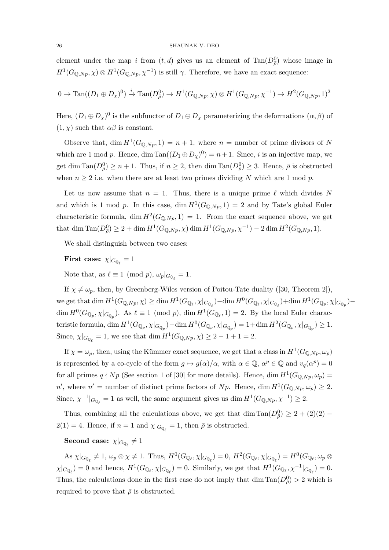element under the map i from  $(t, d)$  gives us an element of  $Tan(D_{\bar{\rho}}^{0})$  whose image in  $H^1(G_{\mathbb{Q},Np},\chi) \otimes H^1(G_{\mathbb{Q},Np},\chi^{-1})$  is still  $\gamma$ . Therefore, we have an exact sequence:

$$
0 \to \text{Tan}((D_1 \oplus D_{\chi})^0) \xrightarrow{i} \text{Tan}(D_{\bar{\rho}}^0) \to H^1(G_{\mathbb{Q},Np}, \chi) \otimes H^1(G_{\mathbb{Q},Np}, \chi^{-1}) \to H^2(G_{\mathbb{Q},Np}, 1)^2
$$

Here,  $(D_1 \oplus D_\chi)^0$  is the subfunctor of  $D_1 \oplus D_\chi$  parameterizing the deformations  $(\alpha, \beta)$  of  $(1, \chi)$  such that  $\alpha\beta$  is constant.

Observe that, dim  $H^1(G_{\mathbb{Q},N_p},1) = n+1$ , where  $n =$  number of prime divisors of N which are 1 mod p. Hence, dim  $\text{Tan}((D_1 \oplus D_\chi)^0) = n+1$ . Since, i is an injective map, we get dim  $\text{Tan}(D_{\bar{\rho}}^0) \geq n+1$ . Thus, if  $n \geq 2$ , then dim  $\text{Tan}(D_{\bar{\rho}}^0) \geq 3$ . Hence,  $\bar{\rho}$  is obstructed when  $n \geq 2$  i.e. when there are at least two primes dividing N which are 1 mod p.

Let us now assume that  $n = 1$ . Thus, there is a unique prime  $\ell$  which divides N and which is 1 mod p. In this case,  $\dim H^1(G_{\mathbb{Q},N_p}, 1) = 2$  and by Tate's global Euler characteristic formula, dim  $H^2(G_{\mathbb{Q},N_p},1) = 1$ . From the exact sequence above, we get that dim  $\text{Tan}(D_{\bar{p}}^0) \geq 2 + \dim H^1(G_{\mathbb{Q},Np}, \chi) \dim H^1(G_{\mathbb{Q},Np}, \chi^{-1}) - 2 \dim H^2(G_{\mathbb{Q},Np}, 1).$ 

We shall distinguish between two cases:

First case:  $\chi|_{G_{\mathbb{Q}_{\ell}}} = 1$ 

Note that, as  $\ell \equiv 1 \pmod{p}$ ,  $\omega_p|_{G_{\mathbb{Q}_\ell}} = 1$ .

If  $\chi \neq \omega_p$ , then, by Greenberg-Wiles version of Poitou-Tate duality ([30, Theorem 2]), we get that  $\dim H^1(G_{\mathbb{Q},Np},\chi) \geq \dim H^1(G_{\mathbb{Q}_\ell},\chi|_{G_{\mathbb{Q}_\ell}}) - \dim H^0(G_{\mathbb{Q}_\ell},\chi|_{G_{\mathbb{Q}_\ell}}) + \dim H^1(G_{\mathbb{Q}_p},\chi|_{G_{\mathbb{Q}_p}}) \dim H^0(G_{\mathbb{Q}_p}, \chi|_{G_{\mathbb{Q}_p}})$ . As  $\ell \equiv 1 \pmod{p}$ ,  $\dim H^1(G_{\mathbb{Q}_\ell}, 1) = 2$ . By the local Euler characteristic formula,  $\dim H^1(G_{\mathbb{Q}_p}, \chi|_{G_{\mathbb{Q}_p}}) - \dim H^0(G_{\mathbb{Q}_p}, \chi|_{G_{\mathbb{Q}_p}}) = 1 + \dim H^2(G_{\mathbb{Q}_p}, \chi|_{G_{\mathbb{Q}_p}}) \geq 1.$ Since,  $\chi|_{G_{\mathbb{Q}_\ell}} = 1$ , we see that dim  $H^1(G_{\mathbb{Q},N_p}, \chi) \geq 2 - 1 + 1 = 2$ .

If  $\chi = \omega_p$ , then, using the Kümmer exact sequence, we get that a class in  $H^1(G_{\mathbb{Q},N_p}, \omega_p)$ is represented by a co-cycle of the form  $g \mapsto g(\alpha)/\alpha$ , with  $\alpha \in \overline{Q}$ ,  $\alpha^p \in \mathbb{Q}$  and  $v_q(\alpha^p) = 0$ for all primes  $q \nmid Np$  (See section 1 of [30] for more details). Hence, dim  $H^1(G_{\mathbb{Q},Np},\omega_p)$ n', where  $n'$  = number of distinct prime factors of Np. Hence, dim  $H^1(G_{\mathbb{Q},Np},\omega_p) \geq 2$ . Since,  $\chi^{-1}|_{G_{\mathbb{Q}_\ell}} = 1$  as well, the same argument gives us dim  $H^1(G_{\mathbb{Q},Np}, \chi^{-1}) \geq 2$ .

Thus, combining all the calculations above, we get that  $\dim \mathrm{Tan}(D_{\bar{\rho}}^0) \geq 2 + (2)(2) 2(1) = 4$ . Hence, if  $n = 1$  and  $\chi|_{G_{\mathbb{Q}_\ell}} = 1$ , then  $\bar{\rho}$  is obstructed.

# Second case:  $\chi|_{G_{\mathbb{Q}_{\ell}}} \neq 1$

As  $\chi|_{G_{\mathbb{Q}_\ell}} \neq 1$ ,  $\omega_p \otimes \chi \neq 1$ . Thus,  $H^0(G_{\mathbb{Q}_\ell}, \chi|_{G_{\mathbb{Q}_\ell}}) = 0$ ,  $H^2(G_{\mathbb{Q}_\ell}, \chi|_{G_{\mathbb{Q}_\ell}}) = H^0(G_{\mathbb{Q}_\ell}, \omega_p \otimes$  $\chi|_{G_{\mathbb{Q}_\ell}} = 0$  and hence,  $H^1(G_{\mathbb{Q}_\ell}, \chi|_{G_{\mathbb{Q}_\ell}}) = 0$ . Similarly, we get that  $H^1(G_{\mathbb{Q}_\ell}, \chi^{-1}|_{G_{\mathbb{Q}_\ell}}) = 0$ . Thus, the calculations done in the first case do not imply that  $\dim \mathrm{Tan}(D_{\bar{\rho}}^0) > 2$  which is required to prove that  $\bar{\rho}$  is obstructed.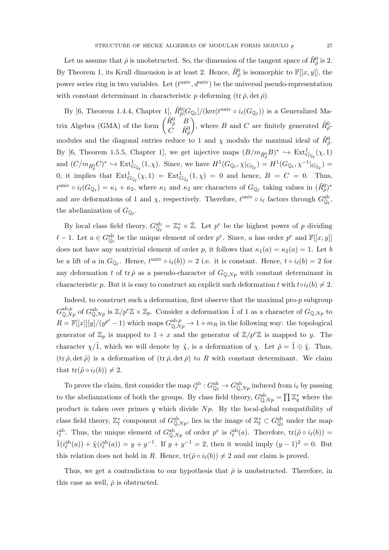Let us assume that  $\bar{\rho}$  is unobstructed. So, the dimension of the tangent space of  $\tilde{R}^0_{\bar{\rho}}$  is 2. By Theorem 1, its Krull dimension is at least 2. Hence,  $\tilde{R}^0_{\bar{\rho}}$  is isomorphic to  $\mathbb{F}[[x,y]]$ , the power series ring in two variables. Let  $(t^{\text{univ}}, d^{\text{univ}})$  be the universal pseudo-representation with constant determinant in characteristic p deforming (tr  $\bar{\rho}$ , det  $\bar{\rho}$ ).

By [6, Theorem 1.4.4, Chapter 1],  $\tilde{R}^0_{\bar{\rho}}[G_{\mathbb{Q}_\ell}]/(\text{ker}(t^{\text{univ}} \circ i_{\ell}(G_{\mathbb{Q}_\ell}))$  is a Generalized Matrix Algebra (GMA) of the form  $\begin{pmatrix} \tilde{R}_{\rho}^0 & B \\ C & \tilde{R}_{\rho}^0 \end{pmatrix}$  $\dot{C}$   $\tilde{R}^0_{\bar{\rho}}$ ), where B and C are finitely generated  $\tilde{R}^0_{\tilde{\rho}}$ . modules and the diagonal entries reduce to 1 and  $\chi$  modulo the maximal ideal of  $\tilde{R}^0_{\bar{\rho}}$ . By [6, Theorem 1.5.5, Chapter 1], we get injective maps  $(B/m_{\tilde{R}^0_{\rho}}B)^* \hookrightarrow \text{Ext}^1_{G_{\mathbb{Q}_{\ell}}}(\chi,1)$ and  $(C/m_{\tilde{R}_{\rho}^0}C)^* \hookrightarrow \text{Ext}^1_{G_{\mathbb{Q}_\ell}}(1,\chi)$ . Since, we have  $H^1(G_{\mathbb{Q}_\ell}, \chi|_{G_{\mathbb{Q}_\ell}}) = H^1(G_{\mathbb{Q}_\ell}, \chi^{-1}|_{G_{\mathbb{Q}_\ell}}) =$ 0, it implies that  $\text{Ext}^1_{G_{\mathbb{Q}_\ell}}(\chi,1) = \text{Ext}^1_{G_{\mathbb{Q}_\ell}}(1,\chi) = 0$  and hence,  $B = C = 0$ . Thus,  $t^{\text{univ}} \circ i_{\ell}(G_{\mathbb{Q}_{\ell}}) = \kappa_1 + \kappa_2$ , where  $\kappa_1$  and  $\kappa_2$  are characters of  $G_{\mathbb{Q}_{\ell}}$  taking values in  $(\tilde{R}_{\rho}^0)^*$ and are deformations of 1 and  $\chi$ , respectively. Therefore,  $t^{\text{univ}} \circ i_{\ell}$  factors through  $G_{\mathbb{Q}_{\ell}}^{\text{ab}}$ , the abelianization of  $G_{\mathbb{Q}_{\ell}}$ .

By local class field theory,  $G_{\mathbb{Q}_\ell}^{ab} = \mathbb{Z}_\ell^* \times \hat{\mathbb{Z}}$ . Let  $p^e$  be the highest power of p dividing  $\ell - 1$ . Let  $a \in G_{\mathbb{Q}_{\ell}}^{ab}$  be the unique element of order  $p^e$ . Since, a has order  $p^e$  and  $\mathbb{F}[[x, y]]$ does not have any nontrivial element of order p, it follows that  $\kappa_1(a) = \kappa_2(a) = 1$ . Let b be a lift of a in  $G_{\mathbb{Q}_\ell}$ . Hence,  $t^{\text{univ}} \circ i_\ell(b) = 2$  i.e. it is constant. Hence,  $t \circ i_\ell(b) = 2$  for any deformation t of tr $\bar{\rho}$  as a pseudo-character of  $G_{\mathbb{Q},Np}$  with constant determinant in characteristic p. But it is easy to construct an explicit such deformation t with  $t \circ i_{\ell}(b) \neq 2$ .

Indeed, to construct such a deformation, first observe that the maximal pro- $p$  subgroup  $G_{\mathbb{Q},Np}^{\text{ab},p}$  of  $G_{\mathbb{Q},Np}^{\text{ab}}$  is  $\mathbb{Z}/p^e\mathbb{Z} \times \mathbb{Z}_p$ . Consider a deformation 1 of 1 as a character of  $G_{\mathbb{Q},Np}$  to  $R = \mathbb{F}[[x]][y]/(y^{p^e}-1)$  which maps  $G_{\mathbb{Q},Np}^{\text{ab},p} \to 1+m_R$  in the following way: the topological generator of  $\mathbb{Z}_p$  is mapped to  $1+x$  and the generator of  $\mathbb{Z}/p^e\mathbb{Z}$  is mapped to y. The character  $\chi/1$ , which we will denote by  $\tilde{\chi}$ , is a deformation of  $\chi$ . Let  $\tilde{\rho} = 1 \oplus \tilde{\chi}$ . Thus,  $(\text{tr}\,\tilde{\rho},\text{det}\,\tilde{\rho})$  is a deformation of  $(\text{tr}\,\bar{\rho},\text{det}\,\bar{\rho})$  to R with constant determinant. We claim that  $tr(\tilde{\rho} \circ i_{\ell}(b)) \neq 2$ .

To prove the claim, first consider the map  $i_{\ell}^{ab}: G_{\mathbb{Q}_{\ell}}^{ab} \to G_{\mathbb{Q},Np}^{ab}$  induced from  $i_{\ell}$  by passing to the abelianzations of both the groups. By class field theory,  $G_{\mathbb{Q},N_p}^{ab} = \prod \mathbb{Z}_q^*$  where the product is taken over primes  $q$  which divide  $Np$ . By the local-global compatibility of class field theory,  $\mathbb{Z}_{\ell}^*$  component of  $G_{\mathbb{Q},Np}^{ab}$ , lies in the image of  $\mathbb{Z}_{\ell}^* \subset G_{\mathbb{Q}_{\ell}}^{ab}$  under the map  $i_{\ell}^{\text{ab}}$ . Thus, the unique element of  $G^{\text{ab}}_{\mathbb{Q},Np}$  of order  $p^e$  is  $i_{\ell}^{\text{ab}}(a)$ . Therefore,  $\text{tr}(\tilde{\rho} \circ i_{\ell}(b)) =$  $\tilde{1}(i_{\ell}^{ab}(a)) + \tilde{\chi}(i_{\ell}^{ab}(a)) = y + y^{-1}$ . If  $y + y^{-1} = 2$ , then it would imply  $(y - 1)^2 = 0$ . But this relation does not hold in R. Hence,  $tr(\tilde{\rho} \circ i_{\ell}(b)) \neq 2$  and our claim is proved.

Thus, we get a contradiction to our hypothesis that  $\bar{\rho}$  is unobstructed. Therefore, in this case as well,  $\bar{\rho}$  is obstructed.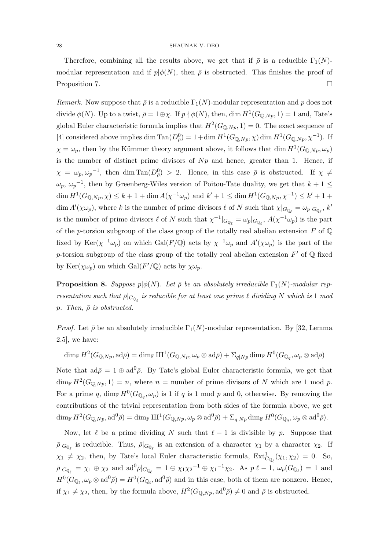Therefore, combining all the results above, we get that if  $\bar{\rho}$  is a reducible  $\Gamma_1(N)$ modular representation and if  $p|\phi(N)$ , then  $\bar{\rho}$  is obstructed. This finishes the proof of Proposition 7.

Remark. Now suppose that  $\bar{\rho}$  is a reducible  $\Gamma_1(N)$ -modular representation and p does not divide  $\phi(N)$ . Up to a twist,  $\bar{\rho} = 1 \oplus \chi$ . If  $p \nmid \phi(N)$ , then, dim  $H^1(G_{\mathbb{Q},Np}, 1) = 1$  and, Tate's global Euler characteristic formula implies that  $H^2(G_{\mathbb{Q},Np},1) = 0$ . The exact sequence of [4] considered above implies dim  $\text{Tan}(D_{\bar{\rho}}^0) = 1 + \dim H^1(G_{\mathbb{Q},Np}, \chi) \dim H^1(G_{\mathbb{Q},Np}, \chi^{-1}).$  If  $\chi = \omega_p$ , then by the Kümmer theory argument above, it follows that dim  $H^1(G_{\mathbb{Q},N_p}, \omega_p)$ is the number of distinct prime divisors of  $Np$  and hence, greater than 1. Hence, if  $\chi = \omega_p, \omega_p^{-1}$ , then  $\dim \text{Tan}(D_{\bar{\rho}}^0) > 2$ . Hence, in this case  $\bar{\rho}$  is obstructed. If  $\chi \neq 0$  $\omega_p$ ,  $\omega_p^{-1}$ , then by Greenberg-Wiles version of Poitou-Tate duality, we get that  $k+1 \leq$  $\dim H^1(G_{\mathbb{Q},Np}, \chi) \leq k+1 + \dim A(\chi^{-1}\omega_p)$  and  $k' + 1 \leq \dim H^1(G_{\mathbb{Q},Np}, \chi^{-1}) \leq k' + 1 +$  $\dim A'(\chi\omega_p)$ , where k is the number of prime divisors  $\ell$  of N such that  $\chi|_{G_{\mathbb{Q}_\ell}} = \omega_p|_{G_{\mathbb{Q}_\ell}}, k'$ is the number of prime divisors  $\ell$  of N such that  $\chi^{-1}|_{G_{\mathbb{Q}_\ell}} = \omega_p|_{G_{\mathbb{Q}_\ell}}, A(\chi^{-1}\omega_p)$  is the part of the p-torsion subgroup of the class group of the totally real abelian extension  $F$  of  $\mathbb Q$ fixed by  $\text{Ker}(\chi^{-1}\omega_p)$  on which  $\text{Gal}(F/\mathbb{Q})$  acts by  $\chi^{-1}\omega_p$  and  $A'(\chi\omega_p)$  is the part of the p-torsion subgroup of the class group of the totally real abelian extension  $F'$  of Q fixed by Ker $(\chi \omega_p)$  on which Gal( $F' / Q$ ) acts by  $\chi \omega_p$ .

**Proposition 8.** Suppose  $p | \phi(N)$ . Let  $\bar{\rho}$  be an absolutely irreducible  $\Gamma_1(N)$ -modular representation such that  $\bar{\rho}|_{G_{\mathbb{Q}_{\ell}}}$  is reducible for at least one prime  $\ell$  dividing N which is 1 mod p. Then,  $\bar{\rho}$  is obstructed.

*Proof.* Let  $\bar{\rho}$  be an absolutely irreducible  $\Gamma_1(N)$ -modular representation. By [32, Lemma 2.5], we have:

 $\dim_\mathbb{F} H^2(G_{\mathbb{Q},Np},\mathrm{ad}\bar{\rho}) = \dim_\mathbb{F} \mathrm{III}^1(G_{\mathbb{Q},Np},\omega_p\otimes \mathrm{ad}\bar{\rho}) + \Sigma_{q\vert Np}\dim_\mathbb{F} H^0(G_{\mathbb{Q}_q},\omega_p\otimes \mathrm{ad}\bar{\rho})$ 

Note that  $ad\bar{\rho} = 1 \oplus ad^0\bar{\rho}$ . By Tate's global Euler characteristic formula, we get that  $\dim_{\mathbb{F}} H^2(G_{\mathbb{Q},N_p},1) = n$ , where  $n =$  number of prime divisors of N which are 1 mod p. For a prime q,  $\dim_{\mathbb{F}} H^0(G_{\mathbb{Q}_q}, \omega_p)$  is 1 if q is 1 mod p and 0, otherwise. By removing the contributions of the trivial representation from both sides of the formula above, we get  $\dim_{\mathbb F} H^2(G_{\mathbb Q,Np},\mathrm{ad}^0\bar{\rho})=\dim_{\mathbb F}\amalg^1(G_{\mathbb Q,Np},\omega_p\otimes\mathrm{ad}^0\bar{\rho})+\Sigma_{q\vert Np}\dim_{\mathbb F} H^0(G_{\mathbb Q_q},\omega_p\otimes\mathrm{ad}^0\bar{\rho}).$ 

Now, let  $\ell$  be a prime dividing N such that  $\ell - 1$  is divisible by p. Suppose that  $\bar{\rho}|_{G_{\mathbb{Q}_\ell}}$  is reducible. Thus,  $\bar{\rho}|_{G_{\mathbb{Q}_\ell}}$  is an extension of a character  $\chi_1$  by a character  $\chi_2$ . If  $\chi_1 \neq \chi_2$ , then, by Tate's local Euler characteristic formula,  $\text{Ext}^1_{G_{\mathbb{Q}_\ell}}(\chi_1, \chi_2) = 0$ . So,  $\bar{\rho}|_{G_{\mathbb{Q}_\ell}} = \chi_1 \oplus \chi_2$  and  $\mathrm{ad}^0\bar{\rho}|_{G_{\mathbb{Q}_\ell}} = 1 \oplus \chi_1\chi_2^{-1} \oplus \chi_1^{-1}\chi_2$ . As  $p|\ell - 1$ ,  $\omega_p(G_{\mathbb{Q}_\ell}) = 1$  and  $H^0(G_{\mathbb{Q}_\ell}, \omega_p \otimes \mathrm{ad}^0\bar{\rho}) = H^0(G_{\mathbb{Q}_\ell}, \mathrm{ad}^0\bar{\rho})$  and in this case, both of them are nonzero. Hence, if  $\chi_1 \neq \chi_2$ , then, by the formula above,  $H^2(G_{\mathbb{Q},Np}, \mathrm{ad}^0\bar{\rho}) \neq 0$  and  $\bar{\rho}$  is obstructed.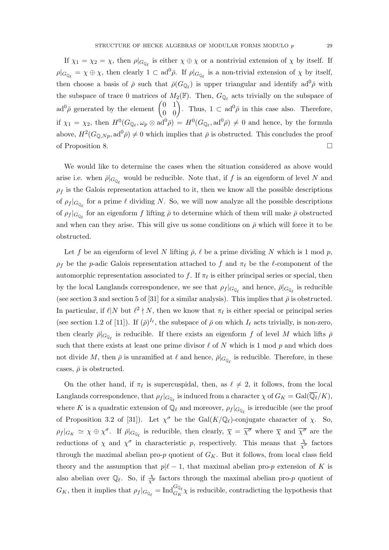If  $\chi_1 = \chi_2 = \chi$ , then  $\rho|_{G_{\mathbb{Q}_\ell}}$  is either  $\chi \oplus \chi$  or a nontrivial extension of  $\chi$  by itself. If  $\rho|_{G_{\mathbb{Q}_\ell}} = \chi \oplus \chi$ , then clearly  $1 \subset \mathrm{ad}^0\bar{\rho}$ . If  $\rho|_{G_{\mathbb{Q}_\ell}}$  is a non-trivial extension of  $\chi$  by itself, then choose a basis of  $\bar{\rho}$  such that  $\bar{\rho}(G_{\mathbb{Q}_\ell})$  is upper triangular and identify ad<sup>0</sup> $\bar{\rho}$  with the subspace of trace 0 matrices of  $M_2(\mathbb{F})$ . Then,  $G_{\mathbb{Q}_\ell}$  acts trivially on the subspace of  $ad^0\bar{\rho}$  generated by the element  $\begin{pmatrix} 0 & 1 \\ 0 & 0 \end{pmatrix}$ . Thus,  $1 \subset ad^0\bar{\rho}$  in this case also. Therefore, if  $\chi_1 = \chi_2$ , then  $H^0(G_{\mathbb{Q}_\ell}, \omega_p \otimes \mathrm{ad}^0 \bar{\rho}) = H^0(G_{\mathbb{Q}_\ell}, \mathrm{ad}^0 \bar{\rho}) \neq 0$  and hence, by the formula above,  $H^2(G_{\mathbb{Q},N_p}, \mathrm{ad}^0\bar{\rho}) \neq 0$  which implies that  $\bar{\rho}$  is obstructed. This concludes the proof of Proposition 8.

We would like to determine the cases when the situation considered as above would arise i.e. when  $\bar{\rho}|_{G_{\mathbb{Q}_\ell}}$  would be reducible. Note that, if f is an eigenform of level N and  $\rho_f$  is the Galois representation attached to it, then we know all the possible descriptions of  $\rho_f |_{G_{\mathbb{Q}_\ell}}$  for a prime  $\ell$  dividing N. So, we will now analyze all the possible descriptions of  $\rho_f |_{G_{\mathbb{Q}_\ell}}$  for an eigenform  $f$  lifting  $\bar{\rho}$  to determine which of them will make  $\bar{\rho}$  obstructed and when can they arise. This will give us some conditions on  $\bar{\rho}$  which will force it to be obstructed.

Let f be an eigenform of level N lifting  $\bar{\rho}$ ,  $\ell$  be a prime dividing N which is 1 mod p,  $\rho_f$  be the p-adic Galois representation attached to f and  $\pi_\ell$  be the  $\ell$ -component of the automorphic representation associated to f. If  $\pi_{\ell}$  is either principal series or special, then by the local Langlands correspondence, we see that  $\rho_f|_{G_{\mathbb{Q}_\ell}}$  and hence,  $\bar{\rho}|_{G_{\mathbb{Q}_\ell}}$  is reducible (see section 3 and section 5 of [31] for a similar analysis). This implies that  $\bar{\rho}$  is obstructed. In particular, if  $\ell | N$  but  $\ell^2 \nmid N$ , then we know that  $\pi_\ell$  is either special or principal series (see section 1.2 of [11]). If  $(\bar{\rho})^{I_{\ell}}$ , the subspace of  $\bar{\rho}$  on which  $I_{\ell}$  acts trivially, is non-zero, then clearly  $\bar{\rho}|_{G_{\mathbb{Q}_\ell}}$  is reducible. If there exists an eigenform f of level M which lifts  $\bar{\rho}$ such that there exists at least one prime divisor  $\ell$  of N which is 1 mod p and which does not divide  $M$ , then  $\bar{\rho}$  is unramified at  $\ell$  and hence,  $\bar{\rho}|_{G_{\mathbb{Q}_\ell}}$  is reducible. Therefore, in these cases,  $\bar{\rho}$  is obstructed.

On the other hand, if  $\pi_{\ell}$  is supercuspidal, then, as  $\ell \neq 2$ , it follows, from the local Langlands correspondence, that  $\rho_f|_{G_{\mathbb{Q}_\ell}}$  is induced from a character  $\chi$  of  $G_K = \text{Gal}(\overline{\mathbb{Q}_\ell}/K)$ , where K is a quadratic extension of  $\mathbb{Q}_\ell$  and moreover,  $\rho_f |_{G_{\mathbb{Q}_\ell}}$  is irreducible (see the proof of Proposition 3.2 of [31]). Let  $\chi^{\sigma}$  be the Gal( $K/\mathbb{Q}_{\ell}$ )-conjugate character of  $\chi$ . So,  $\rho_f|_{G_K} \simeq \chi \oplus \chi^{\sigma}$ . If  $\bar{\rho}|_{G_{\mathbb{Q}_\ell}}$  is reducible, then clearly,  $\bar{\chi} = \bar{\chi^{\sigma}}$  where  $\bar{\chi}$  and  $\bar{\chi^{\sigma}}$  are the reductions of  $\chi$  and  $\chi^{\sigma}$  in characteristic p, respectively. This means that  $\frac{\chi}{\chi^{\sigma}}$  factors through the maximal abelian pro-p quotient of  $G_K$ . But it follows, from local class field theory and the assumption that  $p|\ell - 1$ , that maximal abelian pro-p extension of K is also abelian over  $\mathbb{Q}_\ell$ . So, if  $\frac{\chi}{\chi^{\sigma}}$  factors through the maximal abelian pro-p quotient of  $G_K$ , then it implies that  $\rho_f|_{G_{\mathbb{Q}_\ell}} = \text{Ind}_{G_K}^{G_{\mathbb{Q}_\ell}} \chi$  is reducible, contradicting the hypothesis that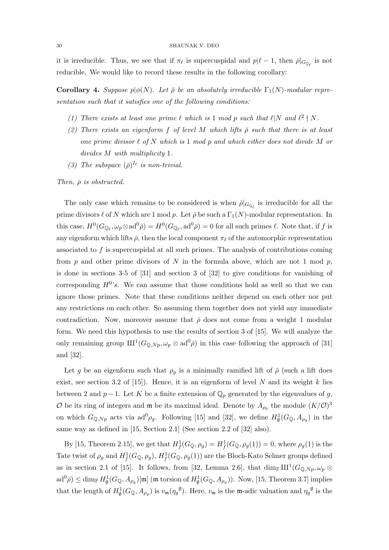it is irreducible. Thus, we see that if  $\pi_{\ell}$  is supercuspidal and  $p|\ell - 1$ , then  $\bar{\rho}|_{G_{\mathbb{Q}_{\ell}}}$  is not reducible. We would like to record these results in the following corollary:

**Corollary 4.** Suppose  $p\phi(N)$ . Let  $\bar{\rho}$  be an absolutely irreducible  $\Gamma_1(N)$ -modular representation such that it satisfies one of the following conditions:

- (1) There exists at least one prime  $\ell$  which is 1 mod p such that  $\ell |N$  and  $\ell^2 \nmid N$ .
- (2) There exists an eigenform f of level M which lifts  $\bar{\rho}$  such that there is at least one prime divisor  $\ell$  of N which is 1 mod p and which either does not divide M or divides M with multiplicity 1.
- (3) The subspace  $(\bar{\rho})^{I_{\ell}}$  is non-trivial.

Then,  $\bar{\rho}$  is obstructed.

The only case which remains to be considered is when  $\bar{\rho}|_{G_{\mathbb{Q}_{\ell}}}$  is irreducible for all the prime divisors  $\ell$  of N which are 1 mod p. Let  $\bar{\rho}$  be such a  $\Gamma_1(N)$ -modular representation. In this case,  $H^0(G_{\mathbb{Q}_\ell}, \omega_p \otimes \mathrm{ad}^0 \bar{\rho}) = H^0(G_{\mathbb{Q}_\ell}, \mathrm{ad}^0 \bar{\rho}) = 0$  for all such primes  $\ell$ . Note that, if f is any eigenform which lifts  $\bar{\rho}$ , then the local component  $\pi_{\ell}$  of the automorphic representation associated to f is supercuspidal at all such primes. The analysis of contributions coming from p and other prime divisors of N in the formula above, which are not 1 mod p, is done in sections 3-5 of [31] and section 3 of [32] to give conditions for vanishing of corresponding  $H^{0}$ 's. We can assume that those conditions hold as well so that we can ignore those primes. Note that these conditions neither depend on each other nor put any restrictions on each other. So assuming them together does not yield any immediate contradiction. Now, moreover assume that  $\bar{\rho}$  does not come from a weight 1 modular form. We need this hypothesis to use the results of section 3 of [15]. We will analyze the only remaining group  $III^1(G_{\mathbb{Q},N_p}, \omega_p \otimes \mathrm{ad}^0\bar{\rho})$  in this case following the approach of [31] and [32].

Let g be an eigenform such that  $\rho_g$  is a minimally ramified lift of  $\bar{\rho}$  (such a lift does exist, see section 3.2 of [15]). Hence, it is an eigenform of level N and its weight k lies between 2 and  $p-1$ . Let K be a finite extension of  $\mathbb{Q}_p$  generated by the eigenvalues of g, O be its ring of integers and  $\mathfrak{m}$  be its maximal ideal. Denote by  $A_{\rho_g}$  the module  $(K/\mathcal{O})^3$ on which  $G_{\mathbb{Q},Np}$  acts via  $ad^0\rho_g$ . Following [15] and [32], we define  $H^1_\emptyset(G_{\mathbb{Q}},A_{\rho_g})$  in the same way as defined in [15, Section 2.1] (See section 2.2 of [32] also).

By [15, Theorem 2.15], we get that  $H^1_f(G_{\mathbb{Q}}, \rho_g) = H^1_f(G_{\mathbb{Q}}, \rho_g(1)) = 0$ , where  $\rho_g(1)$  is the Tate twist of  $\rho_g$  and  $H^1_f(G_{\mathbb{Q}}, \rho_g)$ ,  $H^1_f(G_{\mathbb{Q}}, \rho_g(1))$  are the Bloch-Kato Selmer groups defined as in section 2.1 of [15]. It follows, from [32, Lemma 2.6], that  $\dim_{\mathbb{F}} \text{III}^1(G_{\mathbb{Q},N_p}, \omega_p \otimes$  $\text{ad}^0\bar{\rho}$ )  $\leq$  dim<sub>F</sub>  $H^1_\emptyset(G_{\mathbb{Q}}, A_{\rho_g})[\mathfrak{m}]$  (m torsion of  $H^1_\emptyset(G_{\mathbb{Q}}, A_{\rho_g})$ ). Now, [15, Theorem 3.7] implies that the length of  $H^1_{\emptyset}(G_{\mathbb{Q}}, A_{\rho_g})$  is  $v_{\mathfrak{m}}(\eta_g^{\emptyset})$ . Here,  $v_{\mathfrak{m}}$  is the m-adic valuation and  $\eta_g^{\emptyset}$  is the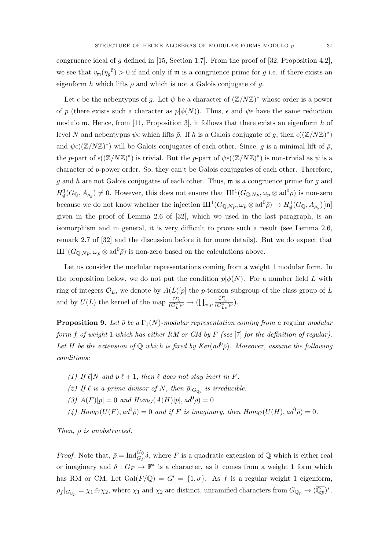congruence ideal of g defined in [15, Section 1.7]. From the proof of [32, Proposition 4.2], we see that  $v_{\mathfrak{m}}(\eta_g^{\emptyset}) > 0$  if and only if  $\mathfrak{m}$  is a congruence prime for g i.e. if there exists an eigenform h which lifts  $\bar{\rho}$  and which is not a Galois conjugate of q.

Let  $\epsilon$  be the nebentypus of g. Let  $\psi$  be a character of  $(\mathbb{Z}/N\mathbb{Z})^*$  whose order is a power of p (there exists such a character as  $p\phi(N)$ ). Thus,  $\epsilon$  and  $\psi\epsilon$  have the same reduction modulo m. Hence, from [11, Proposition 3], it follows that there exists an eigenform h of level N and nebentypus  $\psi \in \mathcal{L}$  which lifts  $\bar{\rho}$ . If h is a Galois conjugate of g, then  $\epsilon((\mathbb{Z}/N\mathbb{Z})^*)$ and  $\psi \epsilon ((\mathbb{Z}/N\mathbb{Z})^*)$  will be Galois conjugates of each other. Since, g is a minimal lift of  $\bar{\rho}$ , the p-part of  $\epsilon((\mathbb{Z}/N\mathbb{Z})^*)$  is trivial. But the p-part of  $\psi \epsilon((\mathbb{Z}/N\mathbb{Z})^*)$  is non-trivial as  $\psi$  is a character of p-power order. So, they can't be Galois conjugates of each other. Therefore, g and h are not Galois conjugates of each other. Thus,  $\mathfrak{m}$  is a congruence prime for g and  $H^1_{\emptyset}(G_{\mathbb{Q}},A_{\rho_g})\neq 0$ . However, this does not ensure that  $\mathrm{III}^1(G_{\mathbb{Q},Np},\omega_p\otimes \mathrm{ad}^0\bar{\rho})$  is non-zero because we do not know whether the injection  $\mathrm{III}^1(G_{\mathbb{Q},Np}, \omega_p \otimes \mathrm{ad}^0\bar{\rho}) \to H^1_\emptyset(G_{\mathbb{Q}}, A_{\rho_g})[\mathfrak{m}]$ given in the proof of Lemma 2.6 of [32], which we used in the last paragraph, is an isomorphism and in general, it is very difficult to prove such a result (see Lemma 2.6, remark 2.7 of [32] and the discussion before it for more details). But we do expect that  $\mathrm{III}^1(G_{\mathbb{Q},N_p},\omega_p\otimes\mathrm{ad}^0\bar{\rho})$  is non-zero based on the calculations above.

Let us consider the modular representations coming from a weight 1 modular form. In the proposition below, we do not put the condition  $p|\phi(N)$ . For a number field L with ring of integers  $\mathcal{O}_L$ , we denote by  $A(L)[p]$  the p-torsion subgroup of the class group of L and by  $U(L)$  the kernel of the map  $\frac{{\mathcal{O}}_L^*}{{\mathcal{O}}_L^*} \to (\prod_{v|p}$  $\frac{\mathcal{O}_{L_v}^*}{(\mathcal{O}_{L_v}^*)^p}).$ 

**Proposition 9.** Let  $\bar{\rho}$  be a  $\Gamma_1(N)$ -modular representation coming from a regular modular form f of weight 1 which has either RM or CM by F (see [7] for the definition of regular). Let H be the extension of Q which is fixed by  $Ker(ad^0\bar{\rho})$ . Moreover, assume the following conditions:

- (1) If  $\ell |N$  and  $p | \ell + 1$ , then  $\ell$  does not stay inert in F.
- (2) If  $\ell$  is a prime divisor of N, then  $\bar{\rho}|_{G_{\mathbb{Q}_{\ell}}}$  is irreducible.
- (3)  $A(F)[p] = 0$  and  $Hom_G(A(H)[p], ad^0\overline{\rho}) = 0$
- (4) Hom<sub>G</sub> $(U(F), ad^0\bar{\rho}) = 0$  and if F is imaginary, then  $Hom_G(U(H), ad^0\bar{\rho}) = 0$ .

Then,  $\bar{\rho}$  is unobstructed.

*Proof.* Note that,  $\bar{\rho} = \text{Ind}_{G_F}^{G_{\mathbb{Q}}} \delta$ , where F is a quadratic extension of  $\mathbb{Q}$  which is either real or imaginary and  $\delta: G_F \to \mathbb{F}^*$  is a character, as it comes from a weight 1 form which has RM or CM. Let  $Gal(F/\mathbb{Q}) = G' = \{1, \sigma\}$ . As f is a regular weight 1 eigenform,  $\rho_f|_{G_{\mathbb{Q}_p}} = \chi_1 \oplus \chi_2$ , where  $\chi_1$  and  $\chi_2$  are distinct, unramified characters from  $G_{\mathbb{Q}_p} \to (\overline{\mathbb{Q}_p})^*$ .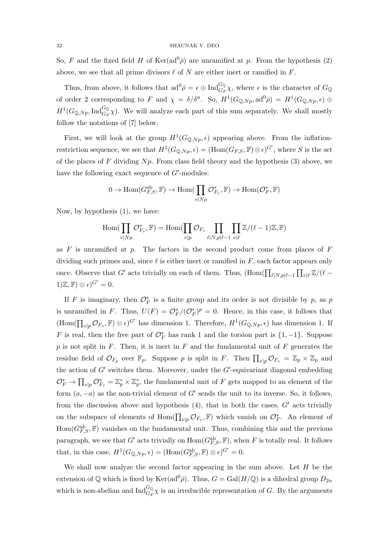So, F and the fixed field H of  $\text{Ker}(\text{ad}^0\bar{\rho})$  are unramified at p. From the hypothesis (2) above, we see that all prime divisors  $\ell$  of N are either inert or ramified in F.

Thus, from above, it follows that  $ad^0\bar{\rho} = \epsilon \oplus Ind_{G_F}^{G_Q}\chi$ , where  $\epsilon$  is the character of  $G_Q$ of order 2 corresponding to F and  $\chi = \delta/\delta^{\sigma}$ . So,  $H^1(G_{\mathbb{Q},Np}, \mathrm{ad}^0\bar{\rho}) = H^1(G_{\mathbb{Q},Np}, \epsilon) \oplus$  $H^1(G_{\mathbb{Q},N_p},\mathrm{Ind}_{G_F}^{G_{\mathbb{Q}}}\chi)$ . We will analyze each part of this sum separately. We shall mostly follow the notations of [7] below.

First, we will look at the group  $H^1(G_{\mathbb{Q},N_p}, \epsilon)$  appearing above. From the inflationrestriction sequence, we see that  $H^1(G_{\mathbb{Q},Np},\epsilon) = (\text{Hom}(G_{F,S},\mathbb{F}) \otimes \epsilon)^{G'}$ , where S is the set of the places of F dividing  $Np$ . From class field theory and the hypothesis (3) above, we have the following exact sequence of  $G'$ -modules:

$$
0 \to \mathrm{Hom}(G_{F,S}^{\mathrm{ab}}, \mathbb{F}) \to \mathrm{Hom}(\prod_{v|Np} \mathcal{O}_{F_v}^*, \mathbb{F}) \to \mathrm{Hom}(\mathcal{O}_F^*, \mathbb{F})
$$

Now, by hypothesis (1), we have:

$$
\operatorname{Hom}(\prod_{v|Np} \mathcal{O}_{F_v}^*, \mathbb{F}) = \operatorname{Hom}(\prod_{v|p} \mathcal{O}_{F_v} \prod_{\ell|N, p|\ell-1} \prod_{v|\ell} \mathbb{Z}/(\ell-1)\mathbb{Z}, \mathbb{F})
$$

as  $F$  is unramified at  $p$ . The factors in the second product come from places of  $F$ dividing such primes and, since  $\ell$  is either inert or ramified in F, each factor appears only once. Observe that G' acts trivially on each of them. Thus,  $(\text{Hom}(\prod_{\ell|N,p|\ell-1}\prod_{v|\ell}\mathbb{Z}/(\ell-1))$  $(1)\mathbb{Z}, \mathbb{F}) \otimes \epsilon$ <sup> $G' = 0$ </sup>.

If F is imaginary, then  $\mathcal{O}_F^*$  is a finite group and its order is not divisible by p, as p is unramified in F. Thus,  $U(F) = \mathcal{O}_F^*/(\mathcal{O}_F^*)^p = 0$ . Hence, in this case, it follows that  $(\text{Hom}(\prod_{v|p} \mathcal{O}_{F_v}, \mathbb{F}) \otimes \epsilon)^{G'}$  has dimension 1. Therefore,  $H^1(G_{\mathbb{Q},Np}, \epsilon)$  has dimension 1. If F is real, then the free part of  $\mathcal{O}_F^*$  has rank 1 and the torsion part is  $\{1, -1\}$ . Suppose  $p$  is not split in  $F$ . Then, it is inert in  $F$  and the fundamental unit of  $F$  generates the residue field of  $\mathcal{O}_{F_p}$  over  $\mathbb{F}_p$ . Suppose p is split in F. Then  $\prod_{v|p} \mathcal{O}_{F_v} = \mathbb{Z}_p \times \mathbb{Z}_p$  and the action of  $G'$  switches them. Moreover, under the  $G'$ -equivariant diagonal embedding  $\mathcal{O}_F^* \to \prod_{v|p} \mathcal{O}_{F_v}^* = \mathbb{Z}_p^* \times \mathbb{Z}_p^*$ , the fundamental unit of F gets mapped to an element of the form  $(a, -a)$  as the non-trivial element of G' sends the unit to its inverse. So, it follows, from the discussion above and hypothesis  $(4)$ , that in both the cases,  $G'$  acts trivially on the subspace of elements of  $\text{Hom}(\prod_{v|p} \mathcal{O}_{F_v}, \mathbb{F})$  which vanish on  $\mathcal{O}_F^*$ . An element of  $\text{Hom}(G_{F,S}^{ab}, \mathbb{F})$  vanishes on the fundamental unit. Thus, combining this and the previous paragraph, we see that G' acts trivially on  $\text{Hom}(G_{F,S}^{ab}, \mathbb{F})$ , when F is totally real. It follows that, in this case,  $H^1(G_{\mathbb{Q},Np}, \epsilon) = (\text{Hom}(G_{F,S}^{ab}, \mathbb{F}) \otimes \epsilon)^{G'} = 0.$ 

We shall now analyze the second factor appearing in the sum above. Let  $H$  be the extension of Q which is fixed by  $\text{Ker}(\text{ad}^0\bar{\rho})$ . Thus,  $G = \text{Gal}(H/\mathbb{Q})$  is a dihedral group  $D_{2n}$ which is non-abelian and  $\text{Ind}_{G_F}^{G_{\mathbb{Q}}}\chi$  is an irreducible representation of G. By the arguments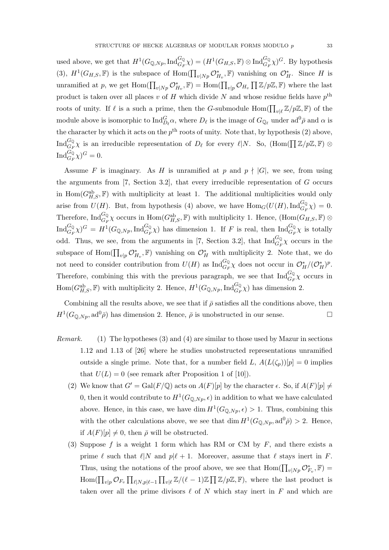used above, we get that  $H^1(G_{\mathbb{Q},N_p},\mathrm{Ind}_{G_F}^{G_{\mathbb{Q}}}\chi) = (H^1(G_{H,S},\mathbb{F}) \otimes \mathrm{Ind}_{G_F}^{G_{\mathbb{Q}}}\chi)^G$ . By hypothesis (3),  $H^1(G_{H,S}, \mathbb{F})$  is the subspace of  $\text{Hom}(\prod_{v|Np} \mathcal{O}_{H_v}^*, \mathbb{F})$  vanishing on  $\mathcal{O}_H^*$ . Since H is unramified at p, we get  $\text{Hom}(\prod_{v|Np} \mathcal{O}_{H_v}^*, \mathbb{F}) = \text{Hom}(\prod_{v|p} \mathcal{O}_{H_v} \prod \mathbb{Z}/p\mathbb{Z}, \mathbb{F})$  where the last product is taken over all places v of H which divide N and whose residue fields have  $p^{\text{th}}$ roots of unity. If  $\ell$  is a such a prime, then the G-submodule  $\text{Hom}(\prod_{v|\ell} \mathbb{Z}/p\mathbb{Z}, \mathbb{F})$  of the module above is isomorphic to  $\text{Ind}_{D_\ell}^G \alpha$ , where  $D_\ell$  is the image of  $G_{\mathbb{Q}_\ell}$  under  $ad^0\bar{\rho}$  and  $\alpha$  is the character by which it acts on the  $p^{\text{th}}$  roots of unity. Note that, by hypothesis (2) above,  $\text{Ind}_{G_F}^{G_\mathbb{Q}} \chi$  is an irreducible representation of  $D_\ell$  for every  $\ell | N$ . So,  $(\text{Hom}(\prod \mathbb{Z}/p\mathbb{Z}, \mathbb{F}) \otimes$  $\text{Ind}_{G_F}^{G_Q} \chi)^G = 0.$ 

Assume F is imaginary. As H is unramified at p and  $p \nmid |G|$ , we see, from using the arguments from [7, Section 3.2], that every irreducible representation of G occurs in  $\text{Hom}(G_{H,S}^{ab}, \mathbb{F})$  with multiplicity at least 1. The additional multiplicities would only arise from  $U(H)$ . But, from hypothesis (4) above, we have  $\text{Hom}_G(U(H), \text{Ind}_{G_F}^{G_{\mathbb{Q}}}\chi) = 0$ . Therefore,  $\text{Ind}_{G_F}^{G_Q} \chi$  occurs in  $\text{Hom}(G_{H,S}^{ab}, \mathbb{F})$  with multiplicity 1. Hence,  $(\text{Hom}(G_{H,S}, \mathbb{F}) \otimes$  $\text{Ind}_{G_F}^{G_Q} \chi$ ) $^G = H^1(G_{\mathbb{Q},N_P}, \text{Ind}_{G_F}^{G_{\mathbb{Q}}}\chi)$  has dimension 1. If F is real, then  $\text{Ind}_{G_F}^{G_{\mathbb{Q}}}\chi$  is totally odd. Thus, we see, from the arguments in [7, Section 3.2], that  $\text{Ind}_{G_F}^{G_{\mathbb{Q}}}\chi$  occurs in the subspace of  $\text{Hom}(\prod_{v|p} \mathcal{O}_{H_v}^*, \mathbb{F})$  vanishing on  $\mathcal{O}_H^*$  with multiplicity 2. Note that, we do not need to consider contribution from  $U(H)$  as  $\text{Ind}_{G_F}^{G_Q} \chi$  does not occur in  $\mathcal{O}_H^*/(\mathcal{O}_H^*)^p$ . Therefore, combining this with the previous paragraph, we see that  $\text{Ind}_{G_F}^{G_Q} \chi$  occurs in  $\text{Hom}(G_{H,S}^{ab}, \mathbb{F})$  with multiplicity 2. Hence,  $H^1(G_{\mathbb{Q},Np}, \text{Ind}_{G_F}^{G_{\mathbb{Q}}}\chi)$  has dimension 2.

Combining all the results above, we see that if  $\bar{\rho}$  satisfies all the conditions above, then  $H^1(G_{\mathbb{Q},N_p},\mathrm{ad}^0\bar{\rho})$  has dimension 2. Hence,  $\bar{\rho}$  is unobstructed in our sense.

- Remark. (1) The hypotheses (3) and (4) are similar to those used by Mazur in sections 1.12 and 1.13 of [26] where he studies unobstructed representations unramified outside a single prime. Note that, for a number field L,  $A(L(\zeta_p))[p] = 0$  implies that  $U(L) = 0$  (see remark after Proposition 1 of [10]).
	- (2) We know that  $G' = \text{Gal}(F/\mathbb{Q})$  acts on  $A(F)[p]$  by the character  $\epsilon$ . So, if  $A(F)[p] \neq$ 0, then it would contribute to  $H^1(G_{\mathbb{Q},Np}, \epsilon)$  in addition to what we have calculated above. Hence, in this case, we have dim  $H^1(G_{\mathbb{Q},N_p}, \epsilon) > 1$ . Thus, combining this with the other calculations above, we see that  $\dim H^1(G_{\mathbb{Q},N_p}, \mathrm{ad}^0\bar{\rho}) > 2$ . Hence, if  $A(F)[p] \neq 0$ , then  $\bar{\rho}$  will be obstructed.
	- (3) Suppose f is a weight 1 form which has RM or CM by  $F$ , and there exists a prime  $\ell$  such that  $\ell |N$  and  $p|\ell + 1$ . Moreover, assume that  $\ell$  stays inert in F. Thus, using the notations of the proof above, we see that  $\text{Hom}(\prod_{v|Np} \mathcal{O}_{F_v}^*, \mathbb{F}) =$ Hom( $\prod_{v|p} \mathcal{O}_{F_v} \prod_{\ell|N,p|\ell-1} \prod_{v|\ell} \mathbb{Z}/(\ell-1)\mathbb{Z} \prod \mathbb{Z}/p\mathbb{Z}, \mathbb{F}$ ), where the last product is taken over all the prime divisors  $\ell$  of N which stay inert in F and which are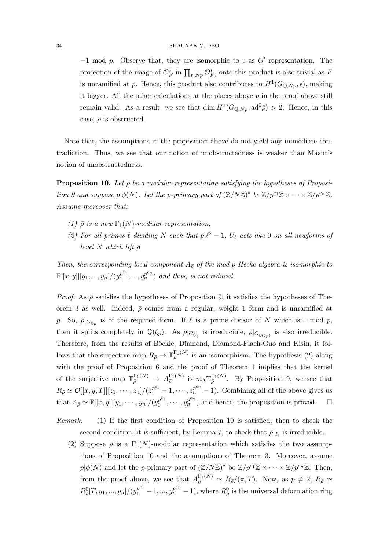$-1$  mod p. Observe that, they are isomorphic to  $\epsilon$  as G' representation. The projection of the image of  $\mathcal{O}_F^*$  in  $\prod_{v|Np} \mathcal{O}_{F_v}^*$  onto this product is also trivial as F is unramified at p. Hence, this product also contributes to  $H^1(G_{\mathbb{Q},N_p}, \epsilon)$ , making it bigger. All the other calculations at the places above  $p$  in the proof above still remain valid. As a result, we see that  $\dim H^1(G_{\mathbb{Q},N_p}, \mathrm{ad}^0\bar{\rho}) > 2$ . Hence, in this case,  $\bar{\rho}$  is obstructed.

Note that, the assumptions in the proposition above do not yield any immediate contradiction. Thus, we see that our notion of unobstructedness is weaker than Mazur's notion of unobstructedness.

**Proposition 10.** Let  $\bar{\rho}$  be a modular representation satisfying the hypotheses of Proposition 9 and suppose  $p | \phi(N)$ . Let the p-primary part of  $(\mathbb{Z}/N\mathbb{Z})^*$  be  $\mathbb{Z}/p^{e_1}\mathbb{Z} \times \cdots \times \mathbb{Z}/p^{e_n}\mathbb{Z}$ . Assume moreover that:

- (1)  $\bar{\rho}$  is a new  $\Gamma_1(N)$ -modular representation,
- (2) For all primes  $\ell$  dividing N such that  $p\ell^2 1$ ,  $U_{\ell}$  acts like 0 on all newforms of level N which lift  $\bar{\rho}$

Then, the corresponding local component  $A_{\bar{\rho}}$  of the mod p Hecke algebra is isomorphic to  $\mathbb{F}[[x,y]][y_1,...,y_n]/(y_1^{p^{e_1}}$  $p_1^{e_1},...,p_n^{p^{e_n}}$  and thus, is not reduced.

*Proof.* As  $\bar{\rho}$  satisfies the hypotheses of Proposition 9, it satisfies the hypotheses of Theorem 3 as well. Indeed,  $\bar{\rho}$  comes from a regular, weight 1 form and is unramified at p. So,  $\bar{\rho}|_{G_{\mathbb{Q}_p}}$  is of the required form. If  $\ell$  is a prime divisor of N which is 1 mod p, then it splits completely in  $\mathbb{Q}(\zeta_p)$ . As  $\bar{\rho}|_{G_{\mathbb{Q}_\ell}}$  is irreducible,  $\bar{\rho}|_{G_{\mathbb{Q}(\zeta_p)}}$  is also irreducible. Therefore, from the results of Böckle, Diamond, Diamond-Flach-Guo and Kisin, it follows that the surjective map  $R_{\bar{\rho}} \to \mathbb{T}_{\bar{\rho}}^{\Gamma_1(N)}$  is an isomorphism. The hypothesis (2) along with the proof of Proposition 6 and the proof of Theorem 1 implies that the kernel of the surjective map  $\mathbb{T}_{\bar{\rho}}^{\Gamma_1(N)} \to A_{\bar{\rho}}^{\Gamma_1(N)}$  is  $m_{\Lambda} \mathbb{T}_{\bar{\rho}}^{\Gamma_1(N)}$ . By Proposition 9, we see that  $R_{\bar{\rho}} \simeq \mathcal{O}[[x, y, T]][z_1, \cdots, z_n]/(z_1^{p^{e_1}} - 1, \cdots, z_n^{p^{e_n}} - 1)$ . Combining all of the above gives us that  $A_{\bar{\rho}} \simeq \mathbb{F}[[x, y]][y_1, \cdots, y_n]/(y_1^{p^{e_1}})$  $p_1^{e_1}, \cdots, p_n^{e_n}$  and hence, the proposition is proved.  $\square$ 

- Remark. (1) If the first condition of Proposition 10 is satisfied, then to check the second condition, it is sufficient, by Lemma 7, to check that  $\bar{\rho}|_{I_{\ell}}$  is irreducible.
	- (2) Suppose  $\bar{\rho}$  is a  $\Gamma_1(N)$ -modular representation which satisfies the two assumptions of Proposition 10 and the assumptions of Theorem 3. Moreover, assume  $p|\phi(N)$  and let the *p*-primary part of  $(\mathbb{Z}/N\mathbb{Z})^*$  be  $\mathbb{Z}/p^{e_1}\mathbb{Z} \times \cdots \times \mathbb{Z}/p^{e_n}\mathbb{Z}$ . Then, from the proof above, we see that  $A_{\bar{\rho}}^{\Gamma_1(N)} \simeq R_{\bar{\rho}}/(\pi, T)$ . Now, as  $p \neq 2$ ,  $R_{\bar{\rho}} \simeq$  $R_{\overline{\rho}}^{0}[T, y_1, ..., y_n]/(y_1^{p^{e_1}}-1, ..., y_n^{p^{e_n}}-1)$ , where  $R_{\overline{\rho}}^{0}$  is the universal deformation ring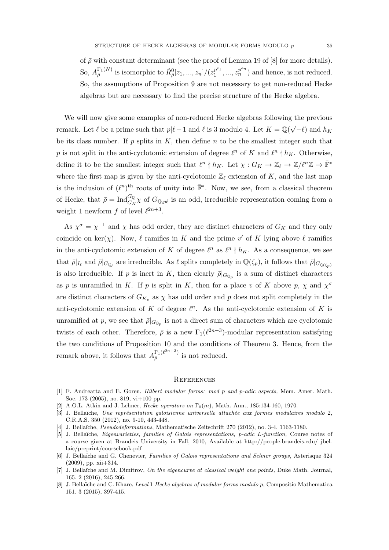of  $\bar{\rho}$  with constant determinant (see the proof of Lemma 19 of [8] for more details). So,  $A_{\overline{\rho}}^{\Gamma_1(N)}$  is isomorphic to  $\tilde{R}^0_{\overline{\rho}}[z_1, ..., z_n]/(z_1^{p^{e_1}})$  $i_1^{p^{e_1}},...,i_n^{p^{e_n}}$  and hence, is not reduced. So, the assumptions of Proposition 9 are not necessary to get non-reduced Hecke algebras but are necessary to find the precise structure of the Hecke algebra.

We will now give some examples of non-reduced Hecke algebras following the previous remark. Let  $\ell$  be a prime such that  $p|\ell-1$  and  $\ell$  is 3 modulo 4. Let  $K = \mathbb{Q}(\sqrt{2})$  $(-\ell)$  and  $h_K$ be its class number. If  $p$  splits in  $K$ , then define  $n$  to be the smallest integer such that p is not split in the anti-cyclotomic extension of degree  $\ell^n$  of K and  $\ell^n \nmid h_K$ . Otherwise, define it to be the smallest integer such that  $\ell^n \nmid h_K$ . Let  $\chi : G_K \to \mathbb{Z}_\ell \to \mathbb{Z}/\ell^n\mathbb{Z} \to \overline{\mathbb{F}}^*$ where the first map is given by the anti-cyclotomic  $\mathbb{Z}_{\ell}$  extension of K, and the last map is the inclusion of  $(\ell^n)^{\text{th}}$  roots of unity into  $\overline{\mathbb{F}}^*$ . Now, we see, from a classical theorem of Hecke, that  $\bar{\rho} = \text{Ind}_{G_K}^{G_Q} \chi$  of  $G_{Q, p\ell}$  is an odd, irreducible representation coming from a weight 1 newform f of level  $\ell^{2n+3}$ .

As  $\chi^{\sigma} = \chi^{-1}$  and  $\chi$  has odd order, they are distinct characters of  $G_K$  and they only coincide on ker(x). Now,  $\ell$  ramifies in K and the prime v' of K lying above  $\ell$  ramifies in the anti-cyclotomic extension of K of degree  $\ell^n$  as  $\ell^n \nmid h_K$ . As a consequence, we see that  $\bar{\rho}|_{I_{\ell}}$  and  $\bar{\rho}|_{G_{\mathbb{Q}_{\ell}}}$  are irreducible. As  $\ell$  splits completely in  $\mathbb{Q}(\zeta_p)$ , it follows that  $\bar{\rho}|_{G_{\mathbb{Q}(\zeta_p)}}$ is also irreducible. If p is inert in K, then clearly  $\bar{\rho}|_{G_{\mathbb{Q}_p}}$  is a sum of distinct characters as p is unramified in K. If p is split in K, then for a place v of K above p,  $\chi$  and  $\chi^{\sigma}$ are distinct characters of  $G_{K_v}$  as  $\chi$  has odd order and p does not split completely in the anti-cyclotomic extension of K of degree  $\ell^n$ . As the anti-cyclotomic extension of K is unramified at p, we see that  $\bar{\rho}|_{G_{\mathbb{Q}_p}}$  is not a direct sum of characters which are cyclotomic twists of each other. Therefore,  $\bar{\rho}$  is a new  $\Gamma_1(\ell^{2n+3})$ -modular representation satisfying the two conditions of Proposition 10 and the conditions of Theorem 3. Hence, from the remark above, it follows that  $A_{\bar{\rho}}^{\Gamma_1(\ell^{2n+3})}$  $\frac{1}{\overline{\rho}}$ <sup>1</sup> is not reduced.

#### **REFERENCES**

- [1] F. Andreatta and E. Goren, Hilbert modular forms: mod p and p-adic aspects, Mem. Amer. Math. Soc. 173 (2005), no. 819, vi+100 pp.
- [2] A.O.L. Atkin and J. Lehner, Hecke operators on  $\Gamma_0(m)$ , Math. Ann., 185:134-160, 1970.
- [3] J. Bellaïche, Une représentation galoisienne universelle attachée aux formes modulaires modulo 2, C.R.A.S. 350 (2012), no. 9-10, 443-448.
- [4] J. Bella¨ıche, Pseudodeformations, Mathematische Zeitschrift 270 (2012), no. 3-4, 1163-1180.
- [5] J. Bella¨ıche, Eigenvarieties, families of Galois representations, p-adic L-function, Course notes of a course given at Brandeis University in Fall, 2010, Available at http://people.brandeis.edu/ jbellaic/preprint/coursebook.pdf
- [6] J. Bella¨ıche and G. Chenevier, Families of Galois representations and Selmer groups, Asterisque 324 (2009), pp. xii+314.
- [7] J. Bellaïche and M. Dimitrov, On the eigencurve at classical weight one points, Duke Math. Journal, 165. 2 (2016), 245-266.
- [8] J. Bellaïche and C. Khare, Level 1 Hecke algebras of modular forms modulo p, Compositio Mathematica 151. 3 (2015), 397-415.